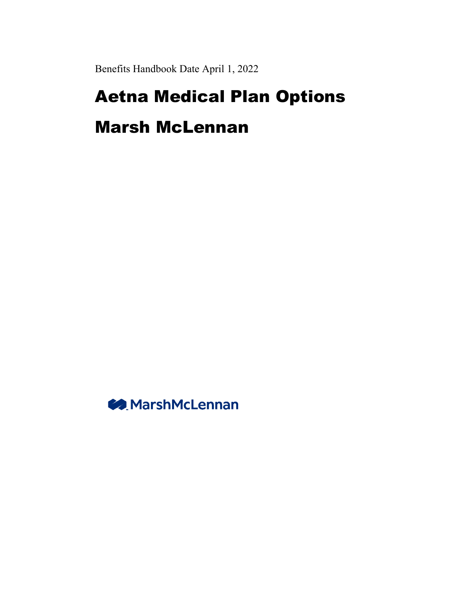Benefits Handbook Date April 1, 2022

# Aetna Medical Plan Options

## Marsh McLennan

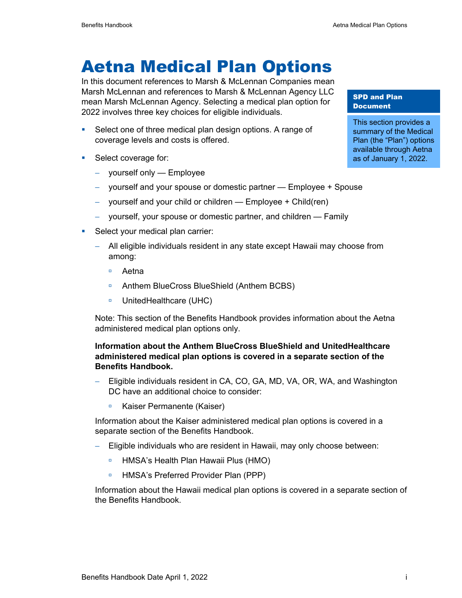## Aetna Medical Plan Options

In this document references to Marsh & McLennan Companies mean Marsh McLennan and references to Marsh & McLennan Agency LLC mean Marsh McLennan Agency. Selecting a medical plan option for 2022 involves three key choices for eligible individuals.

- **Select one of three medical plan design options. A range of** coverage levels and costs is offered.
- **Select coverage for:** 
	- − yourself only Employee
	- − yourself and your spouse or domestic partner Employee + Spouse
	- − yourself and your child or children Employee + Child(ren)
	- − yourself, your spouse or domestic partner, and children Family
- Select your medical plan carrier:
	- − All eligible individuals resident in any state except Hawaii may choose from among:
		- Aetna
		- Anthem BlueCross BlueShield (Anthem BCBS)
		- □ UnitedHealthcare (UHC)

Note: This section of the Benefits Handbook provides information about the Aetna administered medical plan options only.

#### **Information about the Anthem BlueCross BlueShield and UnitedHealthcare administered medical plan options is covered in a separate section of the Benefits Handbook.**

- − Eligible individuals resident in CA, CO, GA, MD, VA, OR, WA, and Washington DC have an additional choice to consider:
	- Kaiser Permanente (Kaiser)

Information about the Kaiser administered medical plan options is covered in a separate section of the Benefits Handbook.

- − Eligible individuals who are resident in Hawaii, may only choose between:
	- HMSA's Health Plan Hawaii Plus (HMO)
	- □ HMSA's Preferred Provider Plan (PPP)

Information about the Hawaii medical plan options is covered in a separate section of the Benefits Handbook.

SPD and Plan **Document** 

This section provides a summary of the Medical Plan (the "Plan") options available through Aetna as of January 1, 2022.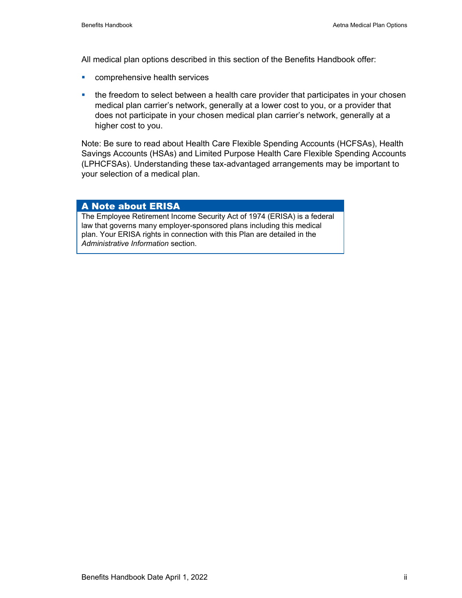All medical plan options described in this section of the Benefits Handbook offer:

- **EXECOMPTER INCORRENT SERVICES**
- the freedom to select between a health care provider that participates in your chosen medical plan carrier's network, generally at a lower cost to you, or a provider that does not participate in your chosen medical plan carrier's network, generally at a higher cost to you.

Note: Be sure to read about Health Care Flexible Spending Accounts (HCFSAs), Health Savings Accounts (HSAs) and Limited Purpose Health Care Flexible Spending Accounts (LPHCFSAs). Understanding these tax-advantaged arrangements may be important to your selection of a medical plan.

#### A Note about ERISA

The Employee Retirement Income Security Act of 1974 (ERISA) is a federal law that governs many employer-sponsored plans including this medical plan. Your ERISA rights in connection with this Plan are detailed in the *Administrative Information* section.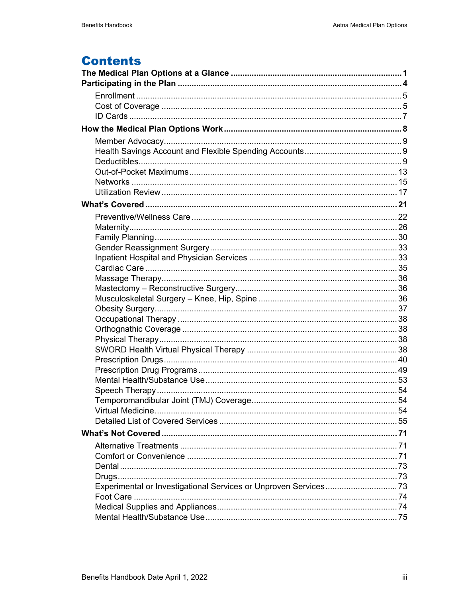### **Contents**

| Experimental or Investigational Services or Unproven Services73 |  |
|-----------------------------------------------------------------|--|
|                                                                 |  |
|                                                                 |  |
|                                                                 |  |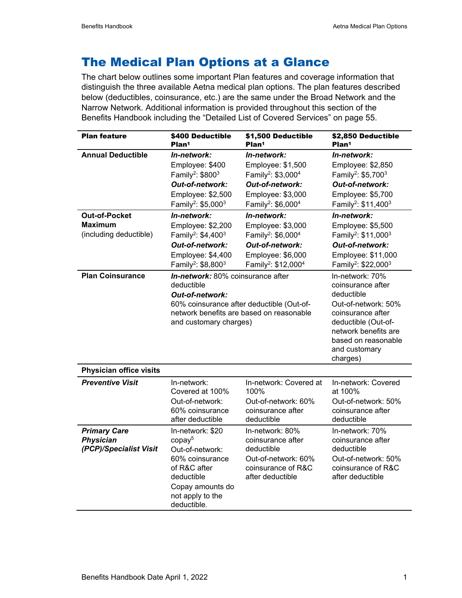### The Medical Plan Options at a Glance

The chart below outlines some important Plan features and coverage information that distinguish the three available Aetna medical plan options. The plan features described below (deductibles, coinsurance, etc.) are the same under the Broad Network and the Narrow Network. Additional information is provided throughout this section of the Benefits Handbook including the "Detailed List of Covered Services" on page 55.

| <b>Plan feature</b>                                               | \$400 Deductible<br>Plan <sup>1</sup>                                                                                                                                                 | \$1,500 Deductible<br>Plan <sup>1</sup>                                                                                                                               | \$2,850 Deductible<br>Plan <sup>1</sup>                                                                                                                                                           |
|-------------------------------------------------------------------|---------------------------------------------------------------------------------------------------------------------------------------------------------------------------------------|-----------------------------------------------------------------------------------------------------------------------------------------------------------------------|---------------------------------------------------------------------------------------------------------------------------------------------------------------------------------------------------|
| <b>Annual Deductible</b>                                          | In-network:<br>Employee: \$400<br>Family <sup>2</sup> : \$800 <sup>3</sup><br>Out-of-network:<br>Employee: \$2,500<br>Family <sup>2</sup> : \$5,000 <sup>3</sup>                      | In-network:<br>Employee: \$1,500<br>Family <sup>2</sup> : \$3,000 <sup>4</sup><br>Out-of-network:<br>Employee: \$3,000<br>Family <sup>2</sup> : \$6,000 <sup>4</sup>  | In-network:<br>Employee: \$2,850<br>Family <sup>2</sup> : \$5,700 <sup>3</sup><br>Out-of-network:<br>Employee: \$5,700<br>Family <sup>2</sup> : \$11,400 <sup>3</sup>                             |
| <b>Out-of-Pocket</b><br><b>Maximum</b><br>(including deductible)  | In-network:<br>Employee: \$2,200<br>Family <sup>2</sup> : \$4,400 <sup>3</sup><br>Out-of-network:<br>Employee: \$4,400<br>Family <sup>2</sup> : \$8,800 <sup>3</sup>                  | In-network:<br>Employee: \$3,000<br>Family <sup>2</sup> : \$6,000 <sup>4</sup><br>Out-of-network:<br>Employee: \$6,000<br>Family <sup>2</sup> : \$12,000 <sup>4</sup> | In-network:<br>Employee: \$5,500<br>Family <sup>2</sup> : \$11,000 <sup>3</sup><br>Out-of-network:<br>Employee: \$11,000<br>Family <sup>2</sup> : \$22,000 <sup>3</sup>                           |
| <b>Plan Coinsurance</b>                                           | In-network: 80% coinsurance after<br>deductible<br>Out-of-network:<br>60% coinsurance after deductible (Out-of-<br>network benefits are based on reasonable<br>and customary charges) |                                                                                                                                                                       | In-network: 70%<br>coinsurance after<br>deductible<br>Out-of-network: 50%<br>coinsurance after<br>deductible (Out-of-<br>network benefits are<br>based on reasonable<br>and customary<br>charges) |
| <b>Physician office visits</b>                                    |                                                                                                                                                                                       |                                                                                                                                                                       |                                                                                                                                                                                                   |
| <b>Preventive Visit</b>                                           | In-network:<br>Covered at 100%<br>Out-of-network:<br>60% coinsurance<br>after deductible                                                                                              | In-network: Covered at<br>100%<br>Out-of-network: 60%<br>coinsurance after<br>deductible                                                                              | In-network: Covered<br>at 100%<br>Out-of-network: 50%<br>coinsurance after<br>deductible                                                                                                          |
| <b>Primary Care</b><br><b>Physician</b><br>(PCP)/Specialist Visit | In-network: \$20<br>copay <sup>5</sup><br>Out-of-network:<br>60% coinsurance<br>of R&C after<br>deductible<br>Copay amounts do<br>not apply to the<br>deductible.                     | In-network: 80%<br>coinsurance after<br>deductible<br>Out-of-network: 60%<br>coinsurance of R&C<br>after deductible                                                   | In-network: 70%<br>coinsurance after<br>deductible<br>Out-of-network: 50%<br>coinsurance of R&C<br>after deductible                                                                               |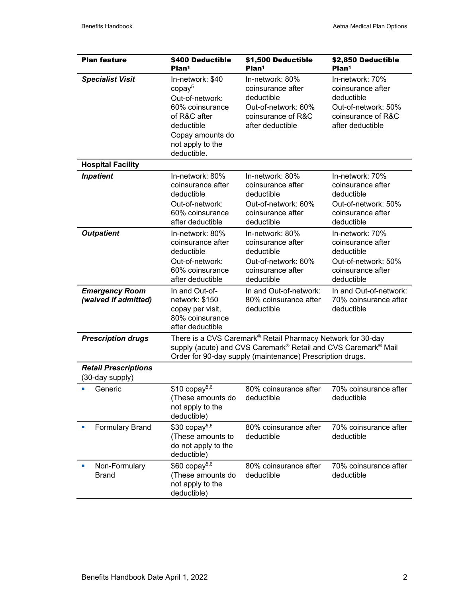| <b>Plan feature</b>                            | \$400 Deductible<br>Plan <sup>1</sup>                                                                                                                             | \$1,500 Deductible<br>Plan <sup>1</sup>                                                                                                                                                                            | \$2,850 Deductible<br>Plan <sup>1</sup>                                                                             |
|------------------------------------------------|-------------------------------------------------------------------------------------------------------------------------------------------------------------------|--------------------------------------------------------------------------------------------------------------------------------------------------------------------------------------------------------------------|---------------------------------------------------------------------------------------------------------------------|
| <b>Specialist Visit</b>                        | In-network: \$40<br>copay <sup>5</sup><br>Out-of-network:<br>60% coinsurance<br>of R&C after<br>deductible<br>Copay amounts do<br>not apply to the<br>deductible. | In-network: 80%<br>coinsurance after<br>deductible<br>Out-of-network: 60%<br>coinsurance of R&C<br>after deductible                                                                                                | In-network: 70%<br>coinsurance after<br>deductible<br>Out-of-network: 50%<br>coinsurance of R&C<br>after deductible |
| <b>Hospital Facility</b>                       |                                                                                                                                                                   |                                                                                                                                                                                                                    |                                                                                                                     |
| <b>Inpatient</b>                               | In-network: 80%<br>coinsurance after<br>deductible<br>Out-of-network:<br>60% coinsurance<br>after deductible                                                      | In-network: 80%<br>coinsurance after<br>deductible<br>Out-of-network: 60%<br>coinsurance after<br>deductible                                                                                                       | In-network: 70%<br>coinsurance after<br>deductible<br>Out-of-network: 50%<br>coinsurance after<br>deductible        |
| <b>Outpatient</b>                              | In-network: 80%<br>coinsurance after<br>deductible<br>Out-of-network:<br>60% coinsurance<br>after deductible                                                      | In-network: 80%<br>coinsurance after<br>deductible<br>Out-of-network: 60%<br>coinsurance after<br>deductible                                                                                                       | In-network: 70%<br>coinsurance after<br>deductible<br>Out-of-network: 50%<br>coinsurance after<br>deductible        |
| <b>Emergency Room</b><br>(waived if admitted)  | In and Out-of-<br>network: \$150<br>copay per visit,<br>80% coinsurance<br>after deductible                                                                       | In and Out-of-network:<br>80% coinsurance after<br>deductible                                                                                                                                                      | In and Out-of-network:<br>70% coinsurance after<br>deductible                                                       |
| <b>Prescription drugs</b>                      |                                                                                                                                                                   | There is a CVS Caremark® Retail Pharmacy Network for 30-day<br>supply (acute) and CVS Caremark <sup>®</sup> Retail and CVS Caremark <sup>®</sup> Mail<br>Order for 90-day supply (maintenance) Prescription drugs. |                                                                                                                     |
| <b>Retail Prescriptions</b><br>(30-day supply) |                                                                                                                                                                   |                                                                                                                                                                                                                    |                                                                                                                     |
| • Generic                                      | $$10$ copay <sup>5,6</sup><br>(These amounts do<br>not apply to the<br>deductible)                                                                                | 80% coinsurance after<br>deductible                                                                                                                                                                                | 70% coinsurance after<br>deductible                                                                                 |
| <b>Formulary Brand</b>                         | $$30$ copay <sup>5,6</sup><br>(These amounts to<br>do not apply to the<br>deductible)                                                                             | 80% coinsurance after<br>deductible                                                                                                                                                                                | 70% coinsurance after<br>deductible                                                                                 |
| Non-Formulary<br><b>Brand</b>                  | $$60$ copay <sup>5,6</sup><br>(These amounts do<br>not apply to the<br>deductible)                                                                                | 80% coinsurance after<br>deductible                                                                                                                                                                                | 70% coinsurance after<br>deductible                                                                                 |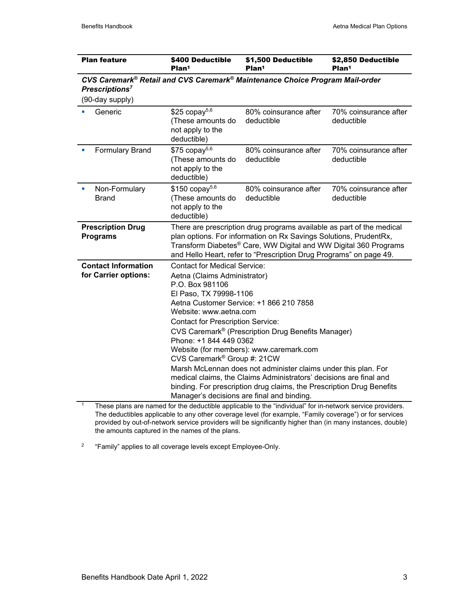| <b>Plan feature</b>                                                                                                                                                                                                                                                                                                                                                                                                                                                                                                                                                                                                                                                                                                          | \$400 Deductible<br>Plan <sup>1</sup>                                                                                                                                                                                                                                                | \$1,500 Deductible<br>Plan <sup>1</sup> | \$2,850 Deductible<br>Plan <sup>1</sup> |  |  |  |
|------------------------------------------------------------------------------------------------------------------------------------------------------------------------------------------------------------------------------------------------------------------------------------------------------------------------------------------------------------------------------------------------------------------------------------------------------------------------------------------------------------------------------------------------------------------------------------------------------------------------------------------------------------------------------------------------------------------------------|--------------------------------------------------------------------------------------------------------------------------------------------------------------------------------------------------------------------------------------------------------------------------------------|-----------------------------------------|-----------------------------------------|--|--|--|
| CVS Caremark® Retail and CVS Caremark® Maintenance Choice Program Mail-order<br>Prescriptions <sup>7</sup>                                                                                                                                                                                                                                                                                                                                                                                                                                                                                                                                                                                                                   |                                                                                                                                                                                                                                                                                      |                                         |                                         |  |  |  |
| (90-day supply)                                                                                                                                                                                                                                                                                                                                                                                                                                                                                                                                                                                                                                                                                                              |                                                                                                                                                                                                                                                                                      |                                         |                                         |  |  |  |
| Generic                                                                                                                                                                                                                                                                                                                                                                                                                                                                                                                                                                                                                                                                                                                      | $$25$ copay <sup>5,6</sup><br>(These amounts do<br>not apply to the<br>deductible)                                                                                                                                                                                                   | 80% coinsurance after<br>deductible     | 70% coinsurance after<br>deductible     |  |  |  |
| <b>Formulary Brand</b>                                                                                                                                                                                                                                                                                                                                                                                                                                                                                                                                                                                                                                                                                                       | $$75$ copay <sup>5,6</sup><br>(These amounts do<br>not apply to the<br>deductible)                                                                                                                                                                                                   | 80% coinsurance after<br>deductible     | 70% coinsurance after<br>deductible     |  |  |  |
| Non-Formulary<br><b>Brand</b>                                                                                                                                                                                                                                                                                                                                                                                                                                                                                                                                                                                                                                                                                                | $$150$ copay <sup>5,6</sup><br>(These amounts do<br>not apply to the<br>deductible)                                                                                                                                                                                                  | 80% coinsurance after<br>deductible     | 70% coinsurance after<br>deductible     |  |  |  |
| <b>Prescription Drug</b><br><b>Programs</b>                                                                                                                                                                                                                                                                                                                                                                                                                                                                                                                                                                                                                                                                                  | There are prescription drug programs available as part of the medical<br>plan options. For information on Rx Savings Solutions, PrudentRx,<br>Transform Diabetes® Care, WW Digital and WW Digital 360 Programs<br>and Hello Heart, refer to "Prescription Drug Programs" on page 49. |                                         |                                         |  |  |  |
| <b>Contact Information</b><br><b>Contact for Medical Service:</b><br>for Carrier options:<br>Aetna (Claims Administrator)<br>P.O. Box 981106<br>El Paso, TX 79998-1106<br>Aetna Customer Service: +1 866 210 7858<br>Website: www.aetna.com<br><b>Contact for Prescription Service:</b><br>CVS Caremark® (Prescription Drug Benefits Manager)<br>Phone: +1 844 449 0362<br>Website (for members): www.caremark.com<br>CVS Caremark <sup>®</sup> Group #: 21CW<br>Marsh McLennan does not administer claims under this plan. For<br>medical claims, the Claims Administrators' decisions are final and<br>binding. For prescription drug claims, the Prescription Drug Benefits<br>Manager's decisions are final and binding. |                                                                                                                                                                                                                                                                                      |                                         |                                         |  |  |  |

<sup>1</sup> These plans are named for the deductible applicable to the "individual" for in-network service providers. The deductibles applicable to any other coverage level (for example, "Family coverage") or for services provided by out-of-network service providers will be significantly higher than (in many instances, double) the amounts captured in the names of the plans.

2 "Family" applies to all coverage levels except Employee-Only.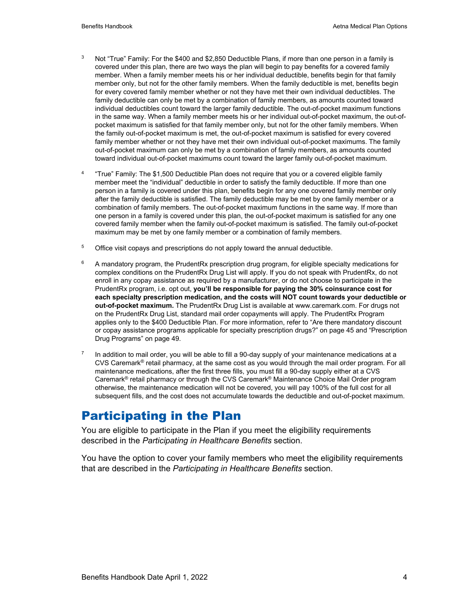- <sup>3</sup> Not "True" Family: For the \$400 and \$2,850 Deductible Plans, if more than one person in a family is covered under this plan, there are two ways the plan will begin to pay benefits for a covered family member. When a family member meets his or her individual deductible, benefits begin for that family member only, but not for the other family members. When the family deductible is met, benefits begin for every covered family member whether or not they have met their own individual deductibles. The family deductible can only be met by a combination of family members, as amounts counted toward individual deductibles count toward the larger family deductible. The out-of-pocket maximum functions in the same way. When a family member meets his or her individual out-of-pocket maximum, the out-ofpocket maximum is satisfied for that family member only, but not for the other family members. When the family out-of-pocket maximum is met, the out-of-pocket maximum is satisfied for every covered family member whether or not they have met their own individual out-of-pocket maximums. The family out-of-pocket maximum can only be met by a combination of family members, as amounts counted toward individual out-of-pocket maximums count toward the larger family out-of-pocket maximum.
- 4 "True" Family: The \$1,500 Deductible Plan does not require that you or a covered eligible family member meet the "individual" deductible in order to satisfy the family deductible. If more than one person in a family is covered under this plan, benefits begin for any one covered family member only after the family deductible is satisfied. The family deductible may be met by one family member or a combination of family members. The out-of-pocket maximum functions in the same way. If more than one person in a family is covered under this plan, the out-of-pocket maximum is satisfied for any one covered family member when the family out-of-pocket maximum is satisfied. The family out-of-pocket maximum may be met by one family member or a combination of family members.
- <sup>5</sup> Office visit copays and prescriptions do not apply toward the annual deductible.
- $6$  A mandatory program, the PrudentRx prescription drug program, for eligible specialty medications for complex conditions on the PrudentRx Drug List will apply. If you do not speak with PrudentRx, do not enroll in any copay assistance as required by a manufacturer, or do not choose to participate in the PrudentRx program, i.e. opt out, **you'll be responsible for paying the 30% coinsurance cost for each specialty prescription medication, and the costs will NOT count towards your deductible or out-of-pocket maximum.** The PrudentRx Drug List is available at www.caremark.com. For drugs not on the PrudentRx Drug List, standard mail order copayments will apply. The PrudentRx Program applies only to the \$400 Deductible Plan. For more information, refer to "Are there mandatory discount or copay assistance programs applicable for specialty prescription drugs?" on page 45 and "Prescription Drug Programs" on page 49.
- $7$  In addition to mail order, you will be able to fill a 90-day supply of your maintenance medications at a CVS Caremark® retail pharmacy, at the same cost as you would through the mail order program. For all maintenance medications, after the first three fills, you must fill a 90-day supply either at a CVS Caremark® retail pharmacy or through the CVS Caremark® Maintenance Choice Mail Order program otherwise, the maintenance medication will not be covered, you will pay 100% of the full cost for all subsequent fills, and the cost does not accumulate towards the deductible and out-of-pocket maximum.

### Participating in the Plan

You are eligible to participate in the Plan if you meet the eligibility requirements described in the *Participating in Healthcare Benefits* section.

You have the option to cover your family members who meet the eligibility requirements that are described in the *Participating in Healthcare Benefits* section.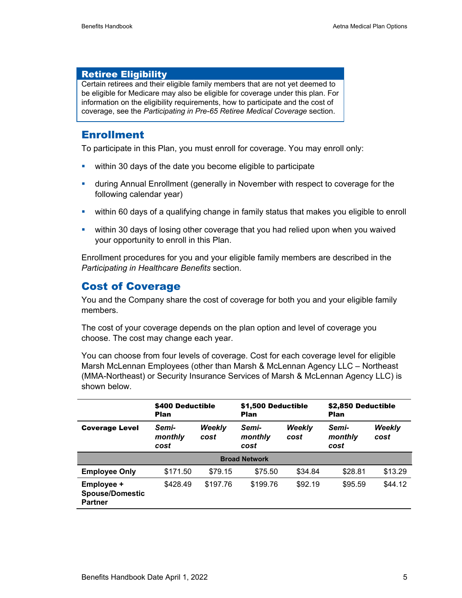### Retiree Eligibility

Certain retirees and their eligible family members that are not yet deemed to be eligible for Medicare may also be eligible for coverage under this plan. For information on the eligibility requirements, how to participate and the cost of coverage, see the *Participating in Pre-65 Retiree Medical Coverage* section.

### **Enrollment**

To participate in this Plan, you must enroll for coverage. You may enroll only:

- **within 30 days of the date you become eligible to participate**
- during Annual Enrollment (generally in November with respect to coverage for the following calendar year)
- within 60 days of a qualifying change in family status that makes you eligible to enroll
- within 30 days of losing other coverage that you had relied upon when you waived your opportunity to enroll in this Plan.

Enrollment procedures for you and your eligible family members are described in the *Participating in Healthcare Benefits* section.

### Cost of Coverage

You and the Company share the cost of coverage for both you and your eligible family members.

The cost of your coverage depends on the plan option and level of coverage you choose. The cost may change each year.

You can choose from four levels of coverage. Cost for each coverage level for eligible Marsh McLennan Employees (other than Marsh & McLennan Agency LLC – Northeast (MMA-Northeast) or Security Insurance Services of Marsh & McLennan Agency LLC) is shown below.

|                                                        | \$400 Deductible<br><b>Plan</b> |                       | \$1,500 Deductible<br><b>Plan</b> |                       | \$2,850 Deductible<br><b>Plan</b> |                |
|--------------------------------------------------------|---------------------------------|-----------------------|-----------------------------------|-----------------------|-----------------------------------|----------------|
| <b>Coverage Level</b>                                  | Semi-<br>monthly<br>cost        | <b>Weekly</b><br>cost | Semi-<br>monthly<br>cost          | <b>Weekly</b><br>cost | Semi-<br>monthly<br>cost          | Weekly<br>cost |
|                                                        |                                 |                       | <b>Broad Network</b>              |                       |                                   |                |
| <b>Employee Only</b>                                   | \$171.50                        | \$79.15               | \$75.50                           | \$34.84               | \$28.81                           | \$13.29        |
| Employee +<br><b>Spouse/Domestic</b><br><b>Partner</b> | \$428.49                        | \$197.76              | \$199.76                          | \$92.19               | \$95.59                           | \$44.12        |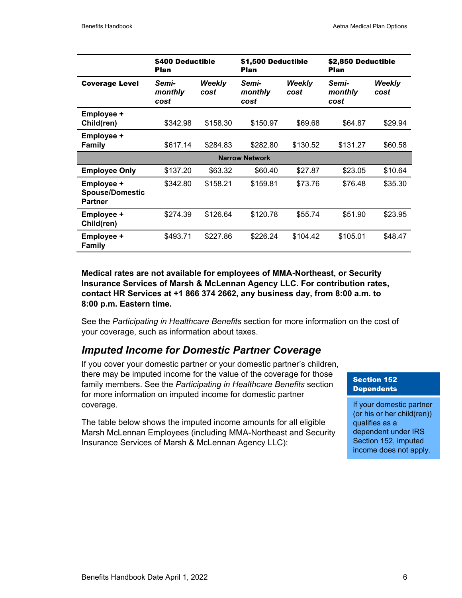|                                                        | \$400 Deductible<br>Plan |                | \$1,500 Deductible<br>Plan |                | \$2,850 Deductible<br>Plan |                       |
|--------------------------------------------------------|--------------------------|----------------|----------------------------|----------------|----------------------------|-----------------------|
| <b>Coverage Level</b>                                  | Semi-<br>monthly<br>cost | Weekly<br>cost | Semi-<br>monthly<br>cost   | Weekly<br>cost | Semi-<br>monthly<br>cost   | <b>Weekly</b><br>cost |
| Employee +<br>Child(ren)                               | \$342.98                 | \$158.30       | \$150.97                   | \$69.68        | \$64.87                    | \$29.94               |
| Employee +<br><b>Family</b>                            | \$617.14                 | \$284.83       | \$282.80                   | \$130.52       | \$131.27                   | \$60.58               |
|                                                        |                          |                | <b>Narrow Network</b>      |                |                            |                       |
| <b>Employee Only</b>                                   | \$137.20                 | \$63.32        | \$60.40                    | \$27.87        | \$23.05                    | \$10.64               |
| Employee +<br><b>Spouse/Domestic</b><br><b>Partner</b> | \$342.80                 | \$158.21       | \$159.81                   | \$73.76        | \$76.48                    | \$35.30               |
| Employee +<br>Child(ren)                               | \$274.39                 | \$126.64       | \$120.78                   | \$55.74        | \$51.90                    | \$23.95               |
| Employee +<br><b>Family</b>                            | \$493.71                 | \$227.86       | \$226.24                   | \$104.42       | \$105.01                   | \$48.47               |

**Medical rates are not available for employees of MMA-Northeast, or Security Insurance Services of Marsh & McLennan Agency LLC. For contribution rates, contact HR Services at +1 866 374 2662, any business day, from 8:00 a.m. to 8:00 p.m. Eastern time.** 

See the *Participating in Healthcare Benefits* section for more information on the cost of your coverage, such as information about taxes.

### *Imputed Income for Domestic Partner Coverage*

If you cover your domestic partner or your domestic partner's children, there may be imputed income for the value of the coverage for those family members. See the *Participating in Healthcare Benefits* section for more information on imputed income for domestic partner coverage.

The table below shows the imputed income amounts for all eligible Marsh McLennan Employees (including MMA-Northeast and Security Insurance Services of Marsh & McLennan Agency LLC):

#### Section 152 **Dependents**

If your domestic partner (or his or her child(ren)) qualifies as a dependent under IRS Section 152, imputed income does not apply.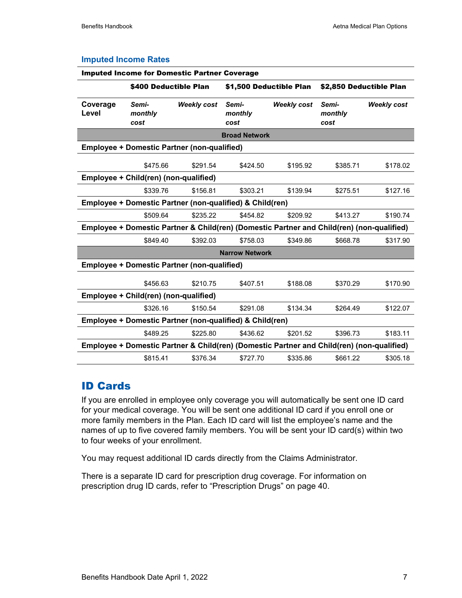|                       | <b>Imputed Income for Domestic Partner Coverage</b>                                       |                    |                          |                    |                          |                    |
|-----------------------|-------------------------------------------------------------------------------------------|--------------------|--------------------------|--------------------|--------------------------|--------------------|
|                       | \$400 Deductible Plan                                                                     |                    | \$1,500 Deductible Plan  |                    | \$2,850 Deductible Plan  |                    |
| Coverage<br>Level     | Semi-<br>monthly<br>cost                                                                  | <b>Weekly cost</b> | Semi-<br>monthly<br>cost | <b>Weekly cost</b> | Semi-<br>monthly<br>cost | <b>Weekly cost</b> |
|                       |                                                                                           |                    | <b>Broad Network</b>     |                    |                          |                    |
|                       | <b>Employee + Domestic Partner (non-qualified)</b>                                        |                    |                          |                    |                          |                    |
|                       | \$475.66                                                                                  | \$291.54           | \$424.50                 | \$195.92           | \$385.71                 | \$178.02           |
|                       | Employee + Child(ren) (non-qualified)                                                     |                    |                          |                    |                          |                    |
|                       | \$339.76                                                                                  | \$156.81           | \$303.21                 | \$139.94           | \$275.51                 | \$127.16           |
|                       | Employee + Domestic Partner (non-qualified) & Child(ren)                                  |                    |                          |                    |                          |                    |
|                       | \$509.64                                                                                  | \$235.22           | \$454.82                 | \$209.92           | \$413.27                 | \$190.74           |
|                       | Employee + Domestic Partner & Child(ren) (Domestic Partner and Child(ren) (non-qualified) |                    |                          |                    |                          |                    |
|                       | \$849.40                                                                                  | \$392.03           | \$758.03                 | \$349.86           | \$668.78                 | \$317.90           |
| <b>Narrow Network</b> |                                                                                           |                    |                          |                    |                          |                    |
|                       | <b>Employee + Domestic Partner (non-qualified)</b>                                        |                    |                          |                    |                          |                    |
|                       | \$456.63                                                                                  | \$210.75           | \$407.51                 | \$188.08           | \$370.29                 | \$170.90           |
|                       | Employee + Child(ren) (non-qualified)                                                     |                    |                          |                    |                          |                    |
|                       | \$326.16                                                                                  | \$150.54           | \$291.08                 | \$134.34           | \$264.49                 | \$122.07           |
|                       | Employee + Domestic Partner (non-qualified) & Child(ren)                                  |                    |                          |                    |                          |                    |
|                       | \$489.25                                                                                  | \$225.80           | \$436.62                 | \$201.52           | \$396.73                 | \$183.11           |
|                       | Employee + Domestic Partner & Child(ren) (Domestic Partner and Child(ren) (non-qualified) |                    |                          |                    |                          |                    |
|                       | \$815.41                                                                                  | \$376.34           | \$727.70                 | \$335.86           | \$661.22                 | \$305.18           |

#### **Imputed Income Rates**

### ID Cards

If you are enrolled in employee only coverage you will automatically be sent one ID card for your medical coverage. You will be sent one additional ID card if you enroll one or more family members in the Plan. Each ID card will list the employee's name and the names of up to five covered family members. You will be sent your ID card(s) within two to four weeks of your enrollment.

You may request additional ID cards directly from the Claims Administrator.

There is a separate ID card for prescription drug coverage. For information on prescription drug ID cards, refer to "Prescription Drugs" on page 40.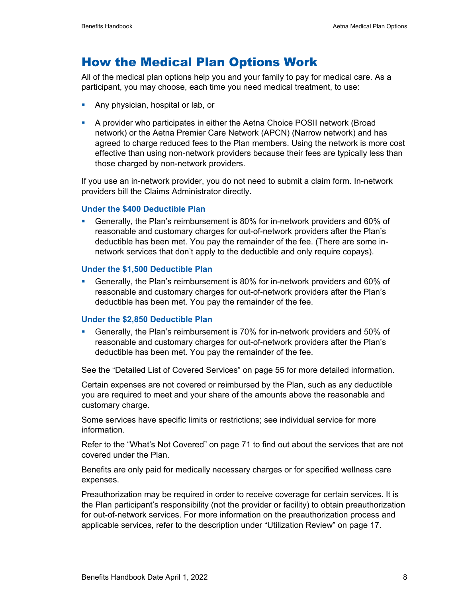### How the Medical Plan Options Work

All of the medical plan options help you and your family to pay for medical care. As a participant, you may choose, each time you need medical treatment, to use:

- **Any physician, hospital or lab, or**
- A provider who participates in either the Aetna Choice POSII network (Broad network) or the Aetna Premier Care Network (APCN) (Narrow network) and has agreed to charge reduced fees to the Plan members. Using the network is more cost effective than using non-network providers because their fees are typically less than those charged by non-network providers.

If you use an in-network provider, you do not need to submit a claim form. In-network providers bill the Claims Administrator directly.

#### **Under the \$400 Deductible Plan**

 Generally, the Plan's reimbursement is 80% for in-network providers and 60% of reasonable and customary charges for out-of-network providers after the Plan's deductible has been met. You pay the remainder of the fee. (There are some innetwork services that don't apply to the deductible and only require copays).

#### **Under the \$1,500 Deductible Plan**

 Generally, the Plan's reimbursement is 80% for in-network providers and 60% of reasonable and customary charges for out-of-network providers after the Plan's deductible has been met. You pay the remainder of the fee.

#### **Under the \$2,850 Deductible Plan**

 Generally, the Plan's reimbursement is 70% for in-network providers and 50% of reasonable and customary charges for out-of-network providers after the Plan's deductible has been met. You pay the remainder of the fee.

See the "Detailed List of Covered Services" on page 55 for more detailed information.

Certain expenses are not covered or reimbursed by the Plan, such as any deductible you are required to meet and your share of the amounts above the reasonable and customary charge.

Some services have specific limits or restrictions; see individual service for more information.

Refer to the "What's Not Covered" on page 71 to find out about the services that are not covered under the Plan.

Benefits are only paid for medically necessary charges or for specified wellness care expenses.

Preauthorization may be required in order to receive coverage for certain services. It is the Plan participant's responsibility (not the provider or facility) to obtain preauthorization for out-of-network services. For more information on the preauthorization process and applicable services, refer to the description under "Utilization Review" on page 17.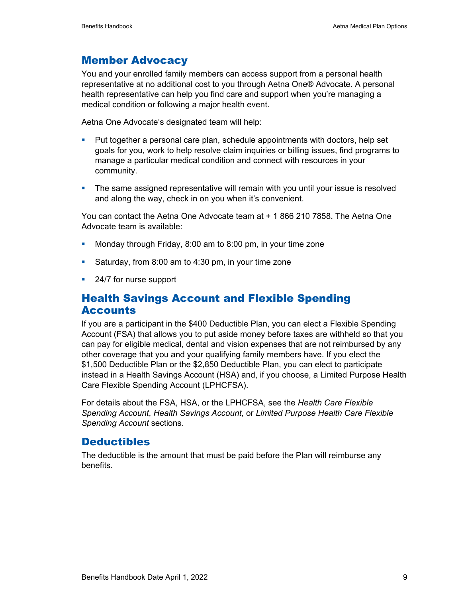### Member Advocacy

You and your enrolled family members can access support from a personal health representative at no additional cost to you through Aetna One® Advocate. A personal health representative can help you find care and support when you're managing a medical condition or following a major health event.

Aetna One Advocate's designated team will help:

- Put together a personal care plan, schedule appointments with doctors, help set goals for you, work to help resolve claim inquiries or billing issues, find programs to manage a particular medical condition and connect with resources in your community.
- **The same assigned representative will remain with you until your issue is resolved** and along the way, check in on you when it's convenient.

You can contact the Aetna One Advocate team at + 1 866 210 7858. The Aetna One Advocate team is available:

- **Monday through Friday, 8:00 am to 8:00 pm, in your time zone**
- Saturday, from 8:00 am to 4:30 pm, in your time zone
- 24/7 for nurse support

### Health Savings Account and Flexible Spending **Accounts**

If you are a participant in the \$400 Deductible Plan, you can elect a Flexible Spending Account (FSA) that allows you to put aside money before taxes are withheld so that you can pay for eligible medical, dental and vision expenses that are not reimbursed by any other coverage that you and your qualifying family members have. If you elect the \$1,500 Deductible Plan or the \$2,850 Deductible Plan, you can elect to participate instead in a Health Savings Account (HSA) and, if you choose, a Limited Purpose Health Care Flexible Spending Account (LPHCFSA).

For details about the FSA, HSA, or the LPHCFSA, see the *Health Care Flexible Spending Account*, *Health Savings Account*, or *Limited Purpose Health Care Flexible Spending Account* sections.

### **Deductibles**

The deductible is the amount that must be paid before the Plan will reimburse any benefits.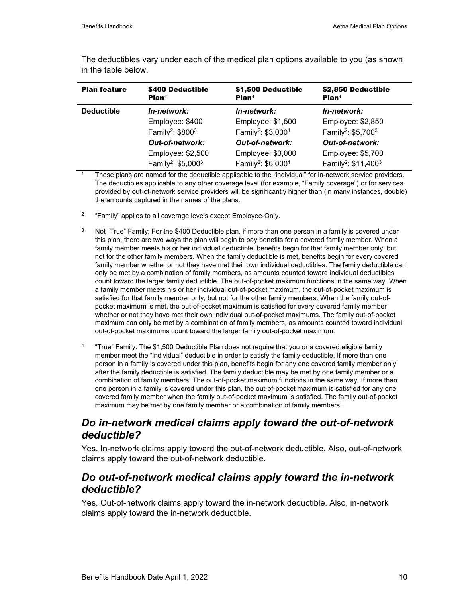| <b>Plan feature</b> | \$400 Deductible<br>Plan <sup>1</sup>      | \$1,500 Deductible<br>Plan <sup>1</sup>    | \$2,850 Deductible<br>Plan <sup>1</sup>     |
|---------------------|--------------------------------------------|--------------------------------------------|---------------------------------------------|
| <b>Deductible</b>   | In-network:                                | In-network:                                | In-network:                                 |
|                     | Employee: \$400                            | Employee: \$1,500                          | Employee: \$2,850                           |
|                     | Family <sup>2</sup> : $$800^3$             | Family <sup>2</sup> : \$3,000 <sup>4</sup> | Family <sup>2</sup> : \$5,700 <sup>3</sup>  |
|                     | <b>Out-of-network:</b>                     | <b>Out-of-network:</b>                     | <b>Out-of-network:</b>                      |
|                     | Employee: \$2,500                          | Employee: \$3,000                          | Employee: \$5,700                           |
|                     | Family <sup>2</sup> : \$5,000 <sup>3</sup> | Family <sup>2</sup> : \$6,000 <sup>4</sup> | Family <sup>2</sup> : \$11,400 <sup>3</sup> |

The deductibles vary under each of the medical plan options available to you (as shown in the table below.

These plans are named for the deductible applicable to the "individual" for in-network service providers. The deductibles applicable to any other coverage level (for example, "Family coverage") or for services provided by out-of-network service providers will be significantly higher than (in many instances, double) the amounts captured in the names of the plans.

- <sup>2</sup> "Family" applies to all coverage levels except Employee-Only.
- $3$  Not "True" Family: For the \$400 Deductible plan, if more than one person in a family is covered under this plan, there are two ways the plan will begin to pay benefits for a covered family member. When a family member meets his or her individual deductible, benefits begin for that family member only, but not for the other family members. When the family deductible is met, benefits begin for every covered family member whether or not they have met their own individual deductibles. The family deductible can only be met by a combination of family members, as amounts counted toward individual deductibles count toward the larger family deductible. The out-of-pocket maximum functions in the same way. When a family member meets his or her individual out-of-pocket maximum, the out-of-pocket maximum is satisfied for that family member only, but not for the other family members. When the family out-ofpocket maximum is met, the out-of-pocket maximum is satisfied for every covered family member whether or not they have met their own individual out-of-pocket maximums. The family out-of-pocket maximum can only be met by a combination of family members, as amounts counted toward individual out-of-pocket maximums count toward the larger family out-of-pocket maximum.
- 4 "True" Family: The \$1,500 Deductible Plan does not require that you or a covered eligible family member meet the "individual" deductible in order to satisfy the family deductible. If more than one person in a family is covered under this plan, benefits begin for any one covered family member only after the family deductible is satisfied. The family deductible may be met by one family member or a combination of family members. The out-of-pocket maximum functions in the same way. If more than one person in a family is covered under this plan, the out-of-pocket maximum is satisfied for any one covered family member when the family out-of-pocket maximum is satisfied. The family out-of-pocket maximum may be met by one family member or a combination of family members.

### *Do in-network medical claims apply toward the out-of-network deductible?*

Yes. In-network claims apply toward the out-of-network deductible. Also, out-of-network claims apply toward the out-of-network deductible.

### *Do out-of-network medical claims apply toward the in-network deductible?*

Yes. Out-of-network claims apply toward the in-network deductible. Also, in-network claims apply toward the in-network deductible.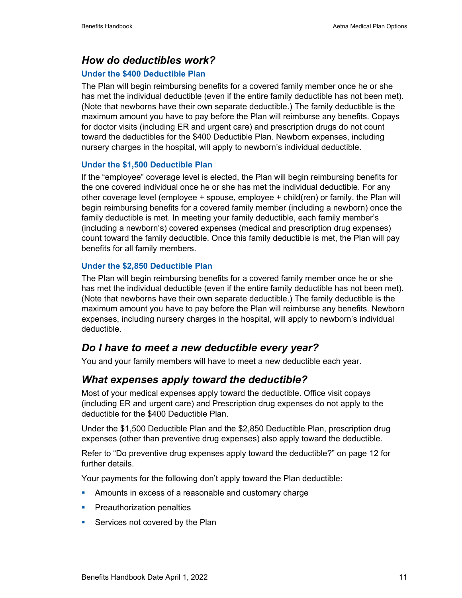### *How do deductibles work?*

#### **Under the \$400 Deductible Plan**

The Plan will begin reimbursing benefits for a covered family member once he or she has met the individual deductible (even if the entire family deductible has not been met). (Note that newborns have their own separate deductible.) The family deductible is the maximum amount you have to pay before the Plan will reimburse any benefits. Copays for doctor visits (including ER and urgent care) and prescription drugs do not count toward the deductibles for the \$400 Deductible Plan. Newborn expenses, including nursery charges in the hospital, will apply to newborn's individual deductible.

#### **Under the \$1,500 Deductible Plan**

If the "employee" coverage level is elected, the Plan will begin reimbursing benefits for the one covered individual once he or she has met the individual deductible. For any other coverage level (employee + spouse, employee + child(ren) or family, the Plan will begin reimbursing benefits for a covered family member (including a newborn) once the family deductible is met. In meeting your family deductible, each family member's (including a newborn's) covered expenses (medical and prescription drug expenses) count toward the family deductible. Once this family deductible is met, the Plan will pay benefits for all family members.

#### **Under the \$2,850 Deductible Plan**

The Plan will begin reimbursing benefits for a covered family member once he or she has met the individual deductible (even if the entire family deductible has not been met). (Note that newborns have their own separate deductible.) The family deductible is the maximum amount you have to pay before the Plan will reimburse any benefits. Newborn expenses, including nursery charges in the hospital, will apply to newborn's individual deductible.

### *Do I have to meet a new deductible every year?*

You and your family members will have to meet a new deductible each year.

### *What expenses apply toward the deductible?*

Most of your medical expenses apply toward the deductible. Office visit copays (including ER and urgent care) and Prescription drug expenses do not apply to the deductible for the \$400 Deductible Plan.

Under the \$1,500 Deductible Plan and the \$2,850 Deductible Plan, prescription drug expenses (other than preventive drug expenses) also apply toward the deductible.

Refer to "Do preventive drug expenses apply toward the deductible?" on page 12 for further details.

Your payments for the following don't apply toward the Plan deductible:

- **Amounts in excess of a reasonable and customary charge**
- **Preauthorization penalties**
- **Services not covered by the Plan**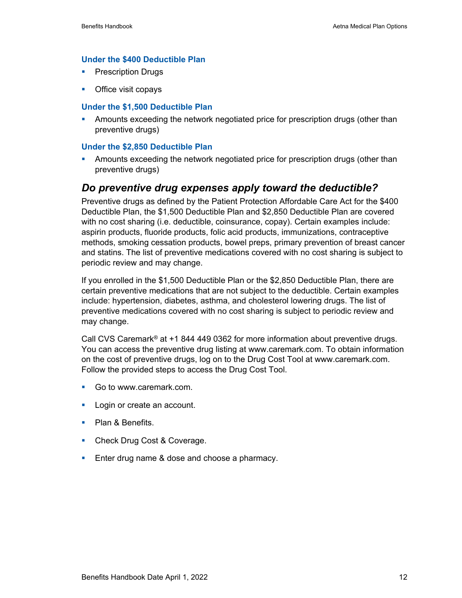#### **Under the \$400 Deductible Plan**

- **Prescription Drugs**
- Office visit copays

#### **Under the \$1,500 Deductible Plan**

 Amounts exceeding the network negotiated price for prescription drugs (other than preventive drugs)

#### **Under the \$2,850 Deductible Plan**

 Amounts exceeding the network negotiated price for prescription drugs (other than preventive drugs)

#### *Do preventive drug expenses apply toward the deductible?*

Preventive drugs as defined by the Patient Protection Affordable Care Act for the \$400 Deductible Plan, the \$1,500 Deductible Plan and \$2,850 Deductible Plan are covered with no cost sharing (i.e. deductible, coinsurance, copay). Certain examples include: aspirin products, fluoride products, folic acid products, immunizations, contraceptive methods, smoking cessation products, bowel preps, primary prevention of breast cancer and statins. The list of preventive medications covered with no cost sharing is subject to periodic review and may change.

If you enrolled in the \$1,500 Deductible Plan or the \$2,850 Deductible Plan, there are certain preventive medications that are not subject to the deductible. Certain examples include: hypertension, diabetes, asthma, and cholesterol lowering drugs. The list of preventive medications covered with no cost sharing is subject to periodic review and may change.

Call CVS Caremark<sup>®</sup> at  $+1$  844 449 0362 for more information about preventive drugs. You can access the preventive drug listing at www.caremark.com. To obtain information on the cost of preventive drugs, log on to the Drug Cost Tool at www.caremark.com. Follow the provided steps to access the Drug Cost Tool.

- Go to www.caremark.com.
- **Login or create an account.**
- Plan & Benefits.
- Check Drug Cost & Coverage.
- **Enter drug name & dose and choose a pharmacy.**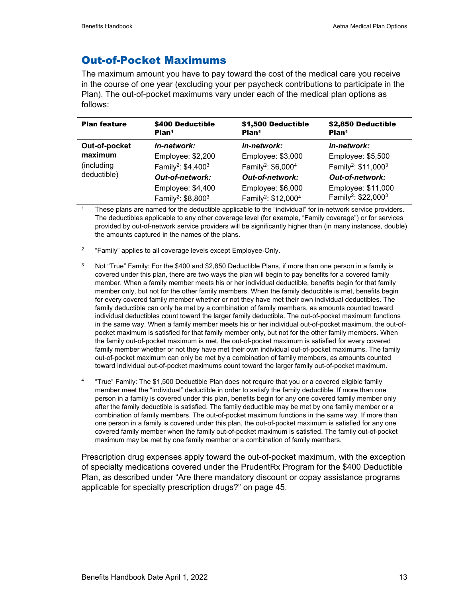### Out-of-Pocket Maximums

The maximum amount you have to pay toward the cost of the medical care you receive in the course of one year (excluding your per paycheck contributions to participate in the Plan). The out-of-pocket maximums vary under each of the medical plan options as follows:

| <b>Plan feature</b> | \$400 Deductible<br>Plan <sup>1</sup>                           | \$1,500 Deductible<br>Plan <sup>1</sup>                          | \$2,850 Deductible<br>Plan <sup>1</sup>                           |
|---------------------|-----------------------------------------------------------------|------------------------------------------------------------------|-------------------------------------------------------------------|
| Out-of-pocket       | In-network:                                                     | In-network:                                                      | In-network:                                                       |
| maximum             | Employee: \$2,200                                               | Employee: \$3,000                                                | Employee: \$5,500                                                 |
| (including          | Family <sup>2</sup> : \$4,400 <sup>3</sup>                      | Family <sup>2</sup> : \$6,000 <sup>4</sup>                       | Family <sup>2</sup> : \$11,000 <sup>3</sup>                       |
| deductible)         | <b>Out-of-network:</b>                                          | <b>Out-of-network:</b>                                           | <b>Out-of-network:</b>                                            |
|                     | Employee: \$4,400<br>Family <sup>2</sup> : \$8,800 <sup>3</sup> | Employee: \$6,000<br>Family <sup>2</sup> : \$12,000 <sup>4</sup> | Employee: \$11,000<br>Family <sup>2</sup> : \$22,000 <sup>3</sup> |

These plans are named for the deductible applicable to the "individual" for in-network service providers. The deductibles applicable to any other coverage level (for example, "Family coverage") or for services provided by out-of-network service providers will be significantly higher than (in many instances, double) the amounts captured in the names of the plans.

- <sup>2</sup> "Family" applies to all coverage levels except Employee-Only.
- $3$  Not "True" Family: For the \$400 and \$2,850 Deductible Plans, if more than one person in a family is covered under this plan, there are two ways the plan will begin to pay benefits for a covered family member. When a family member meets his or her individual deductible, benefits begin for that family member only, but not for the other family members. When the family deductible is met, benefits begin for every covered family member whether or not they have met their own individual deductibles. The family deductible can only be met by a combination of family members, as amounts counted toward individual deductibles count toward the larger family deductible. The out-of-pocket maximum functions in the same way. When a family member meets his or her individual out-of-pocket maximum, the out-ofpocket maximum is satisfied for that family member only, but not for the other family members. When the family out-of-pocket maximum is met, the out-of-pocket maximum is satisfied for every covered family member whether or not they have met their own individual out-of-pocket maximums. The family out-of-pocket maximum can only be met by a combination of family members, as amounts counted toward individual out-of-pocket maximums count toward the larger family out-of-pocket maximum.
- <sup>4</sup> "True" Family: The \$1,500 Deductible Plan does not require that you or a covered eligible family member meet the "individual" deductible in order to satisfy the family deductible. If more than one person in a family is covered under this plan, benefits begin for any one covered family member only after the family deductible is satisfied. The family deductible may be met by one family member or a combination of family members. The out-of-pocket maximum functions in the same way. If more than one person in a family is covered under this plan, the out-of-pocket maximum is satisfied for any one covered family member when the family out-of-pocket maximum is satisfied. The family out-of-pocket maximum may be met by one family member or a combination of family members.

Prescription drug expenses apply toward the out-of-pocket maximum, with the exception of specialty medications covered under the PrudentRx Program for the \$400 Deductible Plan, as described under "Are there mandatory discount or copay assistance programs applicable for specialty prescription drugs?" on page 45.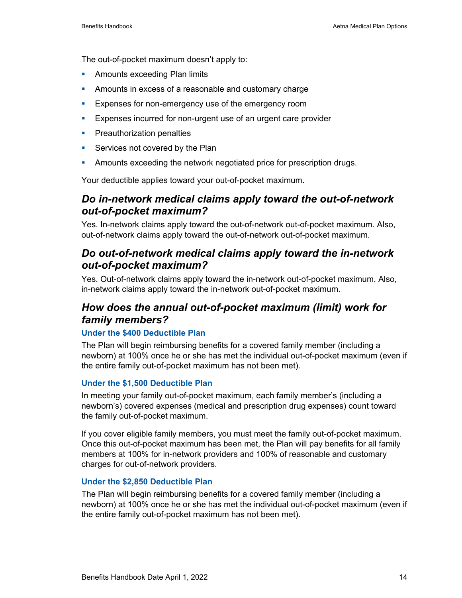The out-of-pocket maximum doesn't apply to:

- **Amounts exceeding Plan limits**
- Amounts in excess of a reasonable and customary charge
- **Expenses for non-emergency use of the emergency room**
- **EXPENSES** incurred for non-urgent use of an urgent care provider
- **Preauthorization penalties**
- **Services not covered by the Plan**
- **Amounts exceeding the network negotiated price for prescription drugs.**

Your deductible applies toward your out-of-pocket maximum.

### *Do in-network medical claims apply toward the out-of-network out-of-pocket maximum?*

Yes. In-network claims apply toward the out-of-network out-of-pocket maximum. Also, out-of-network claims apply toward the out-of-network out-of-pocket maximum.

### *Do out-of-network medical claims apply toward the in-network out-of-pocket maximum?*

Yes. Out-of-network claims apply toward the in-network out-of-pocket maximum. Also, in-network claims apply toward the in-network out-of-pocket maximum.

### *How does the annual out-of-pocket maximum (limit) work for family members?*

#### **Under the \$400 Deductible Plan**

The Plan will begin reimbursing benefits for a covered family member (including a newborn) at 100% once he or she has met the individual out-of-pocket maximum (even if the entire family out-of-pocket maximum has not been met).

#### **Under the \$1,500 Deductible Plan**

In meeting your family out-of-pocket maximum, each family member's (including a newborn's) covered expenses (medical and prescription drug expenses) count toward the family out-of-pocket maximum.

If you cover eligible family members, you must meet the family out-of-pocket maximum. Once this out-of-pocket maximum has been met, the Plan will pay benefits for all family members at 100% for in-network providers and 100% of reasonable and customary charges for out-of-network providers.

#### **Under the \$2,850 Deductible Plan**

The Plan will begin reimbursing benefits for a covered family member (including a newborn) at 100% once he or she has met the individual out-of-pocket maximum (even if the entire family out-of-pocket maximum has not been met).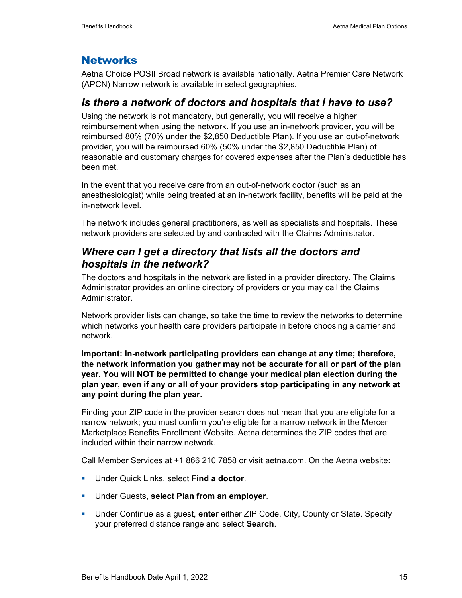### **Networks**

Aetna Choice POSII Broad network is available nationally. Aetna Premier Care Network (APCN) Narrow network is available in select geographies.

### *Is there a network of doctors and hospitals that I have to use?*

Using the network is not mandatory, but generally, you will receive a higher reimbursement when using the network. If you use an in-network provider, you will be reimbursed 80% (70% under the \$2,850 Deductible Plan). If you use an out-of-network provider, you will be reimbursed 60% (50% under the \$2,850 Deductible Plan) of reasonable and customary charges for covered expenses after the Plan's deductible has been met.

In the event that you receive care from an out-of-network doctor (such as an anesthesiologist) while being treated at an in-network facility, benefits will be paid at the in-network level.

The network includes general practitioners, as well as specialists and hospitals. These network providers are selected by and contracted with the Claims Administrator.

### *Where can I get a directory that lists all the doctors and hospitals in the network?*

The doctors and hospitals in the network are listed in a provider directory. The Claims Administrator provides an online directory of providers or you may call the Claims Administrator.

Network provider lists can change, so take the time to review the networks to determine which networks your health care providers participate in before choosing a carrier and network.

**Important: In-network participating providers can change at any time; therefore, the network information you gather may not be accurate for all or part of the plan year. You will NOT be permitted to change your medical plan election during the plan year, even if any or all of your providers stop participating in any network at any point during the plan year.**

Finding your ZIP code in the provider search does not mean that you are eligible for a narrow network; you must confirm you're eligible for a narrow network in the Mercer Marketplace Benefits Enrollment Website. Aetna determines the ZIP codes that are included within their narrow network.

Call Member Services at +1 866 210 7858 or visit aetna.com. On the Aetna website:

- Under Quick Links, select **Find a doctor**.
- Under Guests, **select Plan from an employer**.
- Under Continue as a guest, **enter** either ZIP Code, City, County or State. Specify your preferred distance range and select **Search**.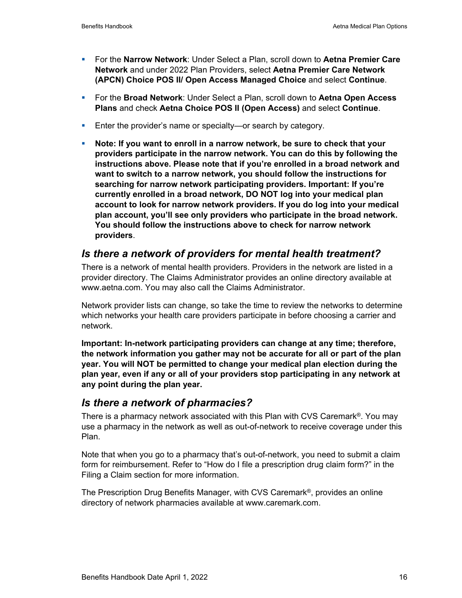- For the **Narrow Network**: Under Select a Plan, scroll down to **Aetna Premier Care Network** and under 2022 Plan Providers, select **Aetna Premier Care Network (APCN) Choice POS II/ Open Access Managed Choice** and select **Continue**.
- For the **Broad Network**: Under Select a Plan, scroll down to **Aetna Open Access Plans** and check **Aetna Choice POS II (Open Access)** and select **Continue**.
- **Enter the provider's name or specialty—or search by category.**
- **Note: If you want to enroll in a narrow network, be sure to check that your providers participate in the narrow network. You can do this by following the instructions above. Please note that if you're enrolled in a broad network and want to switch to a narrow network, you should follow the instructions for searching for narrow network participating providers. Important: If you're currently enrolled in a broad network, DO NOT log into your medical plan account to look for narrow network providers. If you do log into your medical plan account, you'll see only providers who participate in the broad network. You should follow the instructions above to check for narrow network providers**.

### *Is there a network of providers for mental health treatment?*

There is a network of mental health providers. Providers in the network are listed in a provider directory. The Claims Administrator provides an online directory available at www.aetna.com. You may also call the Claims Administrator.

Network provider lists can change, so take the time to review the networks to determine which networks your health care providers participate in before choosing a carrier and network.

**Important: In-network participating providers can change at any time; therefore, the network information you gather may not be accurate for all or part of the plan year. You will NOT be permitted to change your medical plan election during the plan year, even if any or all of your providers stop participating in any network at any point during the plan year.**

### *Is there a network of pharmacies?*

There is a pharmacy network associated with this Plan with CVS Caremark®. You may use a pharmacy in the network as well as out-of-network to receive coverage under this Plan.

Note that when you go to a pharmacy that's out-of-network, you need to submit a claim form for reimbursement. Refer to "How do I file a prescription drug claim form?" in the Filing a Claim section for more information.

The Prescription Drug Benefits Manager, with CVS Caremark®, provides an online directory of network pharmacies available at www.caremark.com.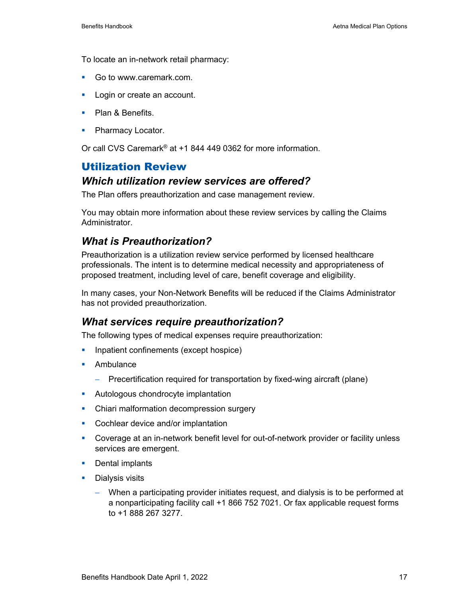To locate an in-network retail pharmacy:

- Go to www.caremark.com.
- **Login or create an account.**
- **Plan & Benefits.**
- Pharmacy Locator.

Or call CVS Caremark® at +1 844 449 0362 for more information.

### Utilization Review

#### *Which utilization review services are offered?*

The Plan offers preauthorization and case management review.

You may obtain more information about these review services by calling the Claims **Administrator** 

### *What is Preauthorization?*

Preauthorization is a utilization review service performed by licensed healthcare professionals. The intent is to determine medical necessity and appropriateness of proposed treatment, including level of care, benefit coverage and eligibility.

In many cases, your Non-Network Benefits will be reduced if the Claims Administrator has not provided preauthorization.

#### *What services require preauthorization?*

The following types of medical expenses require preauthorization:

- **Inpatient confinements (except hospice)**
- **Ambulance** 
	- − Precertification required for transportation by fixed-wing aircraft (plane)
- **Autologous chondrocyte implantation**
- Chiari malformation decompression surgery
- **Cochlear device and/or implantation**
- Coverage at an in-network benefit level for out-of-network provider or facility unless services are emergent.
- **Dental implants**
- **Dialysis visits** 
	- − When a participating provider initiates request, and dialysis is to be performed at a nonparticipating facility call +1 866 752 7021. Or fax applicable request forms to +1 888 267 3277.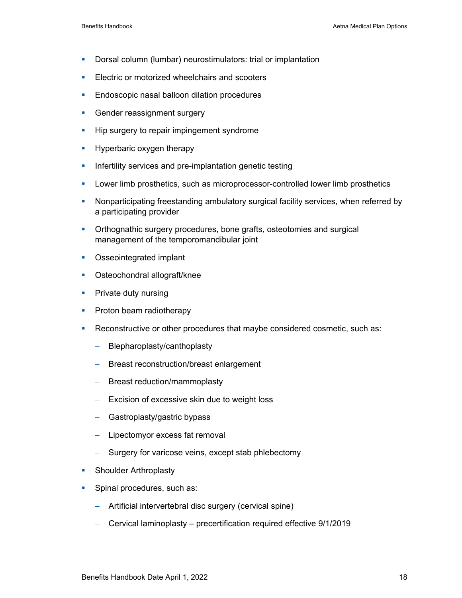- **Dorsal column (lumbar) neurostimulators: trial or implantation**
- **Electric or motorized wheelchairs and scooters**
- **Endoscopic nasal balloon dilation procedures**
- **Gender reassignment surgery**
- **Hip surgery to repair impingement syndrome**
- **Hyperbaric oxygen therapy**
- **Infertility services and pre-implantation genetic testing**
- **Lower limb prosthetics, such as microprocessor-controlled lower limb prosthetics**
- **Nonparticipating freestanding ambulatory surgical facility services, when referred by** a participating provider
- **•** Orthognathic surgery procedures, bone grafts, osteotomies and surgical management of the temporomandibular joint
- **Osseointegrated implant**
- **•** Osteochondral allograft/knee
- **Private duty nursing**
- **Proton beam radiotherapy**
- Reconstructive or other procedures that maybe considered cosmetic, such as:
	- − Blepharoplasty/canthoplasty
	- − Breast reconstruction/breast enlargement
	- − Breast reduction/mammoplasty
	- − Excision of excessive skin due to weight loss
	- − Gastroplasty/gastric bypass
	- − Lipectomyor excess fat removal
	- − Surgery for varicose veins, except stab phlebectomy
- **Shoulder Arthroplasty**
- **Spinal procedures, such as:** 
	- − Artificial intervertebral disc surgery (cervical spine)
	- − Cervical laminoplasty precertification required effective 9/1/2019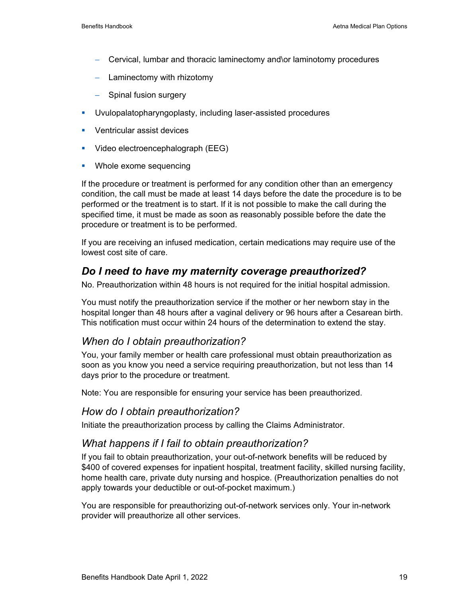- − Cervical, lumbar and thoracic laminectomy and\or laminotomy procedures
- − Laminectomy with rhizotomy
- − Spinal fusion surgery
- Uvulopalatopharyngoplasty, including laser-assisted procedures
- **•** Ventricular assist devices
- **Video electroencephalograph (EEG)**
- **Whole exome sequencing**

If the procedure or treatment is performed for any condition other than an emergency condition, the call must be made at least 14 days before the date the procedure is to be performed or the treatment is to start. If it is not possible to make the call during the specified time, it must be made as soon as reasonably possible before the date the procedure or treatment is to be performed.

If you are receiving an infused medication, certain medications may require use of the lowest cost site of care.

### *Do I need to have my maternity coverage preauthorized?*

No. Preauthorization within 48 hours is not required for the initial hospital admission.

You must notify the preauthorization service if the mother or her newborn stay in the hospital longer than 48 hours after a vaginal delivery or 96 hours after a Cesarean birth. This notification must occur within 24 hours of the determination to extend the stay.

### *When do I obtain preauthorization?*

You, your family member or health care professional must obtain preauthorization as soon as you know you need a service requiring preauthorization, but not less than 14 days prior to the procedure or treatment.

Note: You are responsible for ensuring your service has been preauthorized.

### *How do I obtain preauthorization?*

Initiate the preauthorization process by calling the Claims Administrator.

### *What happens if I fail to obtain preauthorization?*

If you fail to obtain preauthorization, your out-of-network benefits will be reduced by \$400 of covered expenses for inpatient hospital, treatment facility, skilled nursing facility, home health care, private duty nursing and hospice. (Preauthorization penalties do not apply towards your deductible or out-of-pocket maximum.)

You are responsible for preauthorizing out-of-network services only. Your in-network provider will preauthorize all other services.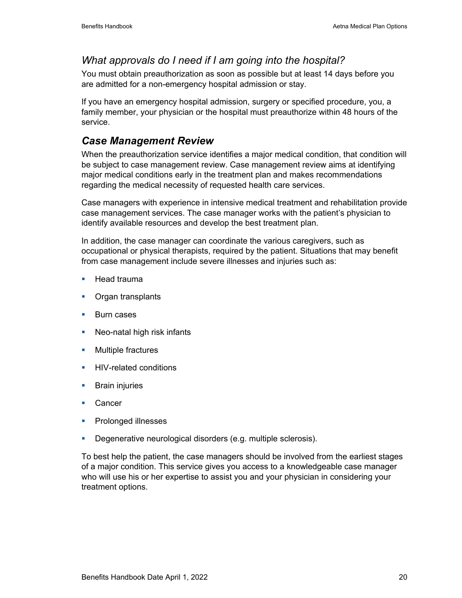### *What approvals do I need if I am going into the hospital?*

You must obtain preauthorization as soon as possible but at least 14 days before you are admitted for a non-emergency hospital admission or stay.

If you have an emergency hospital admission, surgery or specified procedure, you, a family member, your physician or the hospital must preauthorize within 48 hours of the service.

### *Case Management Review*

When the preauthorization service identifies a major medical condition, that condition will be subject to case management review. Case management review aims at identifying major medical conditions early in the treatment plan and makes recommendations regarding the medical necessity of requested health care services.

Case managers with experience in intensive medical treatment and rehabilitation provide case management services. The case manager works with the patient's physician to identify available resources and develop the best treatment plan.

In addition, the case manager can coordinate the various caregivers, such as occupational or physical therapists, required by the patient. Situations that may benefit from case management include severe illnesses and injuries such as:

- $\blacksquare$  Head trauma
- Organ transplants
- **Burn cases**
- **Neo-natal high risk infants**
- **Multiple fractures**
- **HIV-related conditions**
- **Brain injuries**
- **Cancer**
- **Prolonged illnesses**
- **Degenerative neurological disorders (e.g. multiple sclerosis).**

To best help the patient, the case managers should be involved from the earliest stages of a major condition. This service gives you access to a knowledgeable case manager who will use his or her expertise to assist you and your physician in considering your treatment options.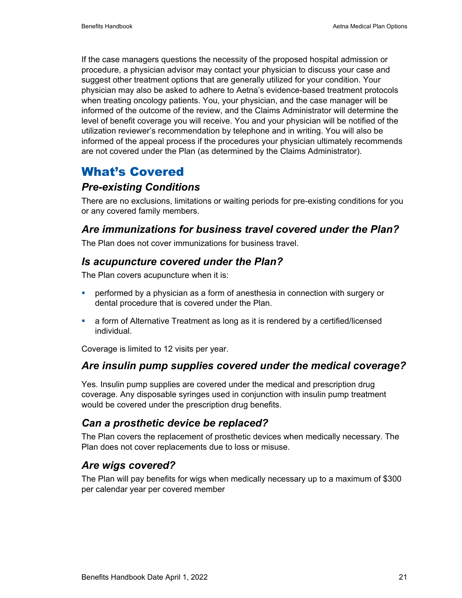If the case managers questions the necessity of the proposed hospital admission or procedure, a physician advisor may contact your physician to discuss your case and suggest other treatment options that are generally utilized for your condition. Your physician may also be asked to adhere to Aetna's evidence-based treatment protocols when treating oncology patients. You, your physician, and the case manager will be informed of the outcome of the review, and the Claims Administrator will determine the level of benefit coverage you will receive. You and your physician will be notified of the utilization reviewer's recommendation by telephone and in writing. You will also be informed of the appeal process if the procedures your physician ultimately recommends are not covered under the Plan (as determined by the Claims Administrator).

### What's Covered

### *Pre-existing Conditions*

There are no exclusions, limitations or waiting periods for pre-existing conditions for you or any covered family members.

### *Are immunizations for business travel covered under the Plan?*

The Plan does not cover immunizations for business travel.

### *Is acupuncture covered under the Plan?*

The Plan covers acupuncture when it is:

- performed by a physician as a form of anesthesia in connection with surgery or dental procedure that is covered under the Plan.
- a form of Alternative Treatment as long as it is rendered by a certified/licensed individual.

Coverage is limited to 12 visits per year.

### *Are insulin pump supplies covered under the medical coverage?*

Yes. Insulin pump supplies are covered under the medical and prescription drug coverage. Any disposable syringes used in conjunction with insulin pump treatment would be covered under the prescription drug benefits.

### *Can a prosthetic device be replaced?*

The Plan covers the replacement of prosthetic devices when medically necessary. The Plan does not cover replacements due to loss or misuse.

### *Are wigs covered?*

The Plan will pay benefits for wigs when medically necessary up to a maximum of \$300 per calendar year per covered member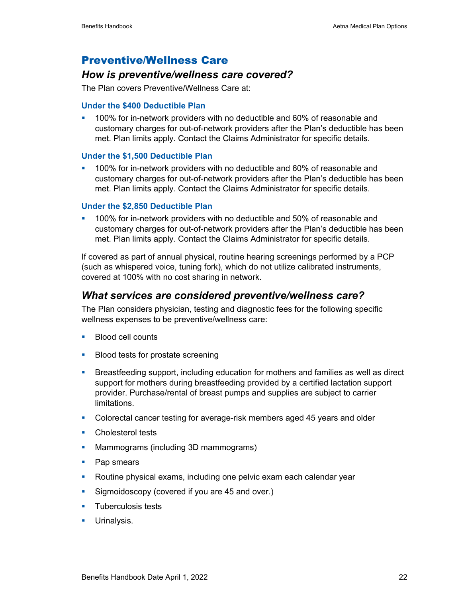### Preventive/Wellness Care

### *How is preventive/wellness care covered?*

The Plan covers Preventive/Wellness Care at:

#### **Under the \$400 Deductible Plan**

 100% for in-network providers with no deductible and 60% of reasonable and customary charges for out-of-network providers after the Plan's deductible has been met. Plan limits apply. Contact the Claims Administrator for specific details.

#### **Under the \$1,500 Deductible Plan**

 100% for in-network providers with no deductible and 60% of reasonable and customary charges for out-of-network providers after the Plan's deductible has been met. Plan limits apply. Contact the Claims Administrator for specific details.

#### **Under the \$2,850 Deductible Plan**

 100% for in-network providers with no deductible and 50% of reasonable and customary charges for out-of-network providers after the Plan's deductible has been met. Plan limits apply. Contact the Claims Administrator for specific details.

If covered as part of annual physical, routine hearing screenings performed by a PCP (such as whispered voice, tuning fork), which do not utilize calibrated instruments, covered at 100% with no cost sharing in network.

### *What services are considered preventive/wellness care?*

The Plan considers physician, testing and diagnostic fees for the following specific wellness expenses to be preventive/wellness care:

- **Blood cell counts**
- **Blood tests for prostate screening**
- Breastfeeding support, including education for mothers and families as well as direct support for mothers during breastfeeding provided by a certified lactation support provider. Purchase/rental of breast pumps and supplies are subject to carrier limitations.
- Colorectal cancer testing for average-risk members aged 45 years and older
- **Cholesterol tests**
- **Mammograms (including 3D mammograms)**
- Pap smears
- **Routine physical exams, including one pelvic exam each calendar year**
- **Sigmoidoscopy (covered if you are 45 and over.)**
- **Tuberculosis tests**
- **Urinalysis.**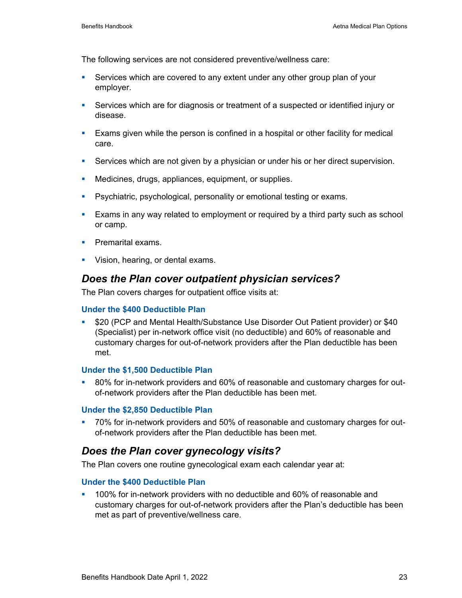The following services are not considered preventive/wellness care:

- Services which are covered to any extent under any other group plan of your employer.
- Services which are for diagnosis or treatment of a suspected or identified injury or disease.
- Exams given while the person is confined in a hospital or other facility for medical care.
- **Services which are not given by a physician or under his or her direct supervision.**
- **Medicines, drugs, appliances, equipment, or supplies.**
- **Psychiatric, psychological, personality or emotional testing or exams.**
- Exams in any way related to employment or required by a third party such as school or camp.
- **Premarital exams.**
- **Vision, hearing, or dental exams.**

### *Does the Plan cover outpatient physician services?*

The Plan covers charges for outpatient office visits at:

#### **Under the \$400 Deductible Plan**

 \$20 (PCP and Mental Health/Substance Use Disorder Out Patient provider) or \$40 (Specialist) per in-network office visit (no deductible) and 60% of reasonable and customary charges for out-of-network providers after the Plan deductible has been met.

#### **Under the \$1,500 Deductible Plan**

<sup>80%</sup> for in-network providers and 60% of reasonable and customary charges for outof-network providers after the Plan deductible has been met.

#### **Under the \$2,850 Deductible Plan**

 70% for in-network providers and 50% of reasonable and customary charges for outof-network providers after the Plan deductible has been met.

### *Does the Plan cover gynecology visits?*

The Plan covers one routine gynecological exam each calendar year at:

#### **Under the \$400 Deductible Plan**

 100% for in-network providers with no deductible and 60% of reasonable and customary charges for out-of-network providers after the Plan's deductible has been met as part of preventive/wellness care.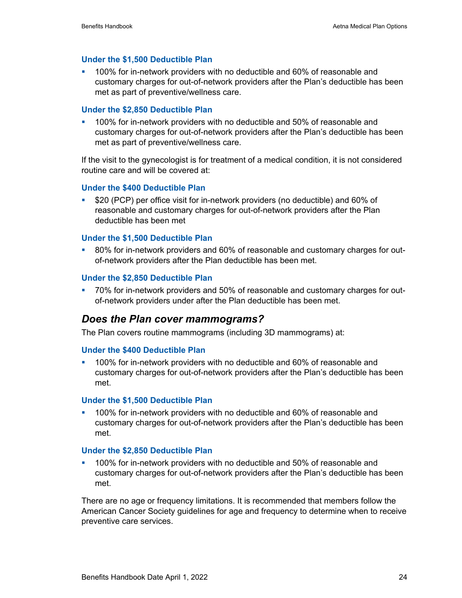#### **Under the \$1,500 Deductible Plan**

 100% for in-network providers with no deductible and 60% of reasonable and customary charges for out-of-network providers after the Plan's deductible has been met as part of preventive/wellness care.

#### **Under the \$2,850 Deductible Plan**

 100% for in-network providers with no deductible and 50% of reasonable and customary charges for out-of-network providers after the Plan's deductible has been met as part of preventive/wellness care.

If the visit to the gynecologist is for treatment of a medical condition, it is not considered routine care and will be covered at:

#### **Under the \$400 Deductible Plan**

 \$20 (PCP) per office visit for in-network providers (no deductible) and 60% of reasonable and customary charges for out-of-network providers after the Plan deductible has been met

#### **Under the \$1,500 Deductible Plan**

 80% for in-network providers and 60% of reasonable and customary charges for outof-network providers after the Plan deductible has been met.

#### **Under the \$2,850 Deductible Plan**

 70% for in-network providers and 50% of reasonable and customary charges for outof-network providers under after the Plan deductible has been met.

#### *Does the Plan cover mammograms?*

The Plan covers routine mammograms (including 3D mammograms) at:

#### **Under the \$400 Deductible Plan**

 100% for in-network providers with no deductible and 60% of reasonable and customary charges for out-of-network providers after the Plan's deductible has been met.

#### **Under the \$1,500 Deductible Plan**

 100% for in-network providers with no deductible and 60% of reasonable and customary charges for out-of-network providers after the Plan's deductible has been met.

#### **Under the \$2,850 Deductible Plan**

 100% for in-network providers with no deductible and 50% of reasonable and customary charges for out-of-network providers after the Plan's deductible has been met.

There are no age or frequency limitations. It is recommended that members follow the American Cancer Society guidelines for age and frequency to determine when to receive preventive care services.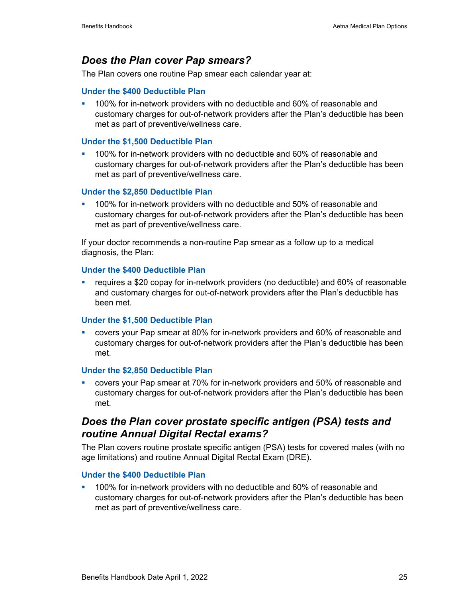### *Does the Plan cover Pap smears?*

The Plan covers one routine Pap smear each calendar year at:

#### **Under the \$400 Deductible Plan**

 100% for in-network providers with no deductible and 60% of reasonable and customary charges for out-of-network providers after the Plan's deductible has been met as part of preventive/wellness care.

#### **Under the \$1,500 Deductible Plan**

 100% for in-network providers with no deductible and 60% of reasonable and customary charges for out-of-network providers after the Plan's deductible has been met as part of preventive/wellness care.

#### **Under the \$2,850 Deductible Plan**

 100% for in-network providers with no deductible and 50% of reasonable and customary charges for out-of-network providers after the Plan's deductible has been met as part of preventive/wellness care.

If your doctor recommends a non-routine Pap smear as a follow up to a medical diagnosis, the Plan:

#### **Under the \$400 Deductible Plan**

 requires a \$20 copay for in-network providers (no deductible) and 60% of reasonable and customary charges for out-of-network providers after the Plan's deductible has been met.

#### **Under the \$1,500 Deductible Plan**

 covers your Pap smear at 80% for in-network providers and 60% of reasonable and customary charges for out-of-network providers after the Plan's deductible has been met.

#### **Under the \$2,850 Deductible Plan**

 covers your Pap smear at 70% for in-network providers and 50% of reasonable and customary charges for out-of-network providers after the Plan's deductible has been met.

### *Does the Plan cover prostate specific antigen (PSA) tests and routine Annual Digital Rectal exams?*

The Plan covers routine prostate specific antigen (PSA) tests for covered males (with no age limitations) and routine Annual Digital Rectal Exam (DRE).

#### **Under the \$400 Deductible Plan**

 100% for in-network providers with no deductible and 60% of reasonable and customary charges for out-of-network providers after the Plan's deductible has been met as part of preventive/wellness care.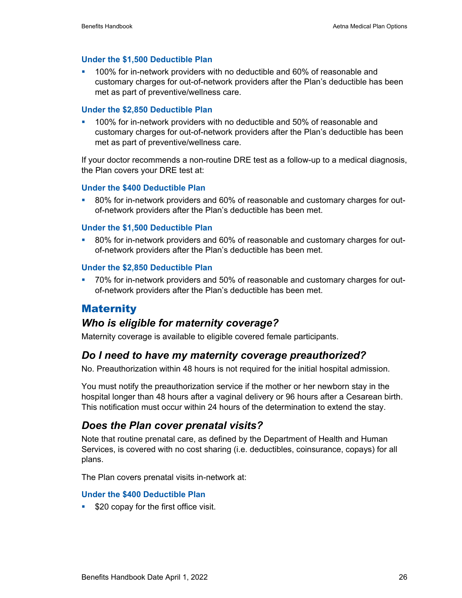#### **Under the \$1,500 Deductible Plan**

 100% for in-network providers with no deductible and 60% of reasonable and customary charges for out-of-network providers after the Plan's deductible has been met as part of preventive/wellness care.

#### **Under the \$2,850 Deductible Plan**

 100% for in-network providers with no deductible and 50% of reasonable and customary charges for out-of-network providers after the Plan's deductible has been met as part of preventive/wellness care.

If your doctor recommends a non-routine DRE test as a follow-up to a medical diagnosis, the Plan covers your DRE test at:

#### **Under the \$400 Deductible Plan**

 80% for in-network providers and 60% of reasonable and customary charges for outof-network providers after the Plan's deductible has been met.

#### **Under the \$1,500 Deductible Plan**

 80% for in-network providers and 60% of reasonable and customary charges for outof-network providers after the Plan's deductible has been met.

#### **Under the \$2,850 Deductible Plan**

 70% for in-network providers and 50% of reasonable and customary charges for outof-network providers after the Plan's deductible has been met.

### **Maternity**

### *Who is eligible for maternity coverage?*

Maternity coverage is available to eligible covered female participants.

### *Do I need to have my maternity coverage preauthorized?*

No. Preauthorization within 48 hours is not required for the initial hospital admission.

You must notify the preauthorization service if the mother or her newborn stay in the hospital longer than 48 hours after a vaginal delivery or 96 hours after a Cesarean birth. This notification must occur within 24 hours of the determination to extend the stay.

### *Does the Plan cover prenatal visits?*

Note that routine prenatal care, as defined by the Department of Health and Human Services, is covered with no cost sharing (i.e. deductibles, coinsurance, copays) for all plans.

The Plan covers prenatal visits in-network at:

#### **Under the \$400 Deductible Plan**

**520 copay for the first office visit.**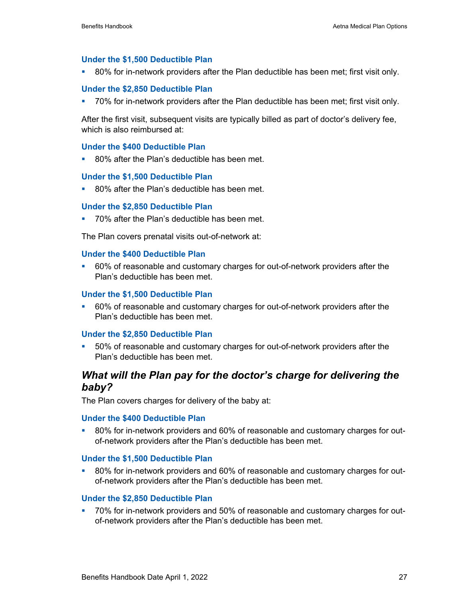#### **Under the \$1,500 Deductible Plan**

80% for in-network providers after the Plan deductible has been met; first visit only.

#### **Under the \$2,850 Deductible Plan**

70% for in-network providers after the Plan deductible has been met; first visit only.

After the first visit, subsequent visits are typically billed as part of doctor's delivery fee, which is also reimbursed at:

#### **Under the \$400 Deductible Plan**

■ 80% after the Plan's deductible has been met.

#### **Under the \$1,500 Deductible Plan**

80% after the Plan's deductible has been met.

#### **Under the \$2,850 Deductible Plan**

70% after the Plan's deductible has been met.

The Plan covers prenatal visits out-of-network at:

#### **Under the \$400 Deductible Plan**

 60% of reasonable and customary charges for out-of-network providers after the Plan's deductible has been met.

#### **Under the \$1,500 Deductible Plan**

 60% of reasonable and customary charges for out-of-network providers after the Plan's deductible has been met.

#### **Under the \$2,850 Deductible Plan**

 50% of reasonable and customary charges for out-of-network providers after the Plan's deductible has been met.

### *What will the Plan pay for the doctor's charge for delivering the baby?*

The Plan covers charges for delivery of the baby at:

#### **Under the \$400 Deductible Plan**

 80% for in-network providers and 60% of reasonable and customary charges for outof-network providers after the Plan's deductible has been met.

#### **Under the \$1,500 Deductible Plan**

 80% for in-network providers and 60% of reasonable and customary charges for outof-network providers after the Plan's deductible has been met.

#### **Under the \$2,850 Deductible Plan**

<sup>2</sup> 70% for in-network providers and 50% of reasonable and customary charges for outof-network providers after the Plan's deductible has been met.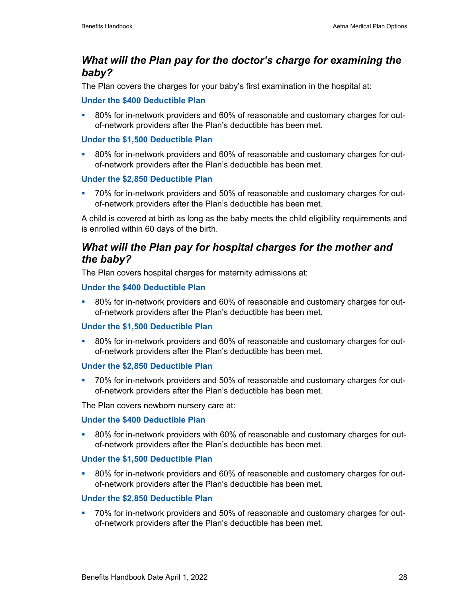### *What will the Plan pay for the doctor's charge for examining the baby?*

The Plan covers the charges for your baby's first examination in the hospital at:

#### **Under the \$400 Deductible Plan**

 80% for in-network providers and 60% of reasonable and customary charges for outof-network providers after the Plan's deductible has been met.

#### **Under the \$1,500 Deductible Plan**

 80% for in-network providers and 60% of reasonable and customary charges for outof-network providers after the Plan's deductible has been met.

#### **Under the \$2,850 Deductible Plan**

 70% for in-network providers and 50% of reasonable and customary charges for outof-network providers after the Plan's deductible has been met.

A child is covered at birth as long as the baby meets the child eligibility requirements and is enrolled within 60 days of the birth.

### *What will the Plan pay for hospital charges for the mother and the baby?*

The Plan covers hospital charges for maternity admissions at:

#### **Under the \$400 Deductible Plan**

 80% for in-network providers and 60% of reasonable and customary charges for outof-network providers after the Plan's deductible has been met.

#### **Under the \$1,500 Deductible Plan**

 80% for in-network providers and 60% of reasonable and customary charges for outof-network providers after the Plan's deductible has been met.

#### **Under the \$2,850 Deductible Plan**

 70% for in-network providers and 50% of reasonable and customary charges for outof-network providers after the Plan's deductible has been met.

The Plan covers newborn nursery care at:

#### **Under the \$400 Deductible Plan**

 80% for in-network providers with 60% of reasonable and customary charges for outof-network providers after the Plan's deductible has been met.

#### **Under the \$1,500 Deductible Plan**

 80% for in-network providers and 60% of reasonable and customary charges for outof-network providers after the Plan's deductible has been met.

#### **Under the \$2,850 Deductible Plan**

 70% for in-network providers and 50% of reasonable and customary charges for outof-network providers after the Plan's deductible has been met.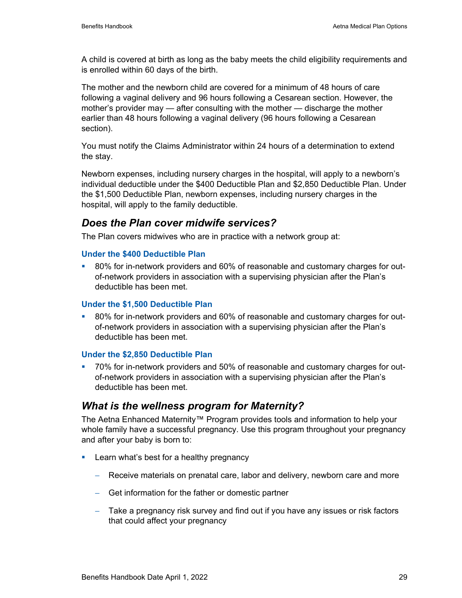A child is covered at birth as long as the baby meets the child eligibility requirements and is enrolled within 60 days of the birth.

The mother and the newborn child are covered for a minimum of 48 hours of care following a vaginal delivery and 96 hours following a Cesarean section. However, the mother's provider may — after consulting with the mother — discharge the mother earlier than 48 hours following a vaginal delivery (96 hours following a Cesarean section).

You must notify the Claims Administrator within 24 hours of a determination to extend the stay.

Newborn expenses, including nursery charges in the hospital, will apply to a newborn's individual deductible under the \$400 Deductible Plan and \$2,850 Deductible Plan. Under the \$1,500 Deductible Plan, newborn expenses, including nursery charges in the hospital, will apply to the family deductible.

### *Does the Plan cover midwife services?*

The Plan covers midwives who are in practice with a network group at:

#### **Under the \$400 Deductible Plan**

 80% for in-network providers and 60% of reasonable and customary charges for outof-network providers in association with a supervising physician after the Plan's deductible has been met.

#### **Under the \$1,500 Deductible Plan**

<sup>80%</sup> for in-network providers and 60% of reasonable and customary charges for outof-network providers in association with a supervising physician after the Plan's deductible has been met.

#### **Under the \$2,850 Deductible Plan**

 70% for in-network providers and 50% of reasonable and customary charges for outof-network providers in association with a supervising physician after the Plan's deductible has been met.

### *What is the wellness program for Maternity?*

The Aetna Enhanced Maternity™ Program provides tools and information to help your whole family have a successful pregnancy. Use this program throughout your pregnancy and after your baby is born to:

- **Learn what's best for a healthy pregnancy** 
	- − Receive materials on prenatal care, labor and delivery, newborn care and more
	- − Get information for the father or domestic partner
	- − Take a pregnancy risk survey and find out if you have any issues or risk factors that could affect your pregnancy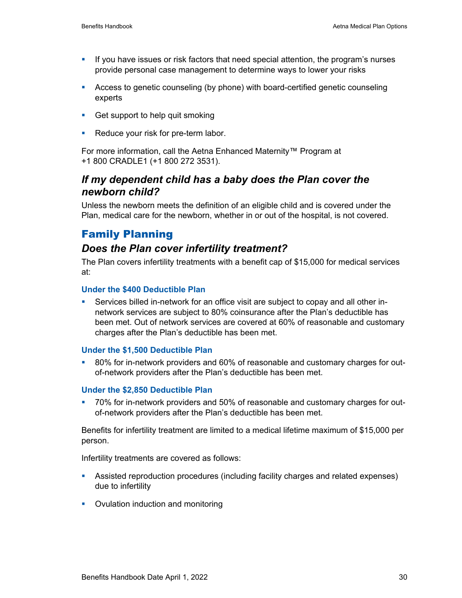- If you have issues or risk factors that need special attention, the program's nurses provide personal case management to determine ways to lower your risks
- Access to genetic counseling (by phone) with board-certified genetic counseling experts
- Get support to help quit smoking
- Reduce your risk for pre-term labor.

For more information, call the Aetna Enhanced Maternity™ Program at +1 800 CRADLE1 (+1 800 272 3531).

### *If my dependent child has a baby does the Plan cover the newborn child?*

Unless the newborn meets the definition of an eligible child and is covered under the Plan, medical care for the newborn, whether in or out of the hospital, is not covered.

### Family Planning

### *Does the Plan cover infertility treatment?*

The Plan covers infertility treatments with a benefit cap of \$15,000 for medical services at:

#### **Under the \$400 Deductible Plan**

 Services billed in-network for an office visit are subject to copay and all other innetwork services are subject to 80% coinsurance after the Plan's deductible has been met. Out of network services are covered at 60% of reasonable and customary charges after the Plan's deductible has been met.

#### **Under the \$1,500 Deductible Plan**

 80% for in-network providers and 60% of reasonable and customary charges for outof-network providers after the Plan's deductible has been met.

#### **Under the \$2,850 Deductible Plan**

<sup>2</sup> 70% for in-network providers and 50% of reasonable and customary charges for outof-network providers after the Plan's deductible has been met.

Benefits for infertility treatment are limited to a medical lifetime maximum of \$15,000 per person.

Infertility treatments are covered as follows:

- Assisted reproduction procedures (including facility charges and related expenses) due to infertility
- Ovulation induction and monitoring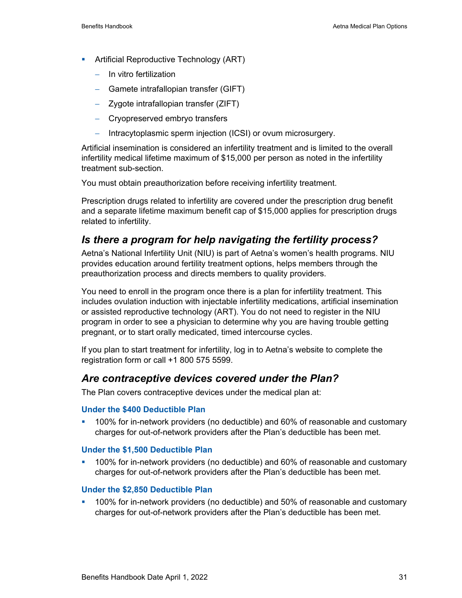- **•** Artificial Reproductive Technology (ART)
	- − In vitro fertilization
	- − Gamete intrafallopian transfer (GIFT)
	- − Zygote intrafallopian transfer (ZIFT)
	- − Cryopreserved embryo transfers
	- − Intracytoplasmic sperm injection (ICSI) or ovum microsurgery.

Artificial insemination is considered an infertility treatment and is limited to the overall infertility medical lifetime maximum of \$15,000 per person as noted in the infertility treatment sub-section.

You must obtain preauthorization before receiving infertility treatment.

Prescription drugs related to infertility are covered under the prescription drug benefit and a separate lifetime maximum benefit cap of \$15,000 applies for prescription drugs related to infertility.

### *Is there a program for help navigating the fertility process?*

Aetna's National Infertility Unit (NIU) is part of Aetna's women's health programs. NIU provides education around fertility treatment options, helps members through the preauthorization process and directs members to quality providers.

You need to enroll in the program once there is a plan for infertility treatment. This includes ovulation induction with injectable infertility medications, artificial insemination or assisted reproductive technology (ART). You do not need to register in the NIU program in order to see a physician to determine why you are having trouble getting pregnant, or to start orally medicated, timed intercourse cycles.

If you plan to start treatment for infertility, log in to Aetna's website to complete the registration form or call +1 800 575 5599.

### *Are contraceptive devices covered under the Plan?*

The Plan covers contraceptive devices under the medical plan at:

#### **Under the \$400 Deductible Plan**

 100% for in-network providers (no deductible) and 60% of reasonable and customary charges for out-of-network providers after the Plan's deductible has been met.

#### **Under the \$1,500 Deductible Plan**

 100% for in-network providers (no deductible) and 60% of reasonable and customary charges for out-of-network providers after the Plan's deductible has been met.

#### **Under the \$2,850 Deductible Plan**

 100% for in-network providers (no deductible) and 50% of reasonable and customary charges for out-of-network providers after the Plan's deductible has been met.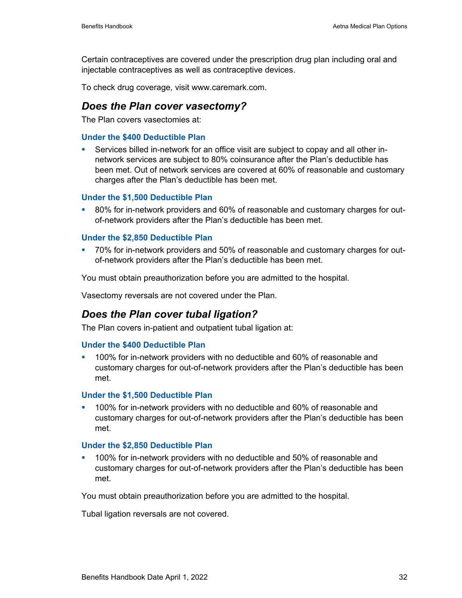Certain contraceptives are covered under the prescription drug plan including oral and injectable contraceptives as well as contraceptive devices.

To check drug coverage, visit www.caremark.com.

#### *Does the Plan cover vasectomy?*

The Plan covers vasectomies at:

#### **Under the \$400 Deductible Plan**

 Services billed in-network for an office visit are subject to copay and all other innetwork services are subject to 80% coinsurance after the Plan's deductible has been met. Out of network services are covered at 60% of reasonable and customary charges after the Plan's deductible has been met.

#### **Under the \$1,500 Deductible Plan**

 80% for in-network providers and 60% of reasonable and customary charges for outof-network providers after the Plan's deductible has been met.

#### **Under the \$2,850 Deductible Plan**

 70% for in-network providers and 50% of reasonable and customary charges for outof-network providers after the Plan's deductible has been met.

You must obtain preauthorization before you are admitted to the hospital.

Vasectomy reversals are not covered under the Plan.

#### *Does the Plan cover tubal ligation?*

The Plan covers in-patient and outpatient tubal ligation at:

#### **Under the \$400 Deductible Plan**

 100% for in-network providers with no deductible and 60% of reasonable and customary charges for out-of-network providers after the Plan's deductible has been met.

#### **Under the \$1,500 Deductible Plan**

 100% for in-network providers with no deductible and 60% of reasonable and customary charges for out-of-network providers after the Plan's deductible has been met.

#### **Under the \$2,850 Deductible Plan**

 100% for in-network providers with no deductible and 50% of reasonable and customary charges for out-of-network providers after the Plan's deductible has been met.

You must obtain preauthorization before you are admitted to the hospital.

Tubal ligation reversals are not covered.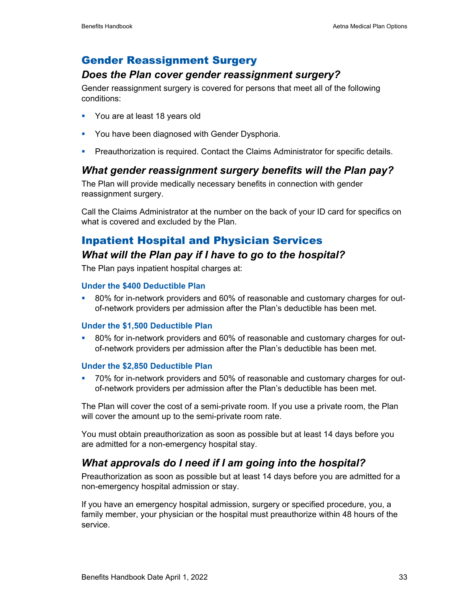### Gender Reassignment Surgery

#### *Does the Plan cover gender reassignment surgery?*

Gender reassignment surgery is covered for persons that meet all of the following conditions:

- You are at least 18 years old
- **You have been diagnosed with Gender Dysphoria.**
- **Preauthorization is required. Contact the Claims Administrator for specific details.**

#### *What gender reassignment surgery benefits will the Plan pay?*

The Plan will provide medically necessary benefits in connection with gender reassignment surgery.

Call the Claims Administrator at the number on the back of your ID card for specifics on what is covered and excluded by the Plan.

## Inpatient Hospital and Physician Services

### *What will the Plan pay if I have to go to the hospital?*

The Plan pays inpatient hospital charges at:

#### **Under the \$400 Deductible Plan**

<sup>80%</sup> for in-network providers and 60% of reasonable and customary charges for outof-network providers per admission after the Plan's deductible has been met.

#### **Under the \$1,500 Deductible Plan**

 80% for in-network providers and 60% of reasonable and customary charges for outof-network providers per admission after the Plan's deductible has been met.

#### **Under the \$2,850 Deductible Plan**

 70% for in-network providers and 50% of reasonable and customary charges for outof-network providers per admission after the Plan's deductible has been met.

The Plan will cover the cost of a semi-private room. If you use a private room, the Plan will cover the amount up to the semi-private room rate.

You must obtain preauthorization as soon as possible but at least 14 days before you are admitted for a non-emergency hospital stay.

#### *What approvals do I need if I am going into the hospital?*

Preauthorization as soon as possible but at least 14 days before you are admitted for a non-emergency hospital admission or stay.

If you have an emergency hospital admission, surgery or specified procedure, you, a family member, your physician or the hospital must preauthorize within 48 hours of the service.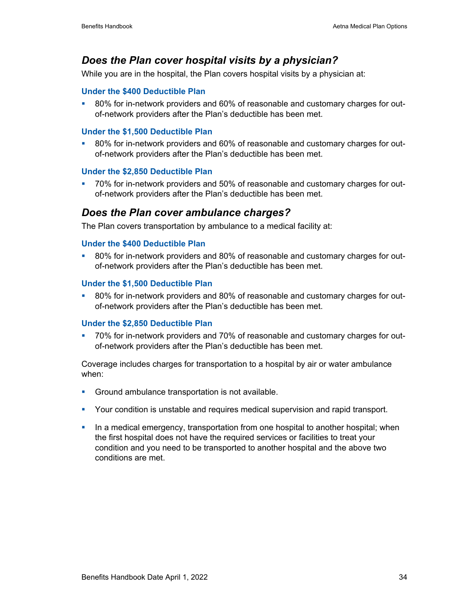### *Does the Plan cover hospital visits by a physician?*

While you are in the hospital, the Plan covers hospital visits by a physician at:

#### **Under the \$400 Deductible Plan**

<sup>80%</sup> for in-network providers and 60% of reasonable and customary charges for outof-network providers after the Plan's deductible has been met.

#### **Under the \$1,500 Deductible Plan**

 80% for in-network providers and 60% of reasonable and customary charges for outof-network providers after the Plan's deductible has been met.

#### **Under the \$2,850 Deductible Plan**

 70% for in-network providers and 50% of reasonable and customary charges for outof-network providers after the Plan's deductible has been met.

#### *Does the Plan cover ambulance charges?*

The Plan covers transportation by ambulance to a medical facility at:

#### **Under the \$400 Deductible Plan**

 80% for in-network providers and 80% of reasonable and customary charges for outof-network providers after the Plan's deductible has been met.

#### **Under the \$1,500 Deductible Plan**

 80% for in-network providers and 80% of reasonable and customary charges for outof-network providers after the Plan's deductible has been met.

#### **Under the \$2,850 Deductible Plan**

T0% for in-network providers and 70% of reasonable and customary charges for outof-network providers after the Plan's deductible has been met.

Coverage includes charges for transportation to a hospital by air or water ambulance when:

- Ground ambulance transportation is not available.
- Your condition is unstable and requires medical supervision and rapid transport.
- In a medical emergency, transportation from one hospital to another hospital; when the first hospital does not have the required services or facilities to treat your condition and you need to be transported to another hospital and the above two conditions are met.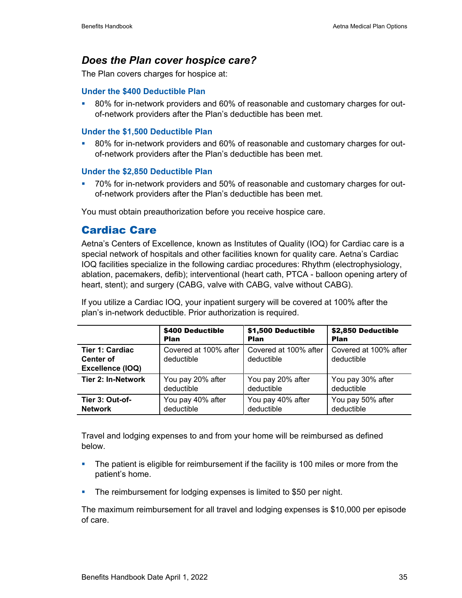#### *Does the Plan cover hospice care?*

The Plan covers charges for hospice at:

#### **Under the \$400 Deductible Plan**

<sup>80%</sup> for in-network providers and 60% of reasonable and customary charges for outof-network providers after the Plan's deductible has been met.

#### **Under the \$1,500 Deductible Plan**

 80% for in-network providers and 60% of reasonable and customary charges for outof-network providers after the Plan's deductible has been met.

#### **Under the \$2,850 Deductible Plan**

 70% for in-network providers and 50% of reasonable and customary charges for outof-network providers after the Plan's deductible has been met.

You must obtain preauthorization before you receive hospice care.

#### Cardiac Care

Aetna's Centers of Excellence, known as Institutes of Quality (IOQ) for Cardiac care is a special network of hospitals and other facilities known for quality care. Aetna's Cardiac IOQ facilities specialize in the following cardiac procedures: Rhythm (electrophysiology, ablation, pacemakers, defib); interventional (heart cath, PTCA - balloon opening artery of heart, stent); and surgery (CABG, valve with CABG, valve without CABG).

If you utilize a Cardiac IOQ, your inpatient surgery will be covered at 100% after the plan's in-network deductible. Prior authorization is required.

|                                                                | \$400 Deductible                    | \$1,500 Deductible                  | \$2,850 Deductible                  |
|----------------------------------------------------------------|-------------------------------------|-------------------------------------|-------------------------------------|
|                                                                | <b>Plan</b>                         | <b>Plan</b>                         | <b>Plan</b>                         |
| <b>Tier 1: Cardiac</b><br><b>Center of</b><br>Excellence (IOQ) | Covered at 100% after<br>deductible | Covered at 100% after<br>deductible | Covered at 100% after<br>deductible |
| Tier 2: In-Network                                             | You pay 20% after                   | You pay 20% after                   | You pay 30% after                   |
|                                                                | deductible                          | deductible                          | deductible                          |
| Tier 3: Out-of-                                                | You pay 40% after                   | You pay 40% after                   | You pay 50% after                   |
| <b>Network</b>                                                 | deductible                          | deductible                          | deductible                          |

Travel and lodging expenses to and from your home will be reimbursed as defined below.

- **The patient is eligible for reimbursement if the facility is 100 miles or more from the** patient's home.
- **The reimbursement for lodging expenses is limited to \$50 per night.**

The maximum reimbursement for all travel and lodging expenses is \$10,000 per episode of care.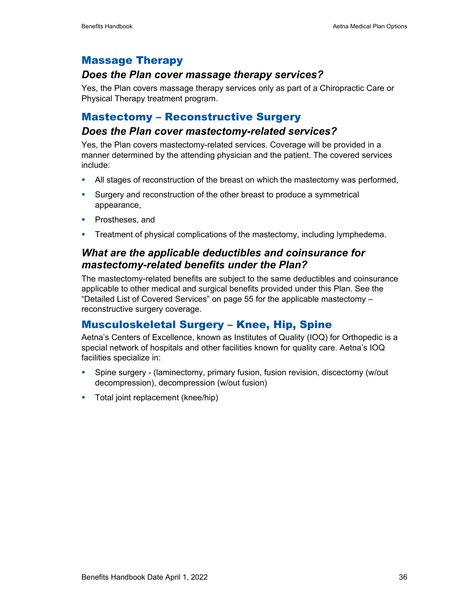#### Massage Therapy

#### *Does the Plan cover massage therapy services?*

Yes, the Plan covers massage therapy services only as part of a Chiropractic Care or Physical Therapy treatment program.

### Mastectomy – Reconstructive Surgery

#### *Does the Plan cover mastectomy-related services?*

Yes, the Plan covers mastectomy-related services. Coverage will be provided in a manner determined by the attending physician and the patient. The covered services include:

- All stages of reconstruction of the breast on which the mastectomy was performed,
- **Surgery and reconstruction of the other breast to produce a symmetrical** appearance,
- **Prostheses, and**
- **Treatment of physical complications of the mastectomy, including lymphedema.**

### *What are the applicable deductibles and coinsurance for mastectomy-related benefits under the Plan?*

The mastectomy-related benefits are subject to the same deductibles and coinsurance applicable to other medical and surgical benefits provided under this Plan. See the "Detailed List of Covered Services" on page 55 for the applicable mastectomy – reconstructive surgery coverage.

#### Musculoskeletal Surgery – Knee, Hip, Spine

Aetna's Centers of Excellence, known as Institutes of Quality (IOQ) for Orthopedic is a special network of hospitals and other facilities known for quality care. Aetna's IOQ facilities specialize in:

- Spine surgery (laminectomy, primary fusion, fusion revision, discectomy (w/out decompression), decompression (w/out fusion)
- **Total joint replacement (knee/hip)**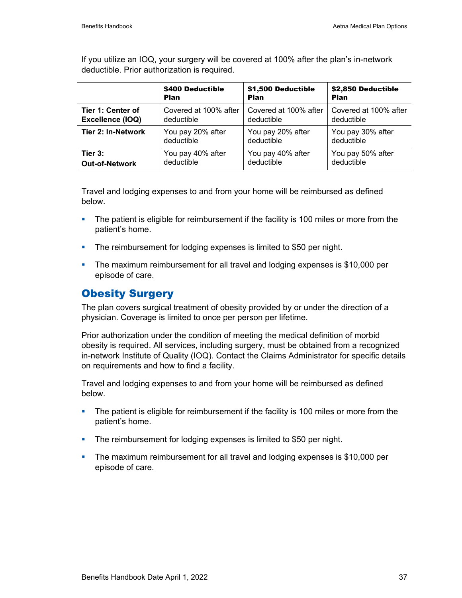\$400 Deductible Plan \$1,500 Deductible Plan \$2,850 Deductible Plan **Tier 1: Center of Excellence (IOQ)**  Covered at 100% after deductible Covered at 100% after deductible Covered at 100% after deductible **Tier 2: In-Network** | You pay 20% after deductible You pay 20% after deductible You pay 30% after deductible **Tier 3: Out-of-Network**  You pay 40% after deductible You pay 40% after deductible You pay 50% after deductible

If you utilize an IOQ, your surgery will be covered at 100% after the plan's in-network deductible. Prior authorization is required.

Travel and lodging expenses to and from your home will be reimbursed as defined below.

- **The patient is eligible for reimbursement if the facility is 100 miles or more from the** patient's home.
- **The reimbursement for lodging expenses is limited to \$50 per night.**
- The maximum reimbursement for all travel and lodging expenses is \$10,000 per episode of care.

#### Obesity Surgery

The plan covers surgical treatment of obesity provided by or under the direction of a physician. Coverage is limited to once per person per lifetime.

Prior authorization under the condition of meeting the medical definition of morbid obesity is required. All services, including surgery, must be obtained from a recognized in-network Institute of Quality (IOQ). Contact the Claims Administrator for specific details on requirements and how to find a facility.

Travel and lodging expenses to and from your home will be reimbursed as defined below.

- **The patient is eligible for reimbursement if the facility is 100 miles or more from the** patient's home.
- **The reimbursement for lodging expenses is limited to \$50 per night.**
- The maximum reimbursement for all travel and lodging expenses is \$10,000 per episode of care.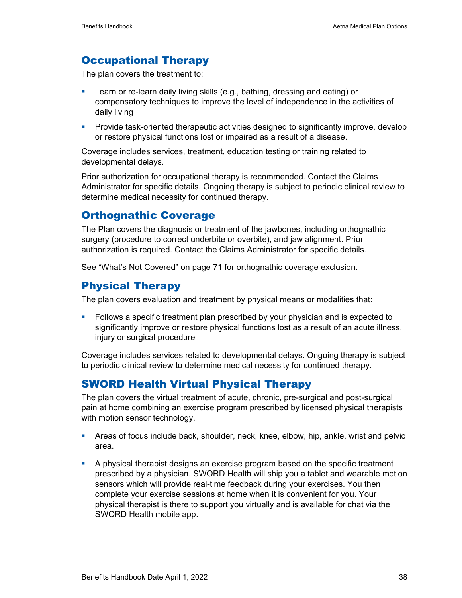## Occupational Therapy

The plan covers the treatment to:

- Learn or re-learn daily living skills (e.g., bathing, dressing and eating) or compensatory techniques to improve the level of independence in the activities of daily living
- **Provide task-oriented therapeutic activities designed to significantly improve, develop** or restore physical functions lost or impaired as a result of a disease.

Coverage includes services, treatment, education testing or training related to developmental delays.

Prior authorization for occupational therapy is recommended. Contact the Claims Administrator for specific details. Ongoing therapy is subject to periodic clinical review to determine medical necessity for continued therapy.

## Orthognathic Coverage

The Plan covers the diagnosis or treatment of the jawbones, including orthognathic surgery (procedure to correct underbite or overbite), and jaw alignment. Prior authorization is required. Contact the Claims Administrator for specific details.

See "What's Not Covered" on page 71 for orthognathic coverage exclusion.

### Physical Therapy

The plan covers evaluation and treatment by physical means or modalities that:

 Follows a specific treatment plan prescribed by your physician and is expected to significantly improve or restore physical functions lost as a result of an acute illness, injury or surgical procedure

Coverage includes services related to developmental delays. Ongoing therapy is subject to periodic clinical review to determine medical necessity for continued therapy.

### SWORD Health Virtual Physical Therapy

The plan covers the virtual treatment of acute, chronic, pre-surgical and post-surgical pain at home combining an exercise program prescribed by licensed physical therapists with motion sensor technology.

- Areas of focus include back, shoulder, neck, knee, elbow, hip, ankle, wrist and pelvic area.
- A physical therapist designs an exercise program based on the specific treatment prescribed by a physician. SWORD Health will ship you a tablet and wearable motion sensors which will provide real-time feedback during your exercises. You then complete your exercise sessions at home when it is convenient for you. Your physical therapist is there to support you virtually and is available for chat via the SWORD Health mobile app.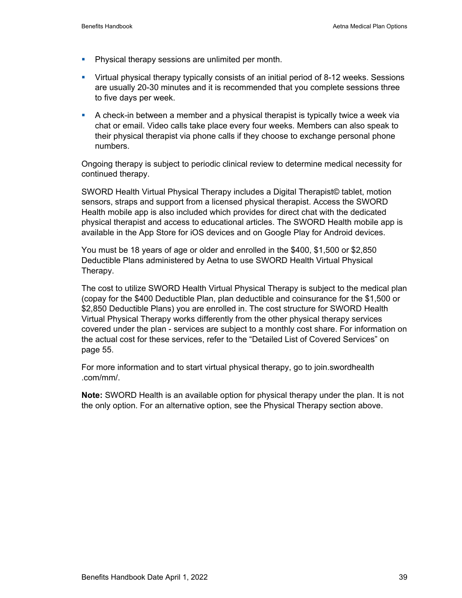- **Physical therapy sessions are unlimited per month.**
- Virtual physical therapy typically consists of an initial period of 8-12 weeks. Sessions are usually 20-30 minutes and it is recommended that you complete sessions three to five days per week.
- A check-in between a member and a physical therapist is typically twice a week via chat or email. Video calls take place every four weeks. Members can also speak to their physical therapist via phone calls if they choose to exchange personal phone numbers.

Ongoing therapy is subject to periodic clinical review to determine medical necessity for continued therapy.

SWORD Health Virtual Physical Therapy includes a Digital Therapist© tablet, motion sensors, straps and support from a licensed physical therapist. Access the SWORD Health mobile app is also included which provides for direct chat with the dedicated physical therapist and access to educational articles. The SWORD Health mobile app is available in the App Store for iOS devices and on Google Play for Android devices.

You must be 18 years of age or older and enrolled in the \$400, \$1,500 or \$2,850 Deductible Plans administered by Aetna to use SWORD Health Virtual Physical Therapy.

The cost to utilize SWORD Health Virtual Physical Therapy is subject to the medical plan (copay for the \$400 Deductible Plan, plan deductible and coinsurance for the \$1,500 or \$2,850 Deductible Plans) you are enrolled in. The cost structure for SWORD Health Virtual Physical Therapy works differently from the other physical therapy services covered under the plan - services are subject to a monthly cost share. For information on the actual cost for these services, refer to the "Detailed List of Covered Services" on page 55.

For more information and to start virtual physical therapy, go to join.swordhealth .com/mm/.

**Note:** SWORD Health is an available option for physical therapy under the plan. It is not the only option. For an alternative option, see the Physical Therapy section above.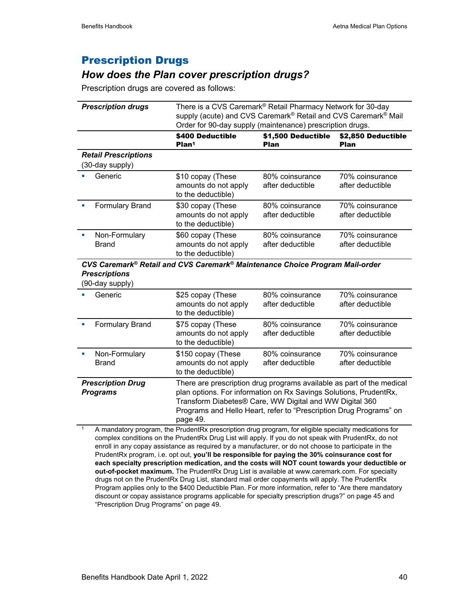## Prescription Drugs

### *How does the Plan cover prescription drugs?*

Prescription drugs are covered as follows:

| <b>Prescription drugs</b>                      | There is a CVS Caremark <sup>®</sup> Retail Pharmacy Network for 30-day<br>supply (acute) and CVS Caremark <sup>®</sup> Retail and CVS Caremark <sup>®</sup> Mail<br>Order for 90-day supply (maintenance) prescription drugs. |                                     |                                     |  |
|------------------------------------------------|--------------------------------------------------------------------------------------------------------------------------------------------------------------------------------------------------------------------------------|-------------------------------------|-------------------------------------|--|
|                                                | \$400 Deductible<br>Plan <sup>1</sup>                                                                                                                                                                                          | \$2,850 Deductible<br><b>Plan</b>   |                                     |  |
| <b>Retail Prescriptions</b><br>(30-day supply) |                                                                                                                                                                                                                                |                                     |                                     |  |
| Generic                                        | \$10 copay (These<br>amounts do not apply<br>to the deductible)                                                                                                                                                                | 80% coinsurance<br>after deductible | 70% coinsurance<br>after deductible |  |
| <b>Formulary Brand</b>                         | \$30 copay (These<br>amounts do not apply<br>to the deductible)                                                                                                                                                                | 80% coinsurance<br>after deductible | 70% coinsurance<br>after deductible |  |
| Non-Formulary<br>п<br>Brand                    | \$60 copay (These<br>amounts do not apply<br>to the deductible)                                                                                                                                                                | 80% coinsurance<br>after deductible | 70% coinsurance<br>after deductible |  |

#### *CVS Caremark® Retail and CVS Caremark® Maintenance Choice Program Mail-order Prescriptions*

(90-day supply)

| JU-UUY JUPPIY                                                                                                                                                                                                                                                                                                                          |                                                                  |                                     |                                     |
|----------------------------------------------------------------------------------------------------------------------------------------------------------------------------------------------------------------------------------------------------------------------------------------------------------------------------------------|------------------------------------------------------------------|-------------------------------------|-------------------------------------|
| Generic                                                                                                                                                                                                                                                                                                                                | \$25 copay (These<br>amounts do not apply<br>to the deductible)  | 80% coinsurance<br>after deductible | 70% coinsurance<br>after deductible |
| <b>Formulary Brand</b>                                                                                                                                                                                                                                                                                                                 | \$75 copay (These<br>amounts do not apply<br>to the deductible)  | 80% coinsurance<br>after deductible | 70% coinsurance<br>after deductible |
| Non-Formulary<br>Brand                                                                                                                                                                                                                                                                                                                 | \$150 copay (These<br>amounts do not apply<br>to the deductible) | 80% coinsurance<br>after deductible | 70% coinsurance<br>after deductible |
| <b>Prescription Drug</b><br>There are prescription drug programs available as part of the medical<br>plan options. For information on Rx Savings Solutions, PrudentRx,<br><b>Programs</b><br>Transform Diabetes® Care, WW Digital and WW Digital 360<br>Programs and Hello Heart, refer to "Prescription Drug Programs" on<br>page 49. |                                                                  |                                     |                                     |

1 A mandatory program, the PrudentRx prescription drug program, for eligible specialty medications for complex conditions on the PrudentRx Drug List will apply. If you do not speak with PrudentRx, do not enroll in any copay assistance as required by a manufacturer, or do not choose to participate in the PrudentRx program, i.e. opt out, **you'll be responsible for paying the 30% coinsurance cost for each specialty prescription medication, and the costs will NOT count towards your deductible or out-of-pocket maximum.** The PrudentRx Drug List is available at www.caremark.com. For specialty drugs not on the PrudentRx Drug List, standard mail order copayments will apply. The PrudentRx Program applies only to the \$400 Deductible Plan. For more information, refer to "Are there mandatory discount or copay assistance programs applicable for specialty prescription drugs?" on page 45 and "Prescription Drug Programs" on page 49.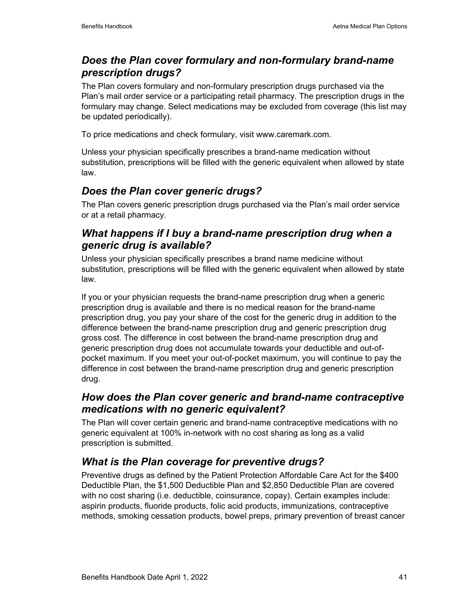## *Does the Plan cover formulary and non-formulary brand-name prescription drugs?*

The Plan covers formulary and non-formulary prescription drugs purchased via the Plan's mail order service or a participating retail pharmacy. The prescription drugs in the formulary may change. Select medications may be excluded from coverage (this list may be updated periodically).

To price medications and check formulary, visit www.caremark.com.

Unless your physician specifically prescribes a brand-name medication without substitution, prescriptions will be filled with the generic equivalent when allowed by state law.

### *Does the Plan cover generic drugs?*

The Plan covers generic prescription drugs purchased via the Plan's mail order service or at a retail pharmacy.

## *What happens if I buy a brand-name prescription drug when a generic drug is available?*

Unless your physician specifically prescribes a brand name medicine without substitution, prescriptions will be filled with the generic equivalent when allowed by state law.

If you or your physician requests the brand-name prescription drug when a generic prescription drug is available and there is no medical reason for the brand-name prescription drug, you pay your share of the cost for the generic drug in addition to the difference between the brand-name prescription drug and generic prescription drug gross cost. The difference in cost between the brand-name prescription drug and generic prescription drug does not accumulate towards your deductible and out-ofpocket maximum. If you meet your out-of-pocket maximum, you will continue to pay the difference in cost between the brand-name prescription drug and generic prescription drug.

### *How does the Plan cover generic and brand-name contraceptive medications with no generic equivalent?*

The Plan will cover certain generic and brand-name contraceptive medications with no generic equivalent at 100% in-network with no cost sharing as long as a valid prescription is submitted.

## *What is the Plan coverage for preventive drugs?*

Preventive drugs as defined by the Patient Protection Affordable Care Act for the \$400 Deductible Plan, the \$1,500 Deductible Plan and \$2,850 Deductible Plan are covered with no cost sharing (i.e. deductible, coinsurance, copay). Certain examples include: aspirin products, fluoride products, folic acid products, immunizations, contraceptive methods, smoking cessation products, bowel preps, primary prevention of breast cancer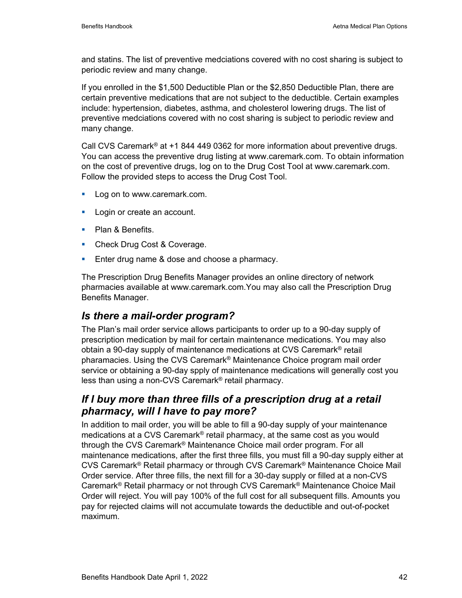and statins. The list of preventive medciations covered with no cost sharing is subject to periodic review and many change.

If you enrolled in the \$1,500 Deductible Plan or the \$2,850 Deductible Plan, there are certain preventive medications that are not subject to the deductible. Certain examples include: hypertension, diabetes, asthma, and cholesterol lowering drugs. The list of preventive medciations covered with no cost sharing is subject to periodic review and many change.

Call CVS Caremark® at +1 844 449 0362 for more information about preventive drugs. You can access the preventive drug listing at www.caremark.com. To obtain information on the cost of preventive drugs, log on to the Drug Cost Tool at www.caremark.com. Follow the provided steps to access the Drug Cost Tool.

- **Log on to www.caremark.com.**
- **Login or create an account.**
- Plan & Benefits.
- **Check Drug Cost & Coverage.**
- **Enter drug name & dose and choose a pharmacy.**

The Prescription Drug Benefits Manager provides an online directory of network pharmacies available at www.caremark.com.You may also call the Prescription Drug Benefits Manager.

#### *Is there a mail-order program?*

The Plan's mail order service allows participants to order up to a 90-day supply of prescription medication by mail for certain maintenance medications. You may also obtain a 90-day supply of maintenance medications at CVS Caremark® retail pharamacies. Using the CVS Caremark® Maintenance Choice program mail order service or obtaining a 90-day spply of maintenance medications will generally cost you less than using a non-CVS Caremark® retail pharmacy.

### *If I buy more than three fills of a prescription drug at a retail pharmacy, will I have to pay more?*

In addition to mail order, you will be able to fill a 90-day supply of your maintenance medications at a CVS Caremark® retail pharmacy, at the same cost as you would through the CVS Caremark® Maintenance Choice mail order program. For all maintenance medications, after the first three fills, you must fill a 90-day supply either at CVS Caremark® Retail pharmacy or through CVS Caremark® Maintenance Choice Mail Order service. After three fills, the next fill for a 30-day supply or filled at a non-CVS Caremark® Retail pharmacy or not through CVS Caremark® Maintenance Choice Mail Order will reject. You will pay 100% of the full cost for all subsequent fills. Amounts you pay for rejected claims will not accumulate towards the deductible and out-of-pocket maximum.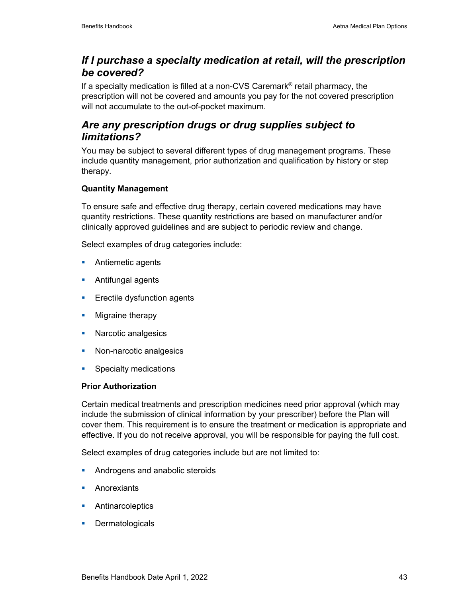### *If I purchase a specialty medication at retail, will the prescription be covered?*

If a specialty medication is filled at a non-CVS Caremark® retail pharmacy, the prescription will not be covered and amounts you pay for the not covered prescription will not accumulate to the out-of-pocket maximum.

## *Are any prescription drugs or drug supplies subject to limitations?*

You may be subject to several different types of drug management programs. These include quantity management, prior authorization and qualification by history or step therapy.

#### **Quantity Management**

To ensure safe and effective drug therapy, certain covered medications may have quantity restrictions. These quantity restrictions are based on manufacturer and/or clinically approved guidelines and are subject to periodic review and change.

Select examples of drug categories include:

- **Antiemetic agents**
- **Antifungal agents**
- **Exectile dysfunction agents**
- **Migraine therapy**
- **Narcotic analgesics**
- Non-narcotic analgesics
- **Specialty medications**

#### **Prior Authorization**

Certain medical treatments and prescription medicines need prior approval (which may include the submission of clinical information by your prescriber) before the Plan will cover them. This requirement is to ensure the treatment or medication is appropriate and effective. If you do not receive approval, you will be responsible for paying the full cost.

Select examples of drug categories include but are not limited to:

- **Androgens and anabolic steroids**
- **Anorexiants**
- **Antinarcoleptics**
- **Dermatologicals**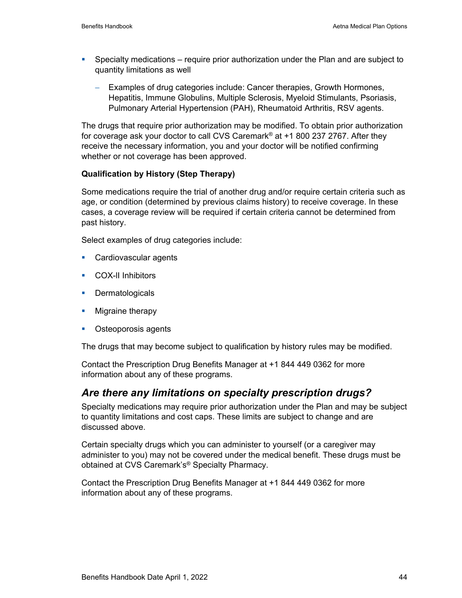- Specialty medications require prior authorization under the Plan and are subject to quantity limitations as well
	- Examples of drug categories include: Cancer therapies, Growth Hormones, Hepatitis, Immune Globulins, Multiple Sclerosis, Myeloid Stimulants, Psoriasis, Pulmonary Arterial Hypertension (PAH), Rheumatoid Arthritis, RSV agents.

The drugs that require prior authorization may be modified. To obtain prior authorization for coverage ask your doctor to call CVS Caremark® at +1 800 237 2767. After they receive the necessary information, you and your doctor will be notified confirming whether or not coverage has been approved.

#### **Qualification by History (Step Therapy)**

Some medications require the trial of another drug and/or require certain criteria such as age, or condition (determined by previous claims history) to receive coverage. In these cases, a coverage review will be required if certain criteria cannot be determined from past history.

Select examples of drug categories include:

- **Cardiovascular agents**
- **COX-II Inhibitors**
- **Dermatologicals**
- **Migraine therapy**
- **•** Osteoporosis agents

The drugs that may become subject to qualification by history rules may be modified.

Contact the Prescription Drug Benefits Manager at +1 844 449 0362 for more information about any of these programs.

#### *Are there any limitations on specialty prescription drugs?*

Specialty medications may require prior authorization under the Plan and may be subject to quantity limitations and cost caps. These limits are subject to change and are discussed above.

Certain specialty drugs which you can administer to yourself (or a caregiver may administer to you) may not be covered under the medical benefit. These drugs must be obtained at CVS Caremark's® Specialty Pharmacy.

Contact the Prescription Drug Benefits Manager at +1 844 449 0362 for more information about any of these programs.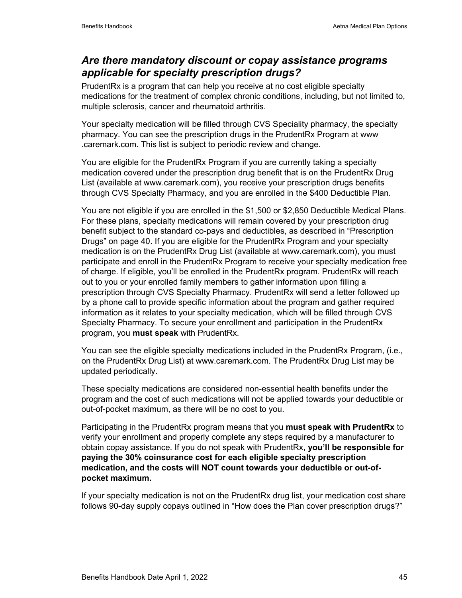### *Are there mandatory discount or copay assistance programs applicable for specialty prescription drugs?*

PrudentRx is a program that can help you receive at no cost eligible specialty medications for the treatment of complex chronic conditions, including, but not limited to, multiple sclerosis, cancer and rheumatoid arthritis.

Your specialty medication will be filled through CVS Speciality pharmacy, the specialty pharmacy. You can see the prescription drugs in the PrudentRx Program at www .caremark.com. This list is subject to periodic review and change.

You are eligible for the PrudentRx Program if you are currently taking a specialty medication covered under the prescription drug benefit that is on the PrudentRx Drug List (available at www.caremark.com), you receive your prescription drugs benefits through CVS Specialty Pharmacy, and you are enrolled in the \$400 Deductible Plan.

You are not eligible if you are enrolled in the \$1,500 or \$2,850 Deductible Medical Plans. For these plans, specialty medications will remain covered by your prescription drug benefit subject to the standard co-pays and deductibles, as described in "Prescription Drugs" on page 40. If you are eligible for the PrudentRx Program and your specialty medication is on the PrudentRx Drug List (available at www.caremark.com), you must participate and enroll in the PrudentRx Program to receive your specialty medication free of charge. If eligible, you'll be enrolled in the PrudentRx program. PrudentRx will reach out to you or your enrolled family members to gather information upon filling a prescription through CVS Specialty Pharmacy. PrudentRx will send a letter followed up by a phone call to provide specific information about the program and gather required information as it relates to your specialty medication, which will be filled through CVS Specialty Pharmacy. To secure your enrollment and participation in the PrudentRx program, you **must speak** with PrudentRx.

You can see the eligible specialty medications included in the PrudentRx Program, (i.e., on the PrudentRx Drug List) at www.caremark.com. The PrudentRx Drug List may be updated periodically.

These specialty medications are considered non-essential health benefits under the program and the cost of such medications will not be applied towards your deductible or out-of-pocket maximum, as there will be no cost to you.

Participating in the PrudentRx program means that you **must speak with PrudentRx** to verify your enrollment and properly complete any steps required by a manufacturer to obtain copay assistance. If you do not speak with PrudentRx, **you'll be responsible for paying the 30% coinsurance cost for each eligible specialty prescription medication, and the costs will NOT count towards your deductible or out-ofpocket maximum.** 

If your specialty medication is not on the PrudentRx drug list, your medication cost share follows 90-day supply copays outlined in "How does the Plan cover prescription drugs?"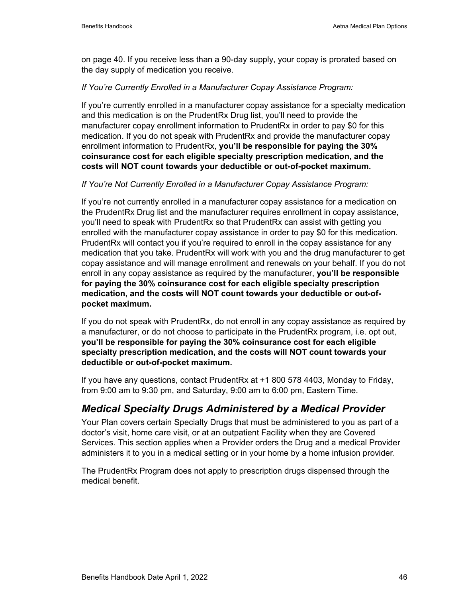on page 40. If you receive less than a 90-day supply, your copay is prorated based on the day supply of medication you receive.

#### *If You're Currently Enrolled in a Manufacturer Copay Assistance Program:*

If you're currently enrolled in a manufacturer copay assistance for a specialty medication and this medication is on the PrudentRx Drug list, you'll need to provide the manufacturer copay enrollment information to PrudentRx in order to pay \$0 for this medication. If you do not speak with PrudentRx and provide the manufacturer copay enrollment information to PrudentRx, **you'll be responsible for paying the 30% coinsurance cost for each eligible specialty prescription medication, and the costs will NOT count towards your deductible or out-of-pocket maximum.** 

#### *If You're Not Currently Enrolled in a Manufacturer Copay Assistance Program:*

If you're not currently enrolled in a manufacturer copay assistance for a medication on the PrudentRx Drug list and the manufacturer requires enrollment in copay assistance, you'll need to speak with PrudentRx so that PrudentRx can assist with getting you enrolled with the manufacturer copay assistance in order to pay \$0 for this medication. PrudentRx will contact you if you're required to enroll in the copay assistance for any medication that you take. PrudentRx will work with you and the drug manufacturer to get copay assistance and will manage enrollment and renewals on your behalf. If you do not enroll in any copay assistance as required by the manufacturer, **you'll be responsible for paying the 30% coinsurance cost for each eligible specialty prescription medication, and the costs will NOT count towards your deductible or out-ofpocket maximum.** 

If you do not speak with PrudentRx, do not enroll in any copay assistance as required by a manufacturer, or do not choose to participate in the PrudentRx program, i.e. opt out, **you'll be responsible for paying the 30% coinsurance cost for each eligible specialty prescription medication, and the costs will NOT count towards your deductible or out-of-pocket maximum.**

If you have any questions, contact PrudentRx at +1 800 578 4403, Monday to Friday, from 9:00 am to 9:30 pm, and Saturday, 9:00 am to 6:00 pm, Eastern Time.

### *Medical Specialty Drugs Administered by a Medical Provider*

Your Plan covers certain Specialty Drugs that must be administered to you as part of a doctor's visit, home care visit, or at an outpatient Facility when they are Covered Services. This section applies when a Provider orders the Drug and a medical Provider administers it to you in a medical setting or in your home by a home infusion provider.

The PrudentRx Program does not apply to prescription drugs dispensed through the medical benefit.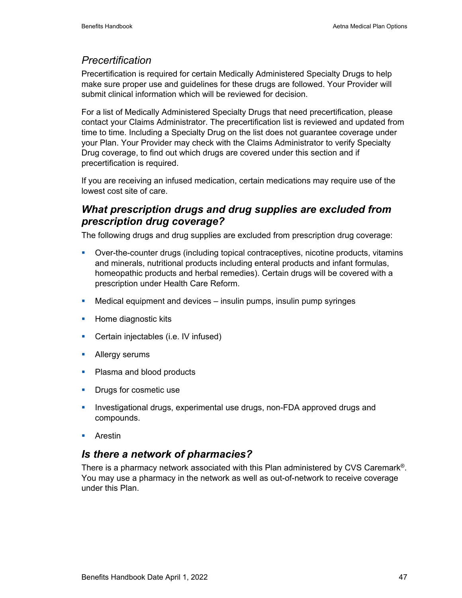### *Precertification*

Precertification is required for certain Medically Administered Specialty Drugs to help make sure proper use and guidelines for these drugs are followed. Your Provider will submit clinical information which will be reviewed for decision.

For a list of Medically Administered Specialty Drugs that need precertification, please contact your Claims Administrator. The precertification list is reviewed and updated from time to time. Including a Specialty Drug on the list does not guarantee coverage under your Plan. Your Provider may check with the Claims Administrator to verify Specialty Drug coverage, to find out which drugs are covered under this section and if precertification is required.

If you are receiving an infused medication, certain medications may require use of the lowest cost site of care.

### *What prescription drugs and drug supplies are excluded from prescription drug coverage?*

The following drugs and drug supplies are excluded from prescription drug coverage:

- Over-the-counter drugs (including topical contraceptives, nicotine products, vitamins and minerals, nutritional products including enteral products and infant formulas, homeopathic products and herbal remedies). Certain drugs will be covered with a prescription under Health Care Reform.
- Medical equipment and devices insulin pumps, insulin pump syringes
- **Home diagnostic kits**
- **Certain injectables (i.e. IV infused)**
- **Allergy serums**
- Plasma and blood products
- **Drugs for cosmetic use**
- **Investigational drugs, experimental use drugs, non-FDA approved drugs and** compounds.
- **Arestin**

#### *Is there a network of pharmacies?*

There is a pharmacy network associated with this Plan administered by CVS Caremark®. You may use a pharmacy in the network as well as out-of-network to receive coverage under this Plan.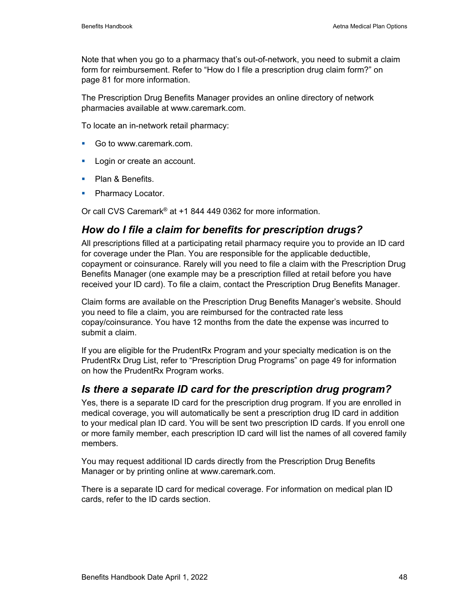Note that when you go to a pharmacy that's out-of-network, you need to submit a claim form for reimbursement. Refer to "How do I file a prescription drug claim form?" on page 81 for more information.

The Prescription Drug Benefits Manager provides an online directory of network pharmacies available at www.caremark.com.

To locate an in-network retail pharmacy:

- Go to www.caremark.com.
- **Login or create an account.**
- Plan & Benefits.
- Pharmacy Locator.

Or call CVS Caremark® at +1 844 449 0362 for more information.

### *How do I file a claim for benefits for prescription drugs?*

All prescriptions filled at a participating retail pharmacy require you to provide an ID card for coverage under the Plan. You are responsible for the applicable deductible, copayment or coinsurance. Rarely will you need to file a claim with the Prescription Drug Benefits Manager (one example may be a prescription filled at retail before you have received your ID card). To file a claim, contact the Prescription Drug Benefits Manager.

Claim forms are available on the Prescription Drug Benefits Manager's website. Should you need to file a claim, you are reimbursed for the contracted rate less copay/coinsurance. You have 12 months from the date the expense was incurred to submit a claim.

If you are eligible for the PrudentRx Program and your specialty medication is on the PrudentRx Drug List, refer to "Prescription Drug Programs" on page 49 for information on how the PrudentRx Program works.

#### *Is there a separate ID card for the prescription drug program?*

Yes, there is a separate ID card for the prescription drug program. If you are enrolled in medical coverage, you will automatically be sent a prescription drug ID card in addition to your medical plan ID card. You will be sent two prescription ID cards. If you enroll one or more family member, each prescription ID card will list the names of all covered family members.

You may request additional ID cards directly from the Prescription Drug Benefits Manager or by printing online at www.caremark.com.

There is a separate ID card for medical coverage. For information on medical plan ID cards, refer to the ID cards section.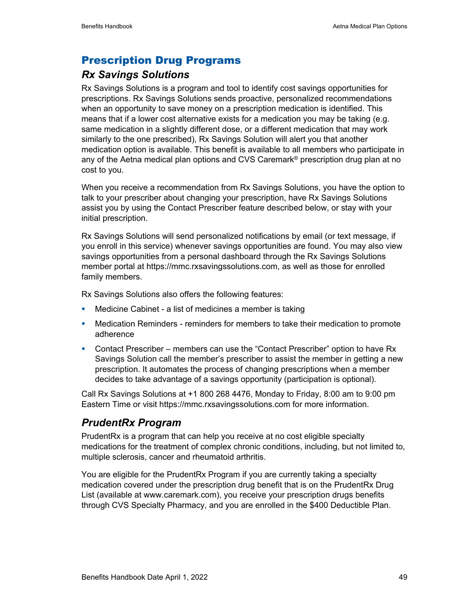### Prescription Drug Programs

### *Rx Savings Solutions*

Rx Savings Solutions is a program and tool to identify cost savings opportunities for prescriptions. Rx Savings Solutions sends proactive, personalized recommendations when an opportunity to save money on a prescription medication is identified. This means that if a lower cost alternative exists for a medication you may be taking (e.g. same medication in a slightly different dose, or a different medication that may work similarly to the one prescribed), Rx Savings Solution will alert you that another medication option is available. This benefit is available to all members who participate in any of the Aetna medical plan options and CVS Caremark<sup>®</sup> prescription drug plan at no cost to you.

When you receive a recommendation from Rx Savings Solutions, you have the option to talk to your prescriber about changing your prescription, have Rx Savings Solutions assist you by using the Contact Prescriber feature described below, or stay with your initial prescription.

Rx Savings Solutions will send personalized notifications by email (or text message, if you enroll in this service) whenever savings opportunities are found. You may also view savings opportunities from a personal dashboard through the Rx Savings Solutions member portal at https://mmc.rxsavingssolutions.com, as well as those for enrolled family members.

Rx Savings Solutions also offers the following features:

- **Medicine Cabinet a list of medicines a member is taking**
- **Medication Reminders reminders for members to take their medication to promote** adherence
- Contact Prescriber members can use the "Contact Prescriber" option to have Rx Savings Solution call the member's prescriber to assist the member in getting a new prescription. It automates the process of changing prescriptions when a member decides to take advantage of a savings opportunity (participation is optional).

Call Rx Savings Solutions at +1 800 268 4476, Monday to Friday, 8:00 am to 9:00 pm Eastern Time or visit https://mmc.rxsavingssolutions.com for more information.

### *PrudentRx Program*

PrudentRx is a program that can help you receive at no cost eligible specialty medications for the treatment of complex chronic conditions, including, but not limited to, multiple sclerosis, cancer and rheumatoid arthritis.

You are eligible for the PrudentRx Program if you are currently taking a specialty medication covered under the prescription drug benefit that is on the PrudentRx Drug List (available at www.caremark.com), you receive your prescription drugs benefits through CVS Specialty Pharmacy, and you are enrolled in the \$400 Deductible Plan.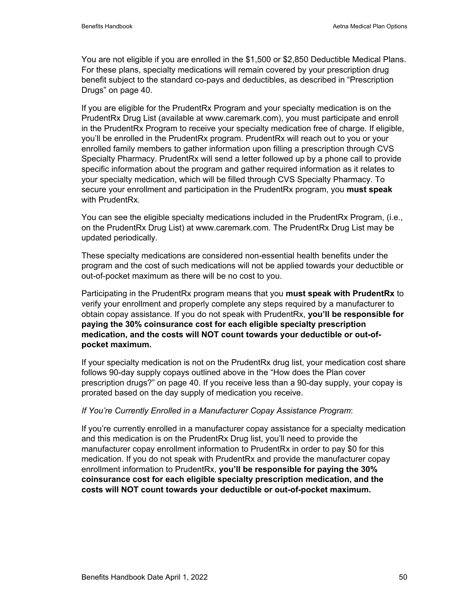You are not eligible if you are enrolled in the \$1,500 or \$2,850 Deductible Medical Plans. For these plans, specialty medications will remain covered by your prescription drug benefit subject to the standard co-pays and deductibles, as described in "Prescription Drugs" on page 40.

If you are eligible for the PrudentRx Program and your specialty medication is on the PrudentRx Drug List (available at www.caremark.com), you must participate and enroll in the PrudentRx Program to receive your specialty medication free of charge. If eligible, you'll be enrolled in the PrudentRx program. PrudentRx will reach out to you or your enrolled family members to gather information upon filling a prescription through CVS Specialty Pharmacy. PrudentRx will send a letter followed up by a phone call to provide specific information about the program and gather required information as it relates to your specialty medication, which will be filled through CVS Specialty Pharmacy. To secure your enrollment and participation in the PrudentRx program, you **must speak** with PrudentRx.

You can see the eligible specialty medications included in the PrudentRx Program, (i.e., on the PrudentRx Drug List) at www.caremark.com. The PrudentRx Drug List may be updated periodically.

These specialty medications are considered non-essential health benefits under the program and the cost of such medications will not be applied towards your deductible or out-of-pocket maximum as there will be no cost to you.

Participating in the PrudentRx program means that you **must speak with PrudentRx** to verify your enrollment and properly complete any steps required by a manufacturer to obtain copay assistance. If you do not speak with PrudentRx, **you'll be responsible for paying the 30% coinsurance cost for each eligible specialty prescription medication, and the costs will NOT count towards your deductible or out-ofpocket maximum.** 

If your specialty medication is not on the PrudentRx drug list, your medication cost share follows 90-day supply copays outlined above in the "How does the Plan cover prescription drugs?" on page 40. If you receive less than a 90-day supply, your copay is prorated based on the day supply of medication you receive.

#### *If You're Currently Enrolled in a Manufacturer Copay Assistance Program*:

If you're currently enrolled in a manufacturer copay assistance for a specialty medication and this medication is on the PrudentRx Drug list, you'll need to provide the manufacturer copay enrollment information to PrudentRx in order to pay \$0 for this medication. If you do not speak with PrudentRx and provide the manufacturer copay enrollment information to PrudentRx, **you'll be responsible for paying the 30% coinsurance cost for each eligible specialty prescription medication, and the costs will NOT count towards your deductible or out-of-pocket maximum.**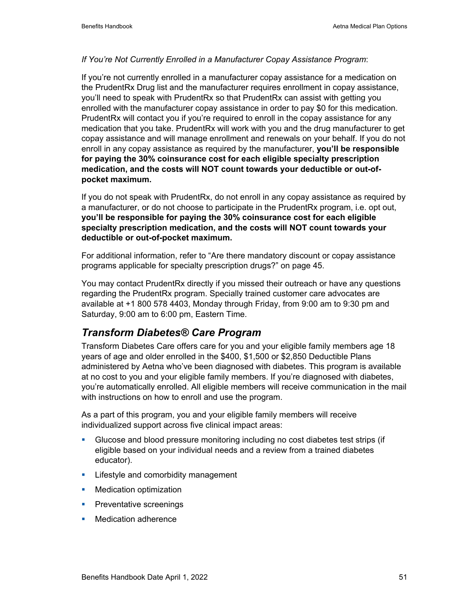#### *If You're Not Currently Enrolled in a Manufacturer Copay Assistance Program*:

If you're not currently enrolled in a manufacturer copay assistance for a medication on the PrudentRx Drug list and the manufacturer requires enrollment in copay assistance, you'll need to speak with PrudentRx so that PrudentRx can assist with getting you enrolled with the manufacturer copay assistance in order to pay \$0 for this medication. PrudentRx will contact you if you're required to enroll in the copay assistance for any medication that you take. PrudentRx will work with you and the drug manufacturer to get copay assistance and will manage enrollment and renewals on your behalf. If you do not enroll in any copay assistance as required by the manufacturer, **you'll be responsible for paying the 30% coinsurance cost for each eligible specialty prescription medication, and the costs will NOT count towards your deductible or out-ofpocket maximum.** 

If you do not speak with PrudentRx, do not enroll in any copay assistance as required by a manufacturer, or do not choose to participate in the PrudentRx program, i.e. opt out, **you'll be responsible for paying the 30% coinsurance cost for each eligible specialty prescription medication, and the costs will NOT count towards your deductible or out-of-pocket maximum.**

For additional information, refer to "Are there mandatory discount or copay assistance programs applicable for specialty prescription drugs?" on page 45.

You may contact PrudentRx directly if you missed their outreach or have any questions regarding the PrudentRx program. Specially trained customer care advocates are available at +1 800 578 4403, Monday through Friday, from 9:00 am to 9:30 pm and Saturday, 9:00 am to 6:00 pm, Eastern Time.

### *Transform Diabetes® Care Program*

Transform Diabetes Care offers care for you and your eligible family members age 18 years of age and older enrolled in the \$400, \$1,500 or \$2,850 Deductible Plans administered by Aetna who've been diagnosed with diabetes. This program is available at no cost to you and your eligible family members. If you're diagnosed with diabetes, you're automatically enrolled. All eligible members will receive communication in the mail with instructions on how to enroll and use the program.

As a part of this program, you and your eligible family members will receive individualized support across five clinical impact areas:

- Glucose and blood pressure monitoring including no cost diabetes test strips (if eligible based on your individual needs and a review from a trained diabetes educator).
- **EXECTE:** Lifestyle and comorbidity management
- **Nedication optimization**
- **Preventative screenings**
- **Nedication adherence**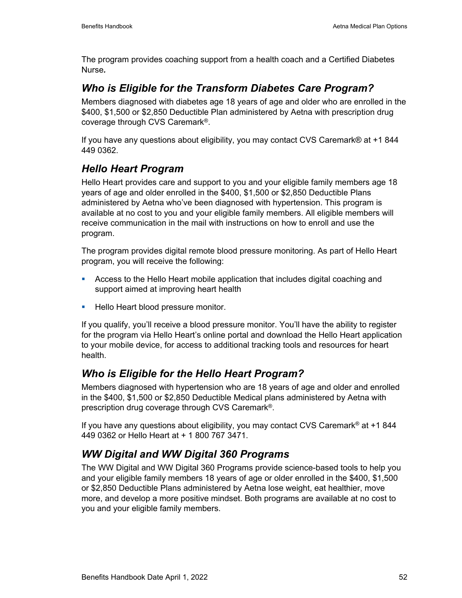The program provides coaching support from a health coach and a Certified Diabetes Nurse*.* 

### *Who is Eligible for the Transform Diabetes Care Program?*

Members diagnosed with diabetes age 18 years of age and older who are enrolled in the \$400, \$1,500 or \$2,850 Deductible Plan administered by Aetna with prescription drug coverage through CVS Caremark®.

If you have any questions about eligibility, you may contact CVS Caremark® at +1 844 449 0362.

## *Hello Heart Program*

Hello Heart provides care and support to you and your eligible family members age 18 years of age and older enrolled in the \$400, \$1,500 or \$2,850 Deductible Plans administered by Aetna who've been diagnosed with hypertension. This program is available at no cost to you and your eligible family members. All eligible members will receive communication in the mail with instructions on how to enroll and use the program.

The program provides digital remote blood pressure monitoring. As part of Hello Heart program, you will receive the following:

- Access to the Hello Heart mobile application that includes digital coaching and support aimed at improving heart health
- **Hello Heart blood pressure monitor.**

If you qualify, you'll receive a blood pressure monitor. You'll have the ability to register for the program via Hello Heart's online portal and download the Hello Heart application to your mobile device, for access to additional tracking tools and resources for heart health.

## *Who is Eligible for the Hello Heart Program?*

Members diagnosed with hypertension who are 18 years of age and older and enrolled in the \$400, \$1,500 or \$2,850 Deductible Medical plans administered by Aetna with prescription drug coverage through CVS Caremark®.

If you have any questions about eligibility, you may contact CVS Caremark<sup>®</sup> at  $+1$  844 449 0362 or Hello Heart at + 1 800 767 3471.

## *WW Digital and WW Digital 360 Programs*

The WW Digital and WW Digital 360 Programs provide science-based tools to help you and your eligible family members 18 years of age or older enrolled in the \$400, \$1,500 or \$2,850 Deductible Plans administered by Aetna lose weight, eat healthier, move more, and develop a more positive mindset. Both programs are available at no cost to you and your eligible family members.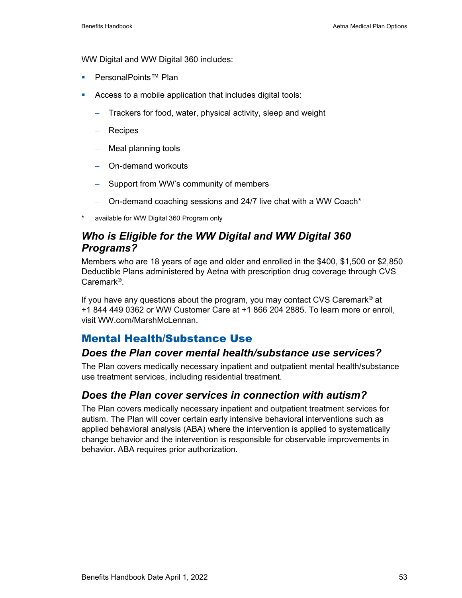WW Digital and WW Digital 360 includes:

- PersonalPoints™ Plan
- Access to a mobile application that includes digital tools:
	- − Trackers for food, water, physical activity, sleep and weight
	- − Recipes
	- − Meal planning tools
	- − On-demand workouts
	- − Support from WW's community of members
	- − On-demand coaching sessions and 24/7 live chat with a WW Coach\*
- available for WW Digital 360 Program only

#### *Who is Eligible for the WW Digital and WW Digital 360 Programs?*

Members who are 18 years of age and older and enrolled in the \$400, \$1,500 or \$2,850 Deductible Plans administered by Aetna with prescription drug coverage through CVS Caremark®.

If you have any questions about the program, you may contact CVS Caremark® at +1 844 449 0362 or WW Customer Care at +1 866 204 2885. To learn more or enroll, visit WW.com/MarshMcLennan.

#### Mental Health/Substance Use

#### *Does the Plan cover mental health/substance use services?*

The Plan covers medically necessary inpatient and outpatient mental health/substance use treatment services, including residential treatment.

#### *Does the Plan cover services in connection with autism?*

The Plan covers medically necessary inpatient and outpatient treatment services for autism. The Plan will cover certain early intensive behavioral interventions such as applied behavioral analysis (ABA) where the intervention is applied to systematically change behavior and the intervention is responsible for observable improvements in behavior. ABA requires prior authorization.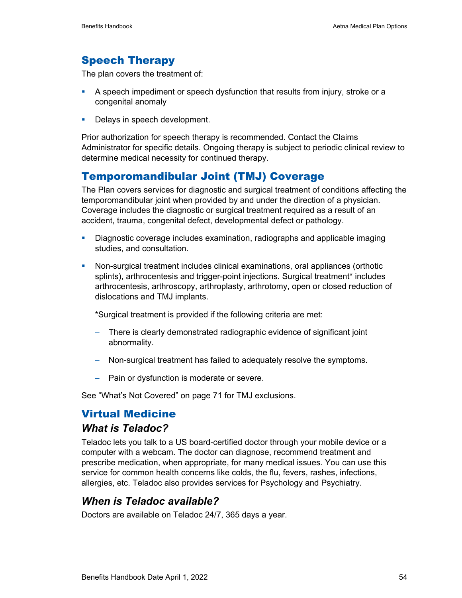## Speech Therapy

The plan covers the treatment of:

- A speech impediment or speech dysfunction that results from injury, stroke or a congenital anomaly
- Delays in speech development.

Prior authorization for speech therapy is recommended. Contact the Claims Administrator for specific details. Ongoing therapy is subject to periodic clinical review to determine medical necessity for continued therapy.

### Temporomandibular Joint (TMJ) Coverage

The Plan covers services for diagnostic and surgical treatment of conditions affecting the temporomandibular joint when provided by and under the direction of a physician. Coverage includes the diagnostic or surgical treatment required as a result of an accident, trauma, congenital defect, developmental defect or pathology.

- Diagnostic coverage includes examination, radiographs and applicable imaging studies, and consultation.
- Non-surgical treatment includes clinical examinations, oral appliances (orthotic splints), arthrocentesis and trigger-point injections. Surgical treatment\* includes arthrocentesis, arthroscopy, arthroplasty, arthrotomy, open or closed reduction of dislocations and TMJ implants.

\*Surgical treatment is provided if the following criteria are met:

- − There is clearly demonstrated radiographic evidence of significant joint abnormality.
- − Non-surgical treatment has failed to adequately resolve the symptoms.
- − Pain or dysfunction is moderate or severe.

See "What's Not Covered" on page 71 for TMJ exclusions.

### Virtual Medicine

#### *What is Teladoc?*

Teladoc lets you talk to a US board-certified doctor through your mobile device or a computer with a webcam. The doctor can diagnose, recommend treatment and prescribe medication, when appropriate, for many medical issues. You can use this service for common health concerns like colds, the flu, fevers, rashes, infections, allergies, etc. Teladoc also provides services for Psychology and Psychiatry.

#### *When is Teladoc available?*

Doctors are available on Teladoc 24/7, 365 days a year.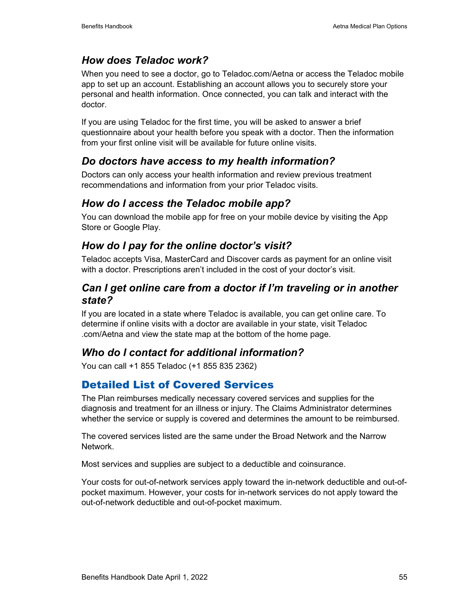## *How does Teladoc work?*

When you need to see a doctor, go to Teladoc.com/Aetna or access the Teladoc mobile app to set up an account. Establishing an account allows you to securely store your personal and health information. Once connected, you can talk and interact with the doctor.

If you are using Teladoc for the first time, you will be asked to answer a brief questionnaire about your health before you speak with a doctor. Then the information from your first online visit will be available for future online visits.

## *Do doctors have access to my health information?*

Doctors can only access your health information and review previous treatment recommendations and information from your prior Teladoc visits.

## *How do I access the Teladoc mobile app?*

You can download the mobile app for free on your mobile device by visiting the App Store or Google Play.

## *How do I pay for the online doctor's visit?*

Teladoc accepts Visa, MasterCard and Discover cards as payment for an online visit with a doctor. Prescriptions aren't included in the cost of your doctor's visit.

### *Can I get online care from a doctor if I'm traveling or in another state?*

If you are located in a state where Teladoc is available, you can get online care. To determine if online visits with a doctor are available in your state, visit Teladoc .com/Aetna and view the state map at the bottom of the home page.

## *Who do I contact for additional information?*

You can call +1 855 Teladoc (+1 855 835 2362)

## Detailed List of Covered Services

The Plan reimburses medically necessary covered services and supplies for the diagnosis and treatment for an illness or injury. The Claims Administrator determines whether the service or supply is covered and determines the amount to be reimbursed.

The covered services listed are the same under the Broad Network and the Narrow Network.

Most services and supplies are subject to a deductible and coinsurance.

Your costs for out-of-network services apply toward the in-network deductible and out-ofpocket maximum. However, your costs for in-network services do not apply toward the out-of-network deductible and out-of-pocket maximum.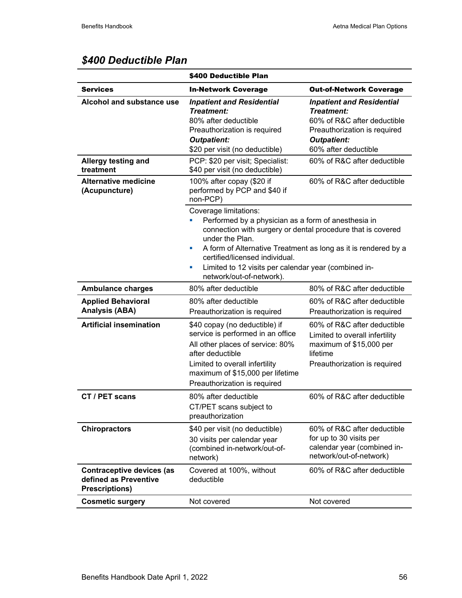|                                                                                    | \$400 Deductible Plan                                                                                                                                                                                                                                                                                                                                             |                                                                                                                                                             |  |  |
|------------------------------------------------------------------------------------|-------------------------------------------------------------------------------------------------------------------------------------------------------------------------------------------------------------------------------------------------------------------------------------------------------------------------------------------------------------------|-------------------------------------------------------------------------------------------------------------------------------------------------------------|--|--|
| <b>Services</b>                                                                    | <b>Out-of-Network Coverage</b><br><b>In-Network Coverage</b>                                                                                                                                                                                                                                                                                                      |                                                                                                                                                             |  |  |
| Alcohol and substance use                                                          | <b>Inpatient and Residential</b><br>Treatment:<br>80% after deductible<br>Preauthorization is required<br><b>Outpatient:</b><br>\$20 per visit (no deductible)                                                                                                                                                                                                    | <b>Inpatient and Residential</b><br>Treatment:<br>60% of R&C after deductible<br>Preauthorization is required<br><b>Outpatient:</b><br>60% after deductible |  |  |
| Allergy testing and<br>treatment                                                   | PCP: \$20 per visit; Specialist:<br>\$40 per visit (no deductible)                                                                                                                                                                                                                                                                                                | 60% of R&C after deductible                                                                                                                                 |  |  |
| <b>Alternative medicine</b><br>(Acupuncture)                                       | 100% after copay (\$20 if<br>performed by PCP and \$40 if<br>non-PCP)                                                                                                                                                                                                                                                                                             | 60% of R&C after deductible                                                                                                                                 |  |  |
|                                                                                    | Coverage limitations:<br>Performed by a physician as a form of anesthesia in<br>connection with surgery or dental procedure that is covered<br>under the Plan.<br>A form of Alternative Treatment as long as it is rendered by a<br>ш<br>certified/licensed individual.<br>Limited to 12 visits per calendar year (combined in-<br>a.<br>network/out-of-network). |                                                                                                                                                             |  |  |
| <b>Ambulance charges</b>                                                           | 80% after deductible                                                                                                                                                                                                                                                                                                                                              | 80% of R&C after deductible                                                                                                                                 |  |  |
| <b>Applied Behavioral</b><br><b>Analysis (ABA)</b>                                 | 80% after deductible<br>Preauthorization is required                                                                                                                                                                                                                                                                                                              | 60% of R&C after deductible<br>Preauthorization is required                                                                                                 |  |  |
| <b>Artificial insemination</b>                                                     | \$40 copay (no deductible) if<br>service is performed in an office<br>All other places of service: 80%<br>after deductible<br>Limited to overall infertility<br>maximum of \$15,000 per lifetime<br>Preauthorization is required                                                                                                                                  | 60% of R&C after deductible<br>Limited to overall infertility<br>maximum of \$15,000 per<br>lifetime<br>Preauthorization is required                        |  |  |
| CT / PET scans                                                                     | 60% of R&C after deductible<br>80% after deductible<br>CT/PET scans subject to<br>preauthorization                                                                                                                                                                                                                                                                |                                                                                                                                                             |  |  |
| <b>Chiropractors</b>                                                               | \$40 per visit (no deductible)<br>30 visits per calendar year<br>(combined in-network/out-of-<br>network)                                                                                                                                                                                                                                                         | 60% of R&C after deductible<br>for up to 30 visits per<br>calendar year (combined in-<br>network/out-of-network)                                            |  |  |
| <b>Contraceptive devices (as</b><br>defined as Preventive<br><b>Prescriptions)</b> | Covered at 100%, without<br>deductible                                                                                                                                                                                                                                                                                                                            | 60% of R&C after deductible                                                                                                                                 |  |  |
| <b>Cosmetic surgery</b>                                                            | Not covered                                                                                                                                                                                                                                                                                                                                                       | Not covered                                                                                                                                                 |  |  |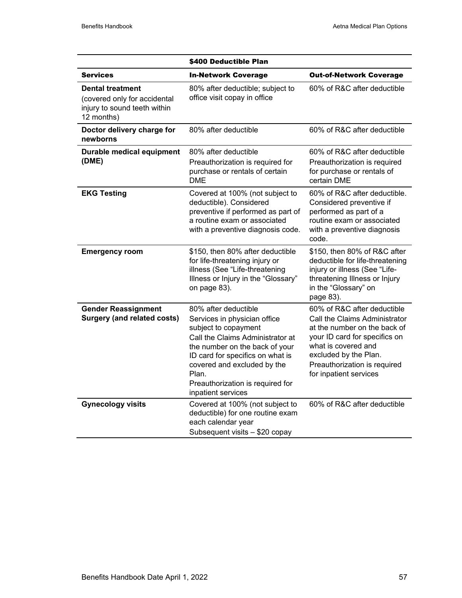|                                                                                                       | \$400 Deductible Plan                                                                                                                                                                                                                                                                    |                                                                                                                                                                                                                                         |
|-------------------------------------------------------------------------------------------------------|------------------------------------------------------------------------------------------------------------------------------------------------------------------------------------------------------------------------------------------------------------------------------------------|-----------------------------------------------------------------------------------------------------------------------------------------------------------------------------------------------------------------------------------------|
| <b>Services</b>                                                                                       | <b>In-Network Coverage</b>                                                                                                                                                                                                                                                               | <b>Out-of-Network Coverage</b>                                                                                                                                                                                                          |
| <b>Dental treatment</b><br>(covered only for accidental<br>injury to sound teeth within<br>12 months) | 80% after deductible; subject to<br>office visit copay in office                                                                                                                                                                                                                         | 60% of R&C after deductible                                                                                                                                                                                                             |
| Doctor delivery charge for<br>newborns                                                                | 80% after deductible                                                                                                                                                                                                                                                                     | 60% of R&C after deductible                                                                                                                                                                                                             |
| Durable medical equipment<br>(DME)                                                                    | 80% after deductible<br>Preauthorization is required for<br>purchase or rentals of certain<br><b>DME</b>                                                                                                                                                                                 | 60% of R&C after deductible<br>Preauthorization is required<br>for purchase or rentals of<br>certain DME                                                                                                                                |
| <b>EKG Testing</b>                                                                                    | Covered at 100% (not subject to<br>deductible). Considered<br>preventive if performed as part of<br>a routine exam or associated<br>with a preventive diagnosis code.                                                                                                                    | 60% of R&C after deductible.<br>Considered preventive if<br>performed as part of a<br>routine exam or associated<br>with a preventive diagnosis<br>code.                                                                                |
| <b>Emergency room</b>                                                                                 | \$150, then 80% after deductible<br>for life-threatening injury or<br>illness (See "Life-threatening<br>Illness or Injury in the "Glossary"<br>on page 83).                                                                                                                              | \$150, then 80% of R&C after<br>deductible for life-threatening<br>injury or illness (See "Life-<br>threatening Illness or Injury<br>in the "Glossary" on<br>page 83).                                                                  |
| <b>Gender Reassignment</b><br><b>Surgery (and related costs)</b>                                      | 80% after deductible<br>Services in physician office<br>subject to copayment<br>Call the Claims Administrator at<br>the number on the back of your<br>ID card for specifics on what is<br>covered and excluded by the<br>Plan.<br>Preauthorization is required for<br>inpatient services | 60% of R&C after deductible<br>Call the Claims Administrator<br>at the number on the back of<br>your ID card for specifics on<br>what is covered and<br>excluded by the Plan.<br>Preauthorization is required<br>for inpatient services |
| <b>Gynecology visits</b>                                                                              | Covered at 100% (not subject to<br>deductible) for one routine exam<br>each calendar year<br>Subsequent visits - \$20 copay                                                                                                                                                              | 60% of R&C after deductible                                                                                                                                                                                                             |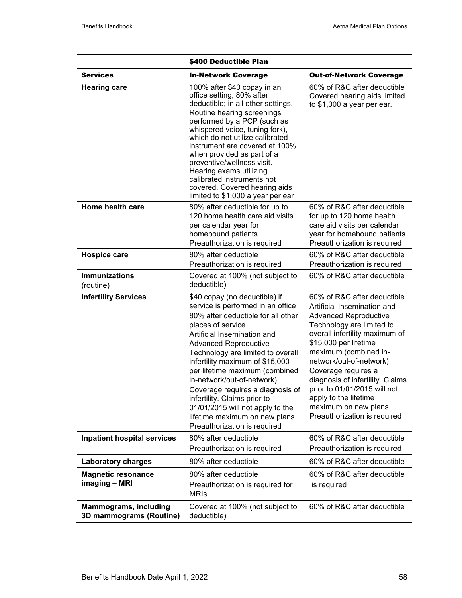|                                                         | \$400 Deductible Plan                                                                                                                                                                                                                                                                                                                                                                                                                                                                                          |                                                                                                                                                                                                                                                                                                                                                                                                                     |  |  |
|---------------------------------------------------------|----------------------------------------------------------------------------------------------------------------------------------------------------------------------------------------------------------------------------------------------------------------------------------------------------------------------------------------------------------------------------------------------------------------------------------------------------------------------------------------------------------------|---------------------------------------------------------------------------------------------------------------------------------------------------------------------------------------------------------------------------------------------------------------------------------------------------------------------------------------------------------------------------------------------------------------------|--|--|
| <b>Services</b>                                         | <b>In-Network Coverage</b>                                                                                                                                                                                                                                                                                                                                                                                                                                                                                     | <b>Out-of-Network Coverage</b>                                                                                                                                                                                                                                                                                                                                                                                      |  |  |
| <b>Hearing care</b>                                     | 100% after \$40 copay in an<br>office setting, 80% after<br>deductible; in all other settings.<br>Routine hearing screenings<br>performed by a PCP (such as<br>whispered voice, tuning fork),<br>which do not utilize calibrated<br>instrument are covered at 100%<br>when provided as part of a<br>preventive/wellness visit.<br>Hearing exams utilizing<br>calibrated instruments not<br>covered. Covered hearing aids<br>limited to \$1,000 a year per ear                                                  | 60% of R&C after deductible<br>Covered hearing aids limited<br>to $$1,000$ a year per ear.                                                                                                                                                                                                                                                                                                                          |  |  |
| Home health care                                        | 80% after deductible for up to<br>120 home health care aid visits<br>per calendar year for<br>homebound patients<br>Preauthorization is required                                                                                                                                                                                                                                                                                                                                                               | 60% of R&C after deductible<br>for up to 120 home health<br>care aid visits per calendar<br>year for homebound patients<br>Preauthorization is required                                                                                                                                                                                                                                                             |  |  |
| <b>Hospice care</b>                                     | 80% after deductible<br>Preauthorization is required                                                                                                                                                                                                                                                                                                                                                                                                                                                           | 60% of R&C after deductible<br>Preauthorization is required                                                                                                                                                                                                                                                                                                                                                         |  |  |
| <b>Immunizations</b><br>(routine)                       | Covered at 100% (not subject to<br>deductible)                                                                                                                                                                                                                                                                                                                                                                                                                                                                 | 60% of R&C after deductible                                                                                                                                                                                                                                                                                                                                                                                         |  |  |
| <b>Infertility Services</b>                             | \$40 copay (no deductible) if<br>service is performed in an office<br>80% after deductible for all other<br>places of service<br>Artificial Insemination and<br><b>Advanced Reproductive</b><br>Technology are limited to overall<br>infertility maximum of \$15,000<br>per lifetime maximum (combined<br>in-network/out-of-network)<br>Coverage requires a diagnosis of<br>infertility. Claims prior to<br>01/01/2015 will not apply to the<br>lifetime maximum on new plans.<br>Preauthorization is required | 60% of R&C after deductible<br>Artificial Insemination and<br><b>Advanced Reproductive</b><br>Technology are limited to<br>overall infertility maximum of<br>\$15,000 per lifetime<br>maximum (combined in-<br>network/out-of-network)<br>Coverage requires a<br>diagnosis of infertility. Claims<br>prior to 01/01/2015 will not<br>apply to the lifetime<br>maximum on new plans.<br>Preauthorization is required |  |  |
| <b>Inpatient hospital services</b>                      | 80% after deductible<br>Preauthorization is required                                                                                                                                                                                                                                                                                                                                                                                                                                                           | 60% of R&C after deductible<br>Preauthorization is required                                                                                                                                                                                                                                                                                                                                                         |  |  |
| <b>Laboratory charges</b>                               | 80% after deductible                                                                                                                                                                                                                                                                                                                                                                                                                                                                                           | 60% of R&C after deductible                                                                                                                                                                                                                                                                                                                                                                                         |  |  |
| <b>Magnetic resonance</b><br>imaging - MRI              | 80% after deductible<br>Preauthorization is required for<br><b>MRIs</b>                                                                                                                                                                                                                                                                                                                                                                                                                                        | 60% of R&C after deductible<br>is required                                                                                                                                                                                                                                                                                                                                                                          |  |  |
| <b>Mammograms, including</b><br>3D mammograms (Routine) | Covered at 100% (not subject to<br>deductible)                                                                                                                                                                                                                                                                                                                                                                                                                                                                 | 60% of R&C after deductible                                                                                                                                                                                                                                                                                                                                                                                         |  |  |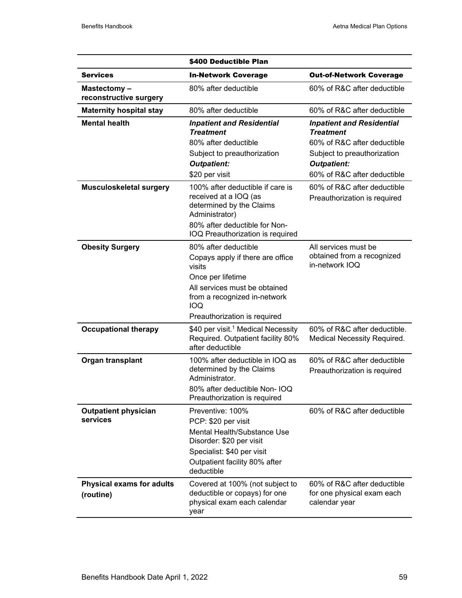|                                               | \$400 Deductible Plan                                                                                                                                                                                  |                                                                                                                                                                         |  |
|-----------------------------------------------|--------------------------------------------------------------------------------------------------------------------------------------------------------------------------------------------------------|-------------------------------------------------------------------------------------------------------------------------------------------------------------------------|--|
| <b>Services</b>                               | <b>In-Network Coverage</b>                                                                                                                                                                             | <b>Out-of-Network Coverage</b>                                                                                                                                          |  |
| Mastectomy-<br>reconstructive surgery         | 80% after deductible                                                                                                                                                                                   | 60% of R&C after deductible                                                                                                                                             |  |
| <b>Maternity hospital stay</b>                | 80% after deductible                                                                                                                                                                                   | 60% of R&C after deductible                                                                                                                                             |  |
| <b>Mental health</b>                          | <b>Inpatient and Residential</b><br><b>Treatment</b><br>80% after deductible<br>Subject to preauthorization<br><b>Outpatient:</b><br>\$20 per visit                                                    | <b>Inpatient and Residential</b><br><b>Treatment</b><br>60% of R&C after deductible<br>Subject to preauthorization<br><b>Outpatient:</b><br>60% of R&C after deductible |  |
| <b>Musculoskeletal surgery</b>                | 100% after deductible if care is<br>received at a IOQ (as<br>determined by the Claims<br>Administrator)<br>80% after deductible for Non-<br>IOQ Preauthorization is required                           | 60% of R&C after deductible<br>Preauthorization is required                                                                                                             |  |
| <b>Obesity Surgery</b>                        | 80% after deductible<br>Copays apply if there are office<br>visits<br>Once per lifetime<br>All services must be obtained<br>from a recognized in-network<br><b>IOQ</b><br>Preauthorization is required | All services must be<br>obtained from a recognized<br>in-network IOQ                                                                                                    |  |
| <b>Occupational therapy</b>                   | \$40 per visit. <sup>1</sup> Medical Necessity<br>Required. Outpatient facility 80%<br>after deductible                                                                                                | 60% of R&C after deductible.<br>Medical Necessity Required.                                                                                                             |  |
| Organ transplant                              | 100% after deductible in IOQ as<br>determined by the Claims<br>Administrator.<br>80% after deductible Non- IOQ<br>Preauthorization is required                                                         | 60% of R&C after deductible<br>Preauthorization is required                                                                                                             |  |
| <b>Outpatient physician</b><br>services       | Preventive: 100%<br>PCP: \$20 per visit<br>Mental Health/Substance Use<br>Disorder: \$20 per visit<br>Specialist: \$40 per visit<br>Outpatient facility 80% after<br>deductible                        | 60% of R&C after deductible                                                                                                                                             |  |
| <b>Physical exams for adults</b><br>(routine) | Covered at 100% (not subject to<br>deductible or copays) for one<br>physical exam each calendar<br>year                                                                                                | 60% of R&C after deductible<br>for one physical exam each<br>calendar year                                                                                              |  |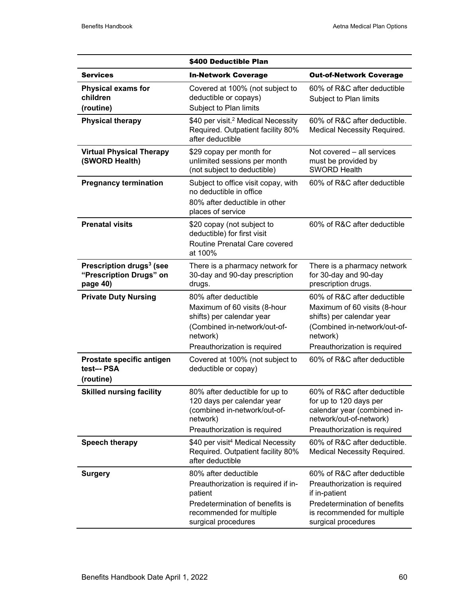|                                                                             | \$400 Deductible Plan                                                                                                                                         |                                                                                                                                                                      |  |
|-----------------------------------------------------------------------------|---------------------------------------------------------------------------------------------------------------------------------------------------------------|----------------------------------------------------------------------------------------------------------------------------------------------------------------------|--|
| <b>Services</b>                                                             | <b>In-Network Coverage</b>                                                                                                                                    | <b>Out-of-Network Coverage</b>                                                                                                                                       |  |
| <b>Physical exams for</b><br>children<br>(routine)                          | Covered at 100% (not subject to<br>deductible or copays)<br>Subject to Plan limits                                                                            | 60% of R&C after deductible<br>Subject to Plan limits                                                                                                                |  |
| <b>Physical therapy</b>                                                     | \$40 per visit. <sup>2</sup> Medical Necessity<br>Required. Outpatient facility 80%<br>after deductible                                                       | 60% of R&C after deductible.<br>Medical Necessity Required.                                                                                                          |  |
| <b>Virtual Physical Therapy</b><br>(SWORD Health)                           | \$29 copay per month for<br>unlimited sessions per month<br>(not subject to deductible)                                                                       | Not covered – all services<br>must be provided by<br><b>SWORD Health</b>                                                                                             |  |
| <b>Pregnancy termination</b>                                                | Subject to office visit copay, with<br>no deductible in office<br>80% after deductible in other<br>places of service                                          | 60% of R&C after deductible                                                                                                                                          |  |
| <b>Prenatal visits</b>                                                      | \$20 copay (not subject to<br>deductible) for first visit<br><b>Routine Prenatal Care covered</b><br>at 100%                                                  | 60% of R&C after deductible                                                                                                                                          |  |
| Prescription drugs <sup>3</sup> (see<br>"Prescription Drugs" on<br>page 40) | There is a pharmacy network for<br>30-day and 90-day prescription<br>drugs.                                                                                   | There is a pharmacy network<br>for 30-day and 90-day<br>prescription drugs.                                                                                          |  |
| <b>Private Duty Nursing</b>                                                 | 80% after deductible<br>Maximum of 60 visits (8-hour<br>shifts) per calendar year<br>(Combined in-network/out-of-<br>network)<br>Preauthorization is required | 60% of R&C after deductible<br>Maximum of 60 visits (8-hour<br>shifts) per calendar year<br>(Combined in-network/out-of-<br>network)<br>Preauthorization is required |  |
| Prostate specific antigen<br>test-- PSA<br>(routine)                        | Covered at 100% (not subject to<br>deductible or copay)                                                                                                       | 60% of R&C after deductible                                                                                                                                          |  |
| <b>Skilled nursing facility</b>                                             | 80% after deductible for up to<br>120 days per calendar year<br>(combined in-network/out-of-<br>network)<br>Preauthorization is required                      | 60% of R&C after deductible<br>for up to 120 days per<br>calendar year (combined in-<br>network/out-of-network)<br>Preauthorization is required                      |  |
| Speech therapy                                                              | \$40 per visit <sup>4</sup> Medical Necessity<br>Required. Outpatient facility 80%<br>after deductible                                                        | 60% of R&C after deductible.<br>Medical Necessity Required.                                                                                                          |  |
| <b>Surgery</b>                                                              | 80% after deductible<br>Preauthorization is required if in-<br>patient<br>Predetermination of benefits is<br>recommended for multiple<br>surgical procedures  | 60% of R&C after deductible<br>Preauthorization is required<br>if in-patient<br>Predetermination of benefits<br>is recommended for multiple<br>surgical procedures   |  |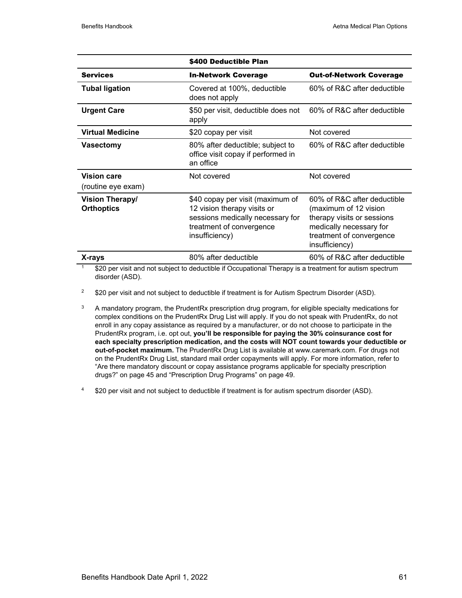|                                             | \$400 Deductible Plan                                                                                                                             |                                                                                                                                                             |  |
|---------------------------------------------|---------------------------------------------------------------------------------------------------------------------------------------------------|-------------------------------------------------------------------------------------------------------------------------------------------------------------|--|
| <b>Services</b>                             | <b>In-Network Coverage</b>                                                                                                                        | <b>Out-of-Network Coverage</b>                                                                                                                              |  |
| <b>Tubal ligation</b>                       | Covered at 100%, deductible<br>does not apply                                                                                                     | 60% of R&C after deductible                                                                                                                                 |  |
| <b>Urgent Care</b>                          | \$50 per visit, deductible does not<br>apply                                                                                                      | 60% of R&C after deductible                                                                                                                                 |  |
| <b>Virtual Medicine</b>                     | \$20 copay per visit                                                                                                                              | Not covered                                                                                                                                                 |  |
| <b>Vasectomy</b>                            | 80% after deductible; subject to<br>office visit copay if performed in<br>an office                                                               | 60% of R&C after deductible                                                                                                                                 |  |
| <b>Vision care</b><br>(routine eye exam)    | Not covered                                                                                                                                       | Not covered                                                                                                                                                 |  |
| <b>Vision Therapy/</b><br><b>Orthoptics</b> | \$40 copay per visit (maximum of<br>12 vision therapy visits or<br>sessions medically necessary for<br>treatment of convergence<br>insufficiency) | 60% of R&C after deductible<br>(maximum of 12 vision<br>therapy visits or sessions<br>medically necessary for<br>treatment of convergence<br>insufficiency) |  |
| X-rays                                      | 60% of R&C after deductible<br>80% after deductible                                                                                               |                                                                                                                                                             |  |

\$20 per visit and not subject to deductible if Occupational Therapy is a treatment for autism spectrum disorder (ASD).

<sup>2</sup> \$20 per visit and not subject to deductible if treatment is for Autism Spectrum Disorder (ASD).

- <sup>3</sup> A mandatory program, the PrudentRx prescription drug program, for eligible specialty medications for complex conditions on the PrudentRx Drug List will apply. If you do not speak with PrudentRx, do not enroll in any copay assistance as required by a manufacturer, or do not choose to participate in the PrudentRx program, i.e. opt out, **you'll be responsible for paying the 30% coinsurance cost for each specialty prescription medication, and the costs will NOT count towards your deductible or out-of-pocket maximum.** The PrudentRx Drug List is available at www.caremark.com. For drugs not on the PrudentRx Drug List, standard mail order copayments will apply. For more information, refer to "Are there mandatory discount or copay assistance programs applicable for specialty prescription drugs?" on page 45 and "Prescription Drug Programs" on page 49.
- 4 \$20 per visit and not subject to deductible if treatment is for autism spectrum disorder (ASD).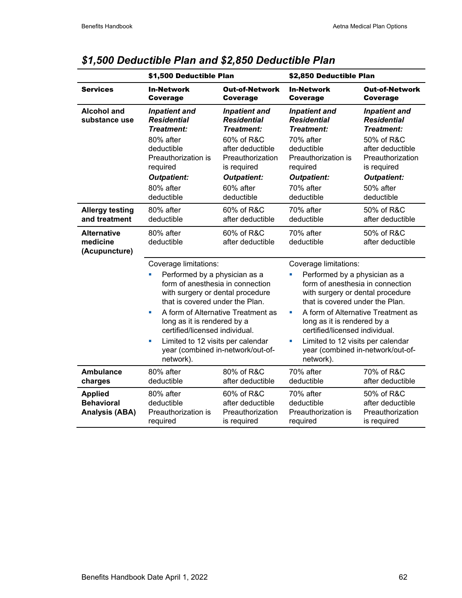|                                                              | \$1,500 Deductible Plan                                                                                                                                                                                                                                                                                                                                                           |                                                                                                                                                                                | \$2,850 Deductible Plan                                                                                                                                                                                                                                                                                                                                             |                                                                                                                                                                                       |  |
|--------------------------------------------------------------|-----------------------------------------------------------------------------------------------------------------------------------------------------------------------------------------------------------------------------------------------------------------------------------------------------------------------------------------------------------------------------------|--------------------------------------------------------------------------------------------------------------------------------------------------------------------------------|---------------------------------------------------------------------------------------------------------------------------------------------------------------------------------------------------------------------------------------------------------------------------------------------------------------------------------------------------------------------|---------------------------------------------------------------------------------------------------------------------------------------------------------------------------------------|--|
| <b>Services</b>                                              | <b>In-Network</b><br><b>Coverage</b>                                                                                                                                                                                                                                                                                                                                              | <b>Out-of-Network</b><br><b>Coverage</b>                                                                                                                                       | <b>In-Network</b><br><b>Coverage</b>                                                                                                                                                                                                                                                                                                                                | <b>Out-of-Network</b><br><b>Coverage</b>                                                                                                                                              |  |
| <b>Alcohol and</b><br>substance use                          | <b>Inpatient and</b><br><b>Residential</b><br><b>Treatment:</b><br>80% after<br>deductible<br>Preauthorization is<br>required<br><b>Outpatient:</b><br>80% after<br>deductible                                                                                                                                                                                                    | <b>Inpatient and</b><br><b>Residential</b><br>Treatment:<br>60% of R&C<br>after deductible<br>Preauthorization<br>is required<br><b>Outpatient:</b><br>60% after<br>deductible | <b>Inpatient and</b><br><b>Residential</b><br><b>Treatment:</b><br>70% after<br>deductible<br>Preauthorization is<br>required<br><b>Outpatient:</b><br>70% after<br>deductible                                                                                                                                                                                      | <b>Inpatient and</b><br><b>Residential</b><br><b>Treatment:</b><br>50% of R&C<br>after deductible<br>Preauthorization<br>is required<br><b>Outpatient:</b><br>50% after<br>deductible |  |
| <b>Allergy testing</b><br>and treatment                      | 80% after<br>deductible                                                                                                                                                                                                                                                                                                                                                           | 60% of R&C<br>after deductible                                                                                                                                                 | 70% after<br>deductible                                                                                                                                                                                                                                                                                                                                             | 50% of R&C<br>after deductible                                                                                                                                                        |  |
| <b>Alternative</b><br>medicine<br>(Acupuncture)              | 80% after<br>deductible                                                                                                                                                                                                                                                                                                                                                           | 60% of R&C<br>after deductible                                                                                                                                                 | 70% after<br>deductible                                                                                                                                                                                                                                                                                                                                             | 50% of R&C<br>after deductible                                                                                                                                                        |  |
|                                                              | Coverage limitations:<br>Performed by a physician as a<br>Ľ.<br>form of anesthesia in connection<br>with surgery or dental procedure<br>that is covered under the Plan.<br>A form of Alternative Treatment as<br>L.<br>long as it is rendered by a<br>certified/licensed individual.<br>Limited to 12 visits per calendar<br>Ľ,<br>year (combined in-network/out-of-<br>network). |                                                                                                                                                                                | Coverage limitations:<br>Performed by a physician as a<br>Ù,<br>form of anesthesia in connection<br>with surgery or dental procedure<br>that is covered under the Plan.<br>$\blacksquare$<br>long as it is rendered by a<br>certified/licensed individual.<br>Limited to 12 visits per calendar<br>$\blacksquare$<br>year (combined in-network/out-of-<br>network). | A form of Alternative Treatment as                                                                                                                                                    |  |
| <b>Ambulance</b><br>charges                                  | 80% after<br>deductible                                                                                                                                                                                                                                                                                                                                                           | 80% of R&C<br>after deductible                                                                                                                                                 | 70% after<br>deductible                                                                                                                                                                                                                                                                                                                                             | 70% of R&C<br>after deductible                                                                                                                                                        |  |
| <b>Applied</b><br><b>Behavioral</b><br><b>Analysis (ABA)</b> | 80% after<br>deductible<br>Preauthorization is<br>required                                                                                                                                                                                                                                                                                                                        | 60% of R&C<br>after deductible<br>Preauthorization<br>is required                                                                                                              | 70% after<br>deductible<br>Preauthorization is<br>required                                                                                                                                                                                                                                                                                                          | 50% of R&C<br>after deductible<br>Preauthorization<br>is required                                                                                                                     |  |

# *\$1,500 Deductible Plan and \$2,850 Deductible Plan*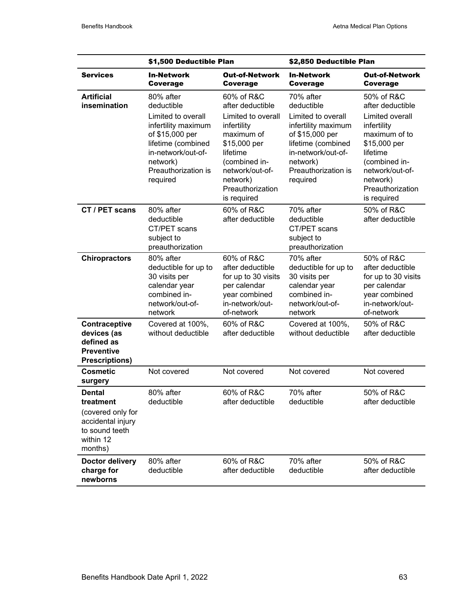|                                                                                                                | \$1,500 Deductible Plan                                                                                                                                                            |                                                                                                                                                                                                  |                                                                                                                                                                                    | \$2,850 Deductible Plan                                                                                                                                                                          |  |  |
|----------------------------------------------------------------------------------------------------------------|------------------------------------------------------------------------------------------------------------------------------------------------------------------------------------|--------------------------------------------------------------------------------------------------------------------------------------------------------------------------------------------------|------------------------------------------------------------------------------------------------------------------------------------------------------------------------------------|--------------------------------------------------------------------------------------------------------------------------------------------------------------------------------------------------|--|--|
| <b>Services</b>                                                                                                | <b>In-Network</b><br>Coverage                                                                                                                                                      | <b>Out-of-Network</b><br><b>Coverage</b>                                                                                                                                                         | <b>In-Network</b><br>Coverage                                                                                                                                                      | <b>Out-of-Network</b><br>Coverage                                                                                                                                                                |  |  |
| <b>Artificial</b><br>insemination                                                                              | 80% after<br>deductible<br>Limited to overall<br>infertility maximum<br>of \$15,000 per<br>lifetime (combined<br>in-network/out-of-<br>network)<br>Preauthorization is<br>required | 60% of R&C<br>after deductible<br>Limited to overall<br>infertility<br>maximum of<br>\$15,000 per<br>lifetime<br>(combined in-<br>network/out-of-<br>network)<br>Preauthorization<br>is required | 70% after<br>deductible<br>Limited to overall<br>infertility maximum<br>of \$15,000 per<br>lifetime (combined<br>in-network/out-of-<br>network)<br>Preauthorization is<br>required | 50% of R&C<br>after deductible<br>Limited overall<br>infertility<br>maximum of to<br>\$15,000 per<br>lifetime<br>(combined in-<br>network/out-of-<br>network)<br>Preauthorization<br>is required |  |  |
| CT / PET scans                                                                                                 | 80% after<br>deductible<br>CT/PET scans<br>subject to<br>preauthorization                                                                                                          | 60% of R&C<br>after deductible                                                                                                                                                                   | 70% after<br>deductible<br>CT/PET scans<br>subject to<br>preauthorization                                                                                                          | 50% of R&C<br>after deductible                                                                                                                                                                   |  |  |
| <b>Chiropractors</b>                                                                                           | 80% after<br>deductible for up to<br>30 visits per<br>calendar year<br>combined in-<br>network/out-of-<br>network                                                                  | 60% of R&C<br>after deductible<br>for up to 30 visits<br>per calendar<br>year combined<br>in-network/out-<br>of-network                                                                          | 70% after<br>deductible for up to<br>30 visits per<br>calendar year<br>combined in-<br>network/out-of-<br>network                                                                  | 50% of R&C<br>after deductible<br>for up to 30 visits<br>per calendar<br>year combined<br>in-network/out-<br>of-network                                                                          |  |  |
| Contraceptive<br>devices (as<br>defined as<br><b>Preventive</b><br><b>Prescriptions)</b>                       | Covered at 100%,<br>without deductible                                                                                                                                             | 60% of R&C<br>after deductible                                                                                                                                                                   | Covered at 100%,<br>without deductible                                                                                                                                             | 50% of R&C<br>after deductible                                                                                                                                                                   |  |  |
| <b>Cosmetic</b><br>surgery                                                                                     | Not covered                                                                                                                                                                        | Not covered                                                                                                                                                                                      | Not covered                                                                                                                                                                        | Not covered                                                                                                                                                                                      |  |  |
| <b>Dental</b><br>treatment<br>(covered only for<br>accidental injury<br>to sound teeth<br>within 12<br>months) | 80% after<br>deductible                                                                                                                                                            | 60% of R&C<br>after deductible                                                                                                                                                                   | 70% after<br>deductible                                                                                                                                                            | 50% of R&C<br>after deductible                                                                                                                                                                   |  |  |
| Doctor delivery<br>charge for<br>newborns                                                                      | 80% after<br>deductible                                                                                                                                                            | 60% of R&C<br>after deductible                                                                                                                                                                   | 70% after<br>deductible                                                                                                                                                            | 50% of R&C<br>after deductible                                                                                                                                                                   |  |  |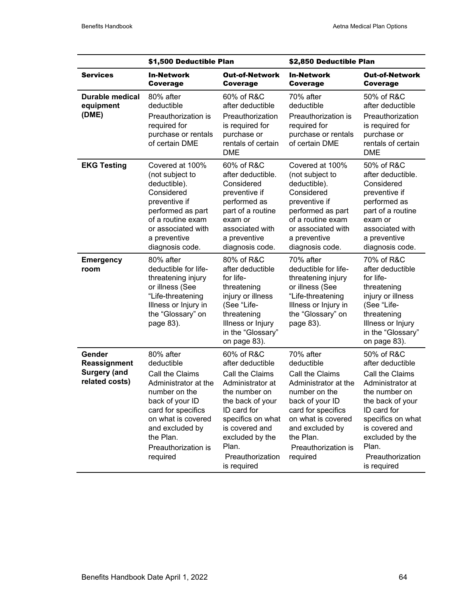|                                                                 | \$1,500 Deductible Plan                                                                                                                                                                                               |                                                                                                                                                                                                                                 | \$2,850 Deductible Plan                                                                                                                                                                                               |                                                                                                                                                                                                                                 |  |
|-----------------------------------------------------------------|-----------------------------------------------------------------------------------------------------------------------------------------------------------------------------------------------------------------------|---------------------------------------------------------------------------------------------------------------------------------------------------------------------------------------------------------------------------------|-----------------------------------------------------------------------------------------------------------------------------------------------------------------------------------------------------------------------|---------------------------------------------------------------------------------------------------------------------------------------------------------------------------------------------------------------------------------|--|
| <b>Services</b>                                                 | <b>In-Network</b><br>Coverage                                                                                                                                                                                         | <b>Out-of-Network</b><br>Coverage                                                                                                                                                                                               | <b>In-Network</b><br>Coverage                                                                                                                                                                                         | <b>Out-of-Network</b><br><b>Coverage</b>                                                                                                                                                                                        |  |
| Durable medical<br>equipment<br>(DME)                           | 80% after<br>deductible<br>Preauthorization is<br>required for<br>purchase or rentals<br>of certain DME                                                                                                               | 60% of R&C<br>after deductible<br>Preauthorization<br>is required for<br>purchase or<br>rentals of certain<br><b>DME</b>                                                                                                        | 70% after<br>deductible<br>Preauthorization is<br>required for<br>purchase or rentals<br>of certain DME                                                                                                               | 50% of R&C<br>after deductible<br>Preauthorization<br>is required for<br>purchase or<br>rentals of certain<br><b>DME</b>                                                                                                        |  |
| <b>EKG Testing</b>                                              | Covered at 100%<br>(not subject to<br>deductible).<br>Considered<br>preventive if<br>performed as part<br>of a routine exam<br>or associated with<br>a preventive<br>diagnosis code.                                  | 60% of R&C<br>after deductible.<br>Considered<br>preventive if<br>performed as<br>part of a routine<br>exam or<br>associated with<br>a preventive<br>diagnosis code.                                                            | Covered at 100%<br>(not subject to<br>deductible).<br>Considered<br>preventive if<br>performed as part<br>of a routine exam<br>or associated with<br>a preventive<br>diagnosis code.                                  | 50% of R&C<br>after deductible.<br>Considered<br>preventive if<br>performed as<br>part of a routine<br>exam or<br>associated with<br>a preventive<br>diagnosis code.                                                            |  |
| <b>Emergency</b><br>room                                        | 80% after<br>deductible for life-<br>threatening injury<br>or illness (See<br>"Life-threatening<br>Illness or Injury in<br>the "Glossary" on<br>page 83).                                                             | 80% of R&C<br>after deductible<br>for life-<br>threatening<br>injury or illness<br>(See "Life-<br>threatening<br>Illness or Injury<br>in the "Glossary"<br>on page 83).                                                         | 70% after<br>deductible for life-<br>threatening injury<br>or illness (See<br>"Life-threatening<br>Illness or Injury in<br>the "Glossary" on<br>page 83).                                                             | 70% of R&C<br>after deductible<br>for life-<br>threatening<br>injury or illness<br>(See "Life-<br>threatening<br>Illness or Injury<br>in the "Glossary"<br>on page 83).                                                         |  |
| Gender<br>Reassignment<br><b>Surgery (and</b><br>related costs) | 80% after<br>deductible<br>Call the Claims<br>Administrator at the<br>number on the<br>back of your ID<br>card for specifics<br>on what is covered<br>and excluded by<br>the Plan.<br>Preauthorization is<br>required | 60% of R&C<br>after deductible<br>Call the Claims<br>Administrator at<br>the number on<br>the back of your<br>ID card for<br>specifics on what<br>is covered and<br>excluded by the<br>Plan.<br>Preauthorization<br>is required | 70% after<br>deductible<br>Call the Claims<br>Administrator at the<br>number on the<br>back of your ID<br>card for specifics<br>on what is covered<br>and excluded by<br>the Plan.<br>Preauthorization is<br>required | 50% of R&C<br>after deductible<br>Call the Claims<br>Administrator at<br>the number on<br>the back of your<br>ID card for<br>specifics on what<br>is covered and<br>excluded by the<br>Plan.<br>Preauthorization<br>is required |  |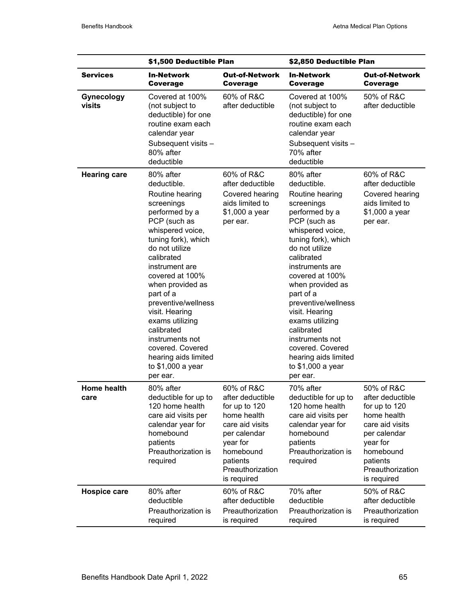|                             | \$1,500 Deductible Plan                                                                                                                                                                                                                                                                                                                                                                                                |                                                                                                                                                                           | \$2,850 Deductible Plan                                                                                                                                                                                                                                                                                                                                                                                                 |                                                                                                                                                                           |
|-----------------------------|------------------------------------------------------------------------------------------------------------------------------------------------------------------------------------------------------------------------------------------------------------------------------------------------------------------------------------------------------------------------------------------------------------------------|---------------------------------------------------------------------------------------------------------------------------------------------------------------------------|-------------------------------------------------------------------------------------------------------------------------------------------------------------------------------------------------------------------------------------------------------------------------------------------------------------------------------------------------------------------------------------------------------------------------|---------------------------------------------------------------------------------------------------------------------------------------------------------------------------|
| <b>Services</b>             | <b>In-Network</b><br>Coverage                                                                                                                                                                                                                                                                                                                                                                                          | Out-of-Network<br>Coverage                                                                                                                                                | <b>In-Network</b><br><b>Coverage</b>                                                                                                                                                                                                                                                                                                                                                                                    | <b>Out-of-Network</b><br>Coverage                                                                                                                                         |
| <b>Gynecology</b><br>visits | Covered at 100%<br>(not subject to<br>deductible) for one<br>routine exam each<br>calendar year<br>Subsequent visits -<br>80% after<br>deductible                                                                                                                                                                                                                                                                      | 60% of R&C<br>after deductible                                                                                                                                            | Covered at 100%<br>(not subject to<br>deductible) for one<br>routine exam each<br>calendar year<br>Subsequent visits -<br>70% after<br>deductible                                                                                                                                                                                                                                                                       | 50% of R&C<br>after deductible                                                                                                                                            |
| <b>Hearing care</b>         | 80% after<br>deductible.<br>Routine hearing<br>screenings<br>performed by a<br>PCP (such as<br>whispered voice,<br>tuning fork), which<br>do not utilize<br>calibrated<br>instrument are<br>covered at 100%<br>when provided as<br>part of a<br>preventive/wellness<br>visit. Hearing<br>exams utilizing<br>calibrated<br>instruments not<br>covered. Covered<br>hearing aids limited<br>to \$1,000 a year<br>per ear. | 60% of R&C<br>after deductible<br>Covered hearing<br>aids limited to<br>\$1,000 a year<br>per ear.                                                                        | 80% after<br>deductible.<br>Routine hearing<br>screenings<br>performed by a<br>PCP (such as<br>whispered voice,<br>tuning fork), which<br>do not utilize<br>calibrated<br>instruments are<br>covered at 100%<br>when provided as<br>part of a<br>preventive/wellness<br>visit. Hearing<br>exams utilizing<br>calibrated<br>instruments not<br>covered. Covered<br>hearing aids limited<br>to \$1,000 a year<br>per ear. | 60% of R&C<br>after deductible<br>Covered hearing<br>aids limited to<br>\$1,000 a year<br>per ear.                                                                        |
| <b>Home health</b><br>care  | 80% after<br>deductible for up to<br>120 home health<br>care aid visits per<br>calendar year for<br>homebound<br>patients<br>Preauthorization is<br>required                                                                                                                                                                                                                                                           | 60% of R&C<br>after deductible<br>for up to 120<br>home health<br>care aid visits<br>per calendar<br>year for<br>homebound<br>patients<br>Preauthorization<br>is required | 70% after<br>deductible for up to<br>120 home health<br>care aid visits per<br>calendar year for<br>homebound<br>patients<br>Preauthorization is<br>required                                                                                                                                                                                                                                                            | 50% of R&C<br>after deductible<br>for up to 120<br>home health<br>care aid visits<br>per calendar<br>year for<br>homebound<br>patients<br>Preauthorization<br>is required |
| <b>Hospice care</b>         | 80% after<br>deductible<br>Preauthorization is<br>required                                                                                                                                                                                                                                                                                                                                                             | 60% of R&C<br>after deductible<br>Preauthorization<br>is required                                                                                                         | 70% after<br>deductible<br>Preauthorization is<br>required                                                                                                                                                                                                                                                                                                                                                              | 50% of R&C<br>after deductible<br>Preauthorization<br>is required                                                                                                         |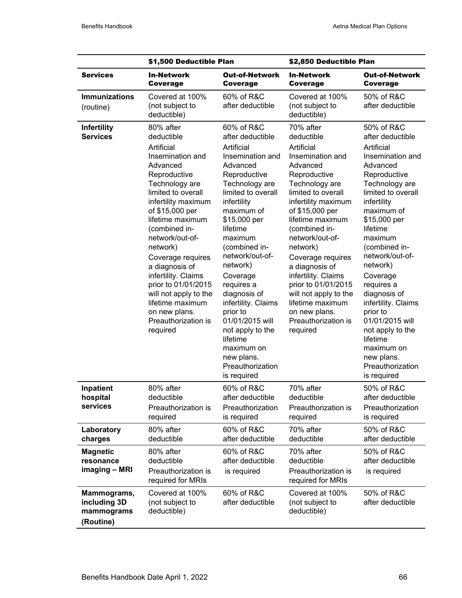|                                                        | \$1,500 Deductible Plan                                                                                                                                                                                                                                                                                                                                                                                                           |                                                                                                                                                                                                                                                                                                                                                                                                                                                         | \$2,850 Deductible Plan                                                                                                                                                                                                                                                                                                                                                                                                           |                                                                                                                                                                                                                                                                                                                                                                                                                                                         |
|--------------------------------------------------------|-----------------------------------------------------------------------------------------------------------------------------------------------------------------------------------------------------------------------------------------------------------------------------------------------------------------------------------------------------------------------------------------------------------------------------------|---------------------------------------------------------------------------------------------------------------------------------------------------------------------------------------------------------------------------------------------------------------------------------------------------------------------------------------------------------------------------------------------------------------------------------------------------------|-----------------------------------------------------------------------------------------------------------------------------------------------------------------------------------------------------------------------------------------------------------------------------------------------------------------------------------------------------------------------------------------------------------------------------------|---------------------------------------------------------------------------------------------------------------------------------------------------------------------------------------------------------------------------------------------------------------------------------------------------------------------------------------------------------------------------------------------------------------------------------------------------------|
| <b>Services</b>                                        | <b>In-Network</b><br><b>Coverage</b>                                                                                                                                                                                                                                                                                                                                                                                              | <b>Out-of-Network</b><br>Coverage                                                                                                                                                                                                                                                                                                                                                                                                                       | <b>In-Network</b><br><b>Coverage</b>                                                                                                                                                                                                                                                                                                                                                                                              | <b>Out-of-Network</b><br>Coverage                                                                                                                                                                                                                                                                                                                                                                                                                       |
| <b>Immunizations</b><br>(routine)                      | Covered at 100%<br>(not subject to<br>deductible)                                                                                                                                                                                                                                                                                                                                                                                 | 60% of R&C<br>after deductible                                                                                                                                                                                                                                                                                                                                                                                                                          | Covered at 100%<br>(not subject to<br>deductible)                                                                                                                                                                                                                                                                                                                                                                                 | 50% of R&C<br>after deductible                                                                                                                                                                                                                                                                                                                                                                                                                          |
| <b>Infertility</b><br><b>Services</b>                  | 80% after<br>deductible<br>Artificial<br>Insemination and<br>Advanced<br>Reproductive<br>Technology are<br>limited to overall<br>infertility maximum<br>of \$15,000 per<br>lifetime maximum<br>(combined in-<br>network/out-of-<br>network)<br>Coverage requires<br>a diagnosis of<br>infertility. Claims<br>prior to 01/01/2015<br>will not apply to the<br>lifetime maximum<br>on new plans.<br>Preauthorization is<br>required | 60% of R&C<br>after deductible<br>Artificial<br>Insemination and<br>Advanced<br>Reproductive<br>Technology are<br>limited to overall<br>infertility<br>maximum of<br>\$15,000 per<br>lifetime<br>maximum<br>(combined in-<br>network/out-of-<br>network)<br>Coverage<br>requires a<br>diagnosis of<br>infertility. Claims<br>prior to<br>01/01/2015 will<br>not apply to the<br>lifetime<br>maximum on<br>new plans.<br>Preauthorization<br>is required | 70% after<br>deductible<br>Artificial<br>Insemination and<br>Advanced<br>Reproductive<br>Technology are<br>limited to overall<br>infertility maximum<br>of \$15,000 per<br>lifetime maximum<br>(combined in-<br>network/out-of-<br>network)<br>Coverage requires<br>a diagnosis of<br>infertility. Claims<br>prior to 01/01/2015<br>will not apply to the<br>lifetime maximum<br>on new plans.<br>Preauthorization is<br>required | 50% of R&C<br>after deductible<br>Artificial<br>Insemination and<br>Advanced<br>Reproductive<br>Technology are<br>limited to overall<br>infertility<br>maximum of<br>\$15,000 per<br>lifetime<br>maximum<br>(combined in-<br>network/out-of-<br>network)<br>Coverage<br>requires a<br>diagnosis of<br>infertility. Claims<br>prior to<br>01/01/2015 will<br>not apply to the<br>lifetime<br>maximum on<br>new plans.<br>Preauthorization<br>is required |
| Inpatient<br>hospital<br>services                      | 80% after<br>deductible<br>Preauthorization is<br>required                                                                                                                                                                                                                                                                                                                                                                        | 60% of R&C<br>after deductible<br>Preauthorization<br>is required                                                                                                                                                                                                                                                                                                                                                                                       | 70% after<br>deductible<br>Preauthorization is<br>required                                                                                                                                                                                                                                                                                                                                                                        | 50% of R&C<br>after deductible<br>Preauthorization<br>is required                                                                                                                                                                                                                                                                                                                                                                                       |
| Laboratory<br>charges                                  | 80% after<br>deductible                                                                                                                                                                                                                                                                                                                                                                                                           | 60% of R&C<br>after deductible                                                                                                                                                                                                                                                                                                                                                                                                                          | 70% after<br>deductible                                                                                                                                                                                                                                                                                                                                                                                                           | 50% of R&C<br>after deductible                                                                                                                                                                                                                                                                                                                                                                                                                          |
| <b>Magnetic</b><br>resonance<br>imaging - MRI          | 80% after<br>deductible<br>Preauthorization is<br>required for MRIs                                                                                                                                                                                                                                                                                                                                                               | 60% of R&C<br>after deductible<br>is required                                                                                                                                                                                                                                                                                                                                                                                                           | 70% after<br>deductible<br>Preauthorization is<br>required for MRIs                                                                                                                                                                                                                                                                                                                                                               | 50% of R&C<br>after deductible<br>is required                                                                                                                                                                                                                                                                                                                                                                                                           |
| Mammograms,<br>including 3D<br>mammograms<br>(Routine) | Covered at 100%<br>(not subject to<br>deductible)                                                                                                                                                                                                                                                                                                                                                                                 | 60% of R&C<br>after deductible                                                                                                                                                                                                                                                                                                                                                                                                                          | Covered at 100%<br>(not subject to<br>deductible)                                                                                                                                                                                                                                                                                                                                                                                 | 50% of R&C<br>after deductible                                                                                                                                                                                                                                                                                                                                                                                                                          |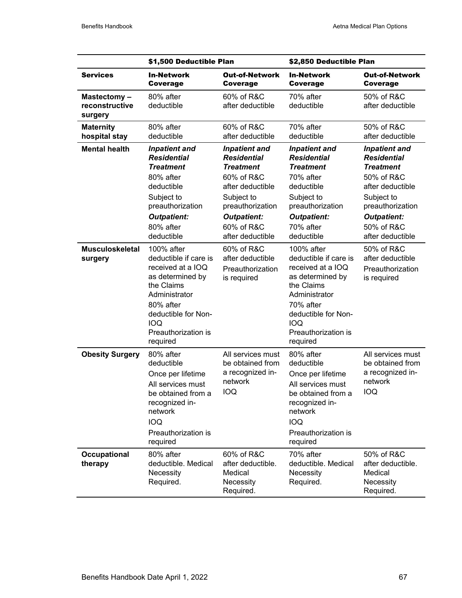|                                          | \$1,500 Deductible Plan                                                                                                                                                                          |                                                                                                                                                                                            | \$2,850 Deductible Plan                                                                                                                                                                          |                                                                                                                                                                                            |
|------------------------------------------|--------------------------------------------------------------------------------------------------------------------------------------------------------------------------------------------------|--------------------------------------------------------------------------------------------------------------------------------------------------------------------------------------------|--------------------------------------------------------------------------------------------------------------------------------------------------------------------------------------------------|--------------------------------------------------------------------------------------------------------------------------------------------------------------------------------------------|
| <b>Services</b>                          | <b>In-Network</b><br>Coverage                                                                                                                                                                    | <b>Out-of-Network</b><br>Coverage                                                                                                                                                          | <b>In-Network</b><br>Coverage                                                                                                                                                                    | Out-of-Network<br>Coverage                                                                                                                                                                 |
| Mastectomy-<br>reconstructive<br>surgery | 80% after<br>deductible                                                                                                                                                                          | 60% of R&C<br>after deductible                                                                                                                                                             | 70% after<br>deductible                                                                                                                                                                          | 50% of R&C<br>after deductible                                                                                                                                                             |
| <b>Maternity</b><br>hospital stay        | 80% after<br>deductible                                                                                                                                                                          | 60% of R&C<br>after deductible                                                                                                                                                             | 70% after<br>deductible                                                                                                                                                                          | 50% of R&C<br>after deductible                                                                                                                                                             |
| <b>Mental health</b>                     | <b>Inpatient and</b><br><b>Residential</b><br><b>Treatment</b><br>80% after<br>deductible<br>Subject to<br>preauthorization<br><b>Outpatient:</b><br>80% after<br>deductible                     | <b>Inpatient and</b><br><b>Residential</b><br><b>Treatment</b><br>60% of R&C<br>after deductible<br>Subject to<br>preauthorization<br><b>Outpatient:</b><br>60% of R&C<br>after deductible | <b>Inpatient and</b><br><b>Residential</b><br><b>Treatment</b><br>70% after<br>deductible<br>Subject to<br>preauthorization<br><b>Outpatient:</b><br>70% after<br>deductible                     | <b>Inpatient and</b><br><b>Residential</b><br><b>Treatment</b><br>50% of R&C<br>after deductible<br>Subject to<br>preauthorization<br><b>Outpatient:</b><br>50% of R&C<br>after deductible |
| <b>Musculoskeletal</b><br>surgery        | 100% after<br>deductible if care is<br>received at a IOQ<br>as determined by<br>the Claims<br>Administrator<br>80% after<br>deductible for Non-<br><b>IOQ</b><br>Preauthorization is<br>required | 60% of R&C<br>after deductible<br>Preauthorization<br>is required                                                                                                                          | 100% after<br>deductible if care is<br>received at a IOQ<br>as determined by<br>the Claims<br>Administrator<br>70% after<br>deductible for Non-<br><b>IOQ</b><br>Preauthorization is<br>required | 50% of R&C<br>after deductible<br>Preauthorization<br>is required                                                                                                                          |
| <b>Obesity Surgery</b>                   | 80% after<br>deductible<br>Once per lifetime<br>All services must<br>be obtained from a<br>recognized in-<br>network<br><b>IOQ</b><br>Preauthorization is<br>required                            | All services must<br>be obtained from<br>a recognized in-<br>network<br><b>IOQ</b>                                                                                                         | 80% after<br>deductible<br>Once per lifetime<br>All services must<br>be obtained from a<br>recognized in-<br>network<br><b>IOQ</b><br>Preauthorization is<br>required                            | All services must<br>be obtained from<br>a recognized in-<br>network<br><b>IOQ</b>                                                                                                         |
| Occupational<br>therapy                  | 80% after<br>deductible. Medical<br>Necessity<br>Required.                                                                                                                                       | 60% of R&C<br>after deductible.<br>Medical<br>Necessity<br>Required.                                                                                                                       | 70% after<br>deductible. Medical<br>Necessity<br>Required.                                                                                                                                       | 50% of R&C<br>after deductible.<br>Medical<br>Necessity<br>Required.                                                                                                                       |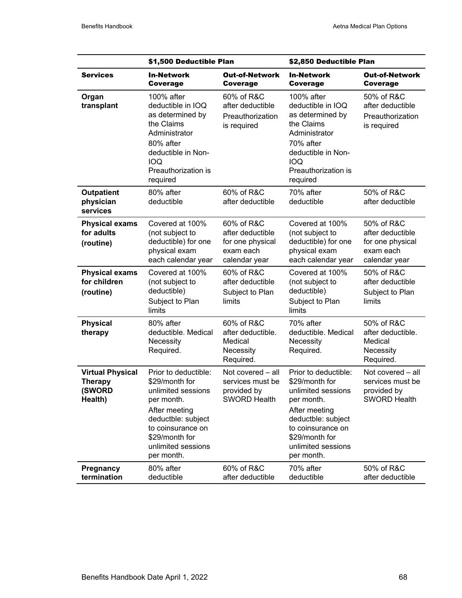| <b>Services</b>                                                | \$1,500 Deductible Plan                                                                                                                                                   |                                                                                  | \$2,850 Deductible Plan                                                                                                                                                |                                                                                  |
|----------------------------------------------------------------|---------------------------------------------------------------------------------------------------------------------------------------------------------------------------|----------------------------------------------------------------------------------|------------------------------------------------------------------------------------------------------------------------------------------------------------------------|----------------------------------------------------------------------------------|
|                                                                | <b>In-Network</b><br><b>Coverage</b>                                                                                                                                      | <b>Out-of-Network</b><br><b>Coverage</b>                                         | <b>In-Network</b><br><b>Coverage</b>                                                                                                                                   | <b>Out-of-Network</b><br><b>Coverage</b>                                         |
| Organ<br>transplant                                            | $100\%$ after<br>deductible in IOQ<br>as determined by<br>the Claims<br>Administrator<br>80% after<br>deductible in Non-<br><b>IOQ</b><br>Preauthorization is<br>required | 60% of R&C<br>after deductible<br>Preauthorization<br>is required                | 100% after<br>deductible in IOQ<br>as determined by<br>the Claims<br>Administrator<br>70% after<br>deductible in Non-<br><b>IOQ</b><br>Preauthorization is<br>required | 50% of R&C<br>after deductible<br>Preauthorization<br>is required                |
| <b>Outpatient</b><br>physician<br>services                     | 80% after<br>deductible                                                                                                                                                   | 60% of R&C<br>after deductible                                                   | 70% after<br>deductible                                                                                                                                                | 50% of R&C<br>after deductible                                                   |
| <b>Physical exams</b><br>for adults<br>(routine)               | Covered at 100%<br>(not subject to<br>deductible) for one<br>physical exam<br>each calendar year                                                                          | 60% of R&C<br>after deductible<br>for one physical<br>exam each<br>calendar year | Covered at 100%<br>(not subject to<br>deductible) for one<br>physical exam<br>each calendar year                                                                       | 50% of R&C<br>after deductible<br>for one physical<br>exam each<br>calendar year |
| <b>Physical exams</b><br>for children<br>(routine)             | Covered at 100%<br>(not subject to<br>deductible)<br>Subject to Plan<br>limits                                                                                            | 60% of R&C<br>after deductible<br>Subject to Plan<br>limits                      | Covered at 100%<br>(not subject to<br>deductible)<br>Subject to Plan<br>limits                                                                                         | 50% of R&C<br>after deductible<br>Subject to Plan<br>limits                      |
| <b>Physical</b><br>therapy                                     | 80% after<br>deductible. Medical<br>Necessity<br>Required.                                                                                                                | 60% of R&C<br>after deductible.<br>Medical<br>Necessity<br>Required.             | 70% after<br>deductible. Medical<br>Necessity<br>Required.                                                                                                             | 50% of R&C<br>after deductible.<br>Medical<br>Necessity<br>Required.             |
| <b>Virtual Physical</b><br><b>Therapy</b><br>(SWORD<br>Health) | Prior to deductible:<br>\$29/month for<br>unlimited sessions<br>per month.                                                                                                | Not covered - all<br>services must be<br>provided by<br><b>SWORD Health</b>      | Prior to deductible:<br>\$29/month for<br>unlimited sessions<br>per month.                                                                                             | Not covered - all<br>services must be<br>provided by<br><b>SWORD Health</b>      |
|                                                                | After meeting<br>deductble: subject<br>to coinsurance on<br>\$29/month for<br>unlimited sessions<br>per month.                                                            |                                                                                  | After meeting<br>deductble: subject<br>to coinsurance on<br>\$29/month for<br>unlimited sessions<br>per month.                                                         |                                                                                  |
| Pregnancy<br>termination                                       | 80% after<br>deductible                                                                                                                                                   | 60% of R&C<br>after deductible                                                   | 70% after<br>deductible                                                                                                                                                | 50% of R&C<br>after deductible                                                   |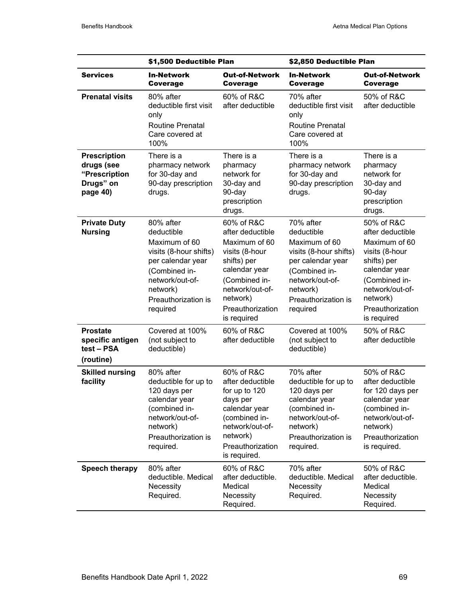|                                                                             | \$1,500 Deductible Plan                                                                                                                                                    |                                                                                                                                                                                      | \$2,850 Deductible Plan                                                                                                                                                    |                                                                                                                                                                                      |
|-----------------------------------------------------------------------------|----------------------------------------------------------------------------------------------------------------------------------------------------------------------------|--------------------------------------------------------------------------------------------------------------------------------------------------------------------------------------|----------------------------------------------------------------------------------------------------------------------------------------------------------------------------|--------------------------------------------------------------------------------------------------------------------------------------------------------------------------------------|
| <b>Services</b>                                                             | <b>In-Network</b><br><b>Coverage</b>                                                                                                                                       | <b>Out-of-Network</b><br><b>Coverage</b>                                                                                                                                             | <b>In-Network</b><br>Coverage                                                                                                                                              | <b>Out-of-Network</b><br>Coverage                                                                                                                                                    |
| <b>Prenatal visits</b>                                                      | 80% after<br>deductible first visit<br>only<br><b>Routine Prenatal</b><br>Care covered at<br>100%                                                                          | 60% of R&C<br>after deductible                                                                                                                                                       | 70% after<br>deductible first visit<br>only<br><b>Routine Prenatal</b><br>Care covered at<br>100%                                                                          | 50% of R&C<br>after deductible                                                                                                                                                       |
| <b>Prescription</b><br>drugs (see<br>"Prescription<br>Drugs" on<br>page 40) | There is a<br>pharmacy network<br>for 30-day and<br>90-day prescription<br>drugs.                                                                                          | There is a<br>pharmacy<br>network for<br>30-day and<br>90-day<br>prescription<br>drugs.                                                                                              | There is a<br>pharmacy network<br>for 30-day and<br>90-day prescription<br>drugs.                                                                                          | There is a<br>pharmacy<br>network for<br>30-day and<br>90-day<br>prescription<br>drugs.                                                                                              |
| <b>Private Duty</b><br><b>Nursing</b>                                       | 80% after<br>deductible<br>Maximum of 60<br>visits (8-hour shifts)<br>per calendar year<br>(Combined in-<br>network/out-of-<br>network)<br>Preauthorization is<br>required | 60% of R&C<br>after deductible<br>Maximum of 60<br>visits (8-hour<br>shifts) per<br>calendar year<br>(Combined in-<br>network/out-of-<br>network)<br>Preauthorization<br>is required | 70% after<br>deductible<br>Maximum of 60<br>visits (8-hour shifts)<br>per calendar year<br>(Combined in-<br>network/out-of-<br>network)<br>Preauthorization is<br>required | 50% of R&C<br>after deductible<br>Maximum of 60<br>visits (8-hour<br>shifts) per<br>calendar year<br>(Combined in-<br>network/out-of-<br>network)<br>Preauthorization<br>is required |
| <b>Prostate</b><br>specific antigen<br>test - PSA<br>(routine)              | Covered at 100%<br>(not subject to<br>deductible)                                                                                                                          | 60% of R&C<br>after deductible                                                                                                                                                       | Covered at 100%<br>(not subject to<br>deductible)                                                                                                                          | 50% of R&C<br>after deductible                                                                                                                                                       |
| <b>Skilled nursing</b><br>facility                                          | 80% after<br>deductible for up to<br>120 days per<br>calendar year<br>(combined in-<br>network/out-of-<br>network)<br>Preauthorization is<br>required.                     | 60% of R&C<br>after deductible<br>for up to 120<br>days per<br>calendar year<br>(combined in-<br>network/out-of-<br>network)<br>Preauthorization<br>is required.                     | 70% after<br>deductible for up to<br>120 days per<br>calendar year<br>(combined in-<br>network/out-of-<br>network)<br>Preauthorization is<br>required.                     | 50% of R&C<br>after deductible<br>for 120 days per<br>calendar year<br>(combined in-<br>network/out-of-<br>network)<br>Preauthorization<br>is required.                              |
| Speech therapy                                                              | 80% after<br>deductible. Medical<br>Necessity<br>Required.                                                                                                                 | 60% of R&C<br>after deductible.<br>Medical<br>Necessity<br>Required.                                                                                                                 | 70% after<br>deductible. Medical<br>Necessity<br>Required.                                                                                                                 | 50% of R&C<br>after deductible.<br>Medical<br>Necessity<br>Required.                                                                                                                 |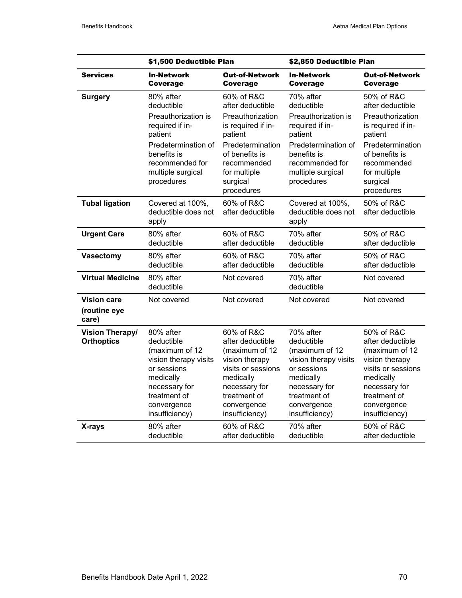|                                             | \$1,500 Deductible Plan                                                                                                                                                  |                                                                                                                                                                                    | \$2,850 Deductible Plan                                                                                                                                                  |                                                                                                                                                                                    |
|---------------------------------------------|--------------------------------------------------------------------------------------------------------------------------------------------------------------------------|------------------------------------------------------------------------------------------------------------------------------------------------------------------------------------|--------------------------------------------------------------------------------------------------------------------------------------------------------------------------|------------------------------------------------------------------------------------------------------------------------------------------------------------------------------------|
| <b>Services</b>                             | <b>In-Network</b><br>Coverage                                                                                                                                            | <b>Out-of-Network</b><br><b>Coverage</b>                                                                                                                                           | <b>In-Network</b><br>Coverage                                                                                                                                            | <b>Out-of-Network</b><br><b>Coverage</b>                                                                                                                                           |
| <b>Surgery</b>                              | 80% after<br>deductible<br>Preauthorization is<br>required if in-<br>patient<br>Predetermination of<br>benefits is<br>recommended for<br>multiple surgical<br>procedures | 60% of R&C<br>after deductible<br>Preauthorization<br>is required if in-<br>patient<br>Predetermination<br>of benefits is<br>recommended<br>for multiple<br>surgical<br>procedures | 70% after<br>deductible<br>Preauthorization is<br>required if in-<br>patient<br>Predetermination of<br>benefits is<br>recommended for<br>multiple surgical<br>procedures | 50% of R&C<br>after deductible<br>Preauthorization<br>is required if in-<br>patient<br>Predetermination<br>of benefits is<br>recommended<br>for multiple<br>surgical<br>procedures |
| <b>Tubal ligation</b>                       | Covered at 100%,<br>deductible does not<br>apply                                                                                                                         | 60% of R&C<br>after deductible                                                                                                                                                     | Covered at 100%,<br>deductible does not<br>apply                                                                                                                         | 50% of R&C<br>after deductible                                                                                                                                                     |
| <b>Urgent Care</b>                          | 80% after<br>deductible                                                                                                                                                  | 60% of R&C<br>after deductible                                                                                                                                                     | 70% after<br>deductible                                                                                                                                                  | 50% of R&C<br>after deductible                                                                                                                                                     |
| <b>Vasectomy</b>                            | 80% after<br>deductible                                                                                                                                                  | 60% of R&C<br>after deductible                                                                                                                                                     | 70% after<br>deductible                                                                                                                                                  | 50% of R&C<br>after deductible                                                                                                                                                     |
| <b>Virtual Medicine</b>                     | 80% after<br>deductible                                                                                                                                                  | Not covered                                                                                                                                                                        | 70% after<br>deductible                                                                                                                                                  | Not covered                                                                                                                                                                        |
| <b>Vision care</b><br>(routine eye<br>care) | Not covered                                                                                                                                                              | Not covered                                                                                                                                                                        | Not covered                                                                                                                                                              | Not covered                                                                                                                                                                        |
| <b>Vision Therapy/</b><br><b>Orthoptics</b> | 80% after<br>deductible<br>(maximum of 12<br>vision therapy visits<br>or sessions<br>medically<br>necessary for<br>treatment of<br>convergence<br>insufficiency)         | 60% of R&C<br>after deductible<br>(maximum of 12<br>vision therapy<br>visits or sessions<br>medically<br>necessary for<br>treatment of<br>convergence<br>insufficiency)            | 70% after<br>deductible<br>(maximum of 12<br>vision therapy visits<br>or sessions<br>medically<br>necessary for<br>treatment of<br>convergence<br>insufficiency)         | 50% of R&C<br>after deductible<br>(maximum of 12<br>vision therapy<br>visits or sessions<br>medically<br>necessary for<br>treatment of<br>convergence<br>insufficiency)            |
| X-rays                                      | 80% after<br>deductible                                                                                                                                                  | 60% of R&C<br>after deductible                                                                                                                                                     | 70% after<br>deductible                                                                                                                                                  | 50% of R&C<br>after deductible                                                                                                                                                     |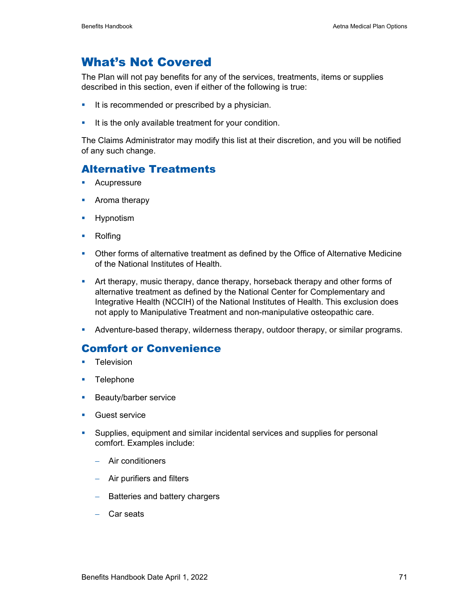# What's Not Covered

The Plan will not pay benefits for any of the services, treatments, items or supplies described in this section, even if either of the following is true:

- It is recommended or prescribed by a physician.
- It is the only available treatment for your condition.

The Claims Administrator may modify this list at their discretion, and you will be notified of any such change.

## Alternative Treatments

- **Acupressure**
- **•** Aroma therapy
- **Hypnotism**
- **Rolfing**
- Other forms of alternative treatment as defined by the Office of Alternative Medicine of the National Institutes of Health.
- Art therapy, music therapy, dance therapy, horseback therapy and other forms of alternative treatment as defined by the National Center for Complementary and Integrative Health (NCCIH) of the National Institutes of Health. This exclusion does not apply to Manipulative Treatment and non-manipulative osteopathic care.
- Adventure-based therapy, wilderness therapy, outdoor therapy, or similar programs.

### Comfort or Convenience

- **Television**
- **Telephone**
- **Beauty/barber service**
- Guest service
- Supplies, equipment and similar incidental services and supplies for personal comfort. Examples include:
	- − Air conditioners
	- − Air purifiers and filters
	- − Batteries and battery chargers
	- − Car seats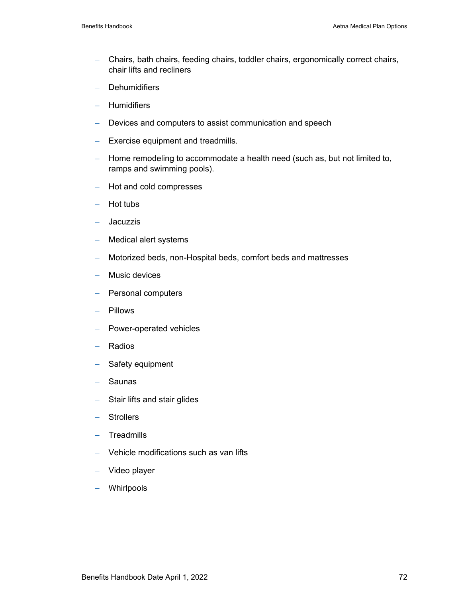- − Chairs, bath chairs, feeding chairs, toddler chairs, ergonomically correct chairs, chair lifts and recliners
- − Dehumidifiers
- − Humidifiers
- − Devices and computers to assist communication and speech
- − Exercise equipment and treadmills.
- − Home remodeling to accommodate a health need (such as, but not limited to, ramps and swimming pools).
- − Hot and cold compresses
- − Hot tubs
- − Jacuzzis
- − Medical alert systems
- − Motorized beds, non-Hospital beds, comfort beds and mattresses
- − Music devices
- − Personal computers
- − Pillows
- − Power-operated vehicles
- − Radios
- − Safety equipment
- − Saunas
- − Stair lifts and stair glides
- − Strollers
- − Treadmills
- − Vehicle modifications such as van lifts
- − Video player
- − Whirlpools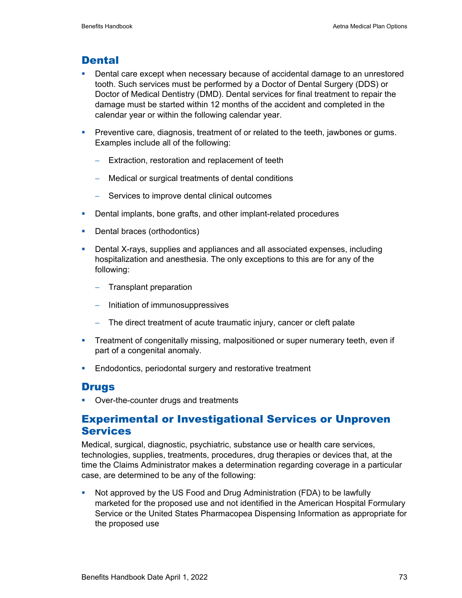### **Dental**

- **Dental care except when necessary because of accidental damage to an unrestored** tooth. Such services must be performed by a Doctor of Dental Surgery (DDS) or Doctor of Medical Dentistry (DMD). Dental services for final treatment to repair the damage must be started within 12 months of the accident and completed in the calendar year or within the following calendar year.
- **Preventive care, diagnosis, treatment of or related to the teeth, jawbones or gums.** Examples include all of the following:
	- − Extraction, restoration and replacement of teeth
	- − Medical or surgical treatments of dental conditions
	- − Services to improve dental clinical outcomes
- **Dental implants, bone grafts, and other implant-related procedures**
- Dental braces (orthodontics)
- **Dental X-rays, supplies and appliances and all associated expenses, including** hospitalization and anesthesia. The only exceptions to this are for any of the following:
	- − Transplant preparation
	- − Initiation of immunosuppressives
	- − The direct treatment of acute traumatic injury, cancer or cleft palate
- **Treatment of congenitally missing, malpositioned or super numerary teeth, even if** part of a congenital anomaly.
- **Endodontics, periodontal surgery and restorative treatment**

### **Drugs**

**•** Over-the-counter drugs and treatments

## Experimental or Investigational Services or Unproven Services

Medical, surgical, diagnostic, psychiatric, substance use or health care services, technologies, supplies, treatments, procedures, drug therapies or devices that, at the time the Claims Administrator makes a determination regarding coverage in a particular case, are determined to be any of the following:

 Not approved by the US Food and Drug Administration (FDA) to be lawfully marketed for the proposed use and not identified in the American Hospital Formulary Service or the United States Pharmacopea Dispensing Information as appropriate for the proposed use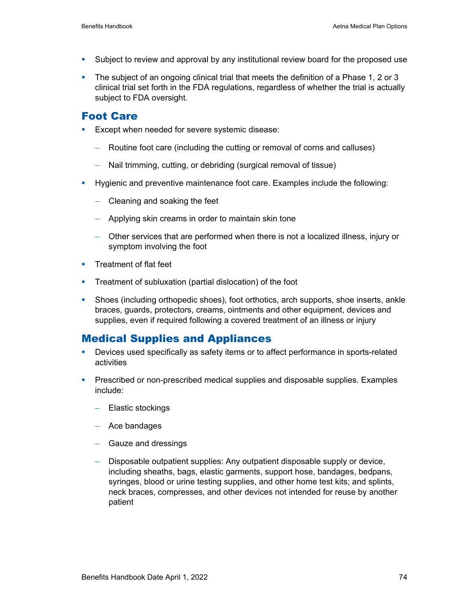- Subject to review and approval by any institutional review board for the proposed use
- The subject of an ongoing clinical trial that meets the definition of a Phase 1, 2 or 3 clinical trial set forth in the FDA regulations, regardless of whether the trial is actually subject to FDA oversight.

### Foot Care

- **Except when needed for severe systemic disease:** 
	- − Routine foot care (including the cutting or removal of corns and calluses)
	- − Nail trimming, cutting, or debriding (surgical removal of tissue)
- **Hygienic and preventive maintenance foot care. Examples include the following:** 
	- − Cleaning and soaking the feet
	- − Applying skin creams in order to maintain skin tone
	- − Other services that are performed when there is not a localized illness, injury or symptom involving the foot
- **Treatment of flat feet**
- **Treatment of subluxation (partial dislocation) of the foot**
- Shoes (including orthopedic shoes), foot orthotics, arch supports, shoe inserts, ankle braces, guards, protectors, creams, ointments and other equipment, devices and supplies, even if required following a covered treatment of an illness or injury

### Medical Supplies and Appliances

- Devices used specifically as safety items or to affect performance in sports-related activities
- **Prescribed or non-prescribed medical supplies and disposable supplies. Examples** include:
	- − Elastic stockings
	- − Ace bandages
	- − Gauze and dressings
	- − Disposable outpatient supplies: Any outpatient disposable supply or device, including sheaths, bags, elastic garments, support hose, bandages, bedpans, syringes, blood or urine testing supplies, and other home test kits; and splints, neck braces, compresses, and other devices not intended for reuse by another patient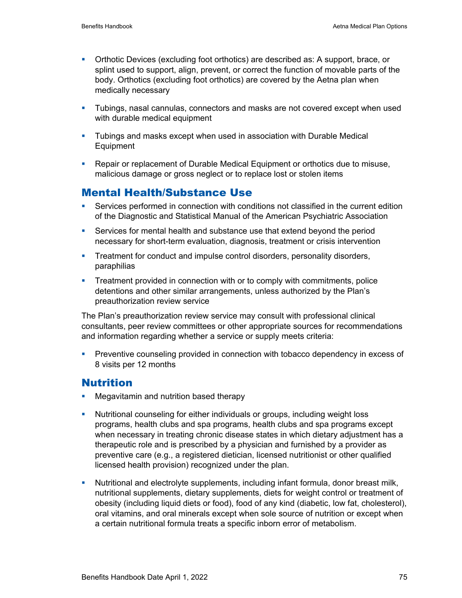- Orthotic Devices (excluding foot orthotics) are described as: A support, brace, or splint used to support, align, prevent, or correct the function of movable parts of the body. Orthotics (excluding foot orthotics) are covered by the Aetna plan when medically necessary
- **Tubings, nasal cannulas, connectors and masks are not covered except when used** with durable medical equipment
- Tubings and masks except when used in association with Durable Medical Equipment
- Repair or replacement of Durable Medical Equipment or orthotics due to misuse, malicious damage or gross neglect or to replace lost or stolen items

## Mental Health/Substance Use

- Services performed in connection with conditions not classified in the current edition of the Diagnostic and Statistical Manual of the American Psychiatric Association
- Services for mental health and substance use that extend beyond the period necessary for short-term evaluation, diagnosis, treatment or crisis intervention
- **Treatment for conduct and impulse control disorders, personality disorders,** paraphilias
- **Treatment provided in connection with or to comply with commitments, police** detentions and other similar arrangements, unless authorized by the Plan's preauthorization review service

The Plan's preauthorization review service may consult with professional clinical consultants, peer review committees or other appropriate sources for recommendations and information regarding whether a service or supply meets criteria:

 Preventive counseling provided in connection with tobacco dependency in excess of 8 visits per 12 months

## Nutrition

- **Megavitamin and nutrition based therapy**
- Nutritional counseling for either individuals or groups, including weight loss programs, health clubs and spa programs, health clubs and spa programs except when necessary in treating chronic disease states in which dietary adjustment has a therapeutic role and is prescribed by a physician and furnished by a provider as preventive care (e.g., a registered dietician, licensed nutritionist or other qualified licensed health provision) recognized under the plan.
- Nutritional and electrolyte supplements, including infant formula, donor breast milk, nutritional supplements, dietary supplements, diets for weight control or treatment of obesity (including liquid diets or food), food of any kind (diabetic, low fat, cholesterol), oral vitamins, and oral minerals except when sole source of nutrition or except when a certain nutritional formula treats a specific inborn error of metabolism.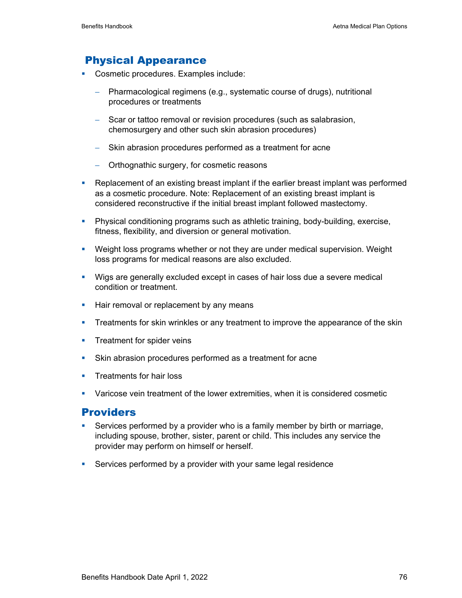## Physical Appearance

- Cosmetic procedures. Examples include:
	- − Pharmacological regimens (e.g., systematic course of drugs), nutritional procedures or treatments
	- − Scar or tattoo removal or revision procedures (such as salabrasion, chemosurgery and other such skin abrasion procedures)
	- − Skin abrasion procedures performed as a treatment for acne
	- − Orthognathic surgery, for cosmetic reasons
- Replacement of an existing breast implant if the earlier breast implant was performed as a cosmetic procedure. Note: Replacement of an existing breast implant is considered reconstructive if the initial breast implant followed mastectomy.
- Physical conditioning programs such as athletic training, body-building, exercise, fitness, flexibility, and diversion or general motivation.
- Weight loss programs whether or not they are under medical supervision. Weight loss programs for medical reasons are also excluded.
- Wigs are generally excluded except in cases of hair loss due a severe medical condition or treatment.
- **Hair removal or replacement by any means**
- **Treatments for skin wrinkles or any treatment to improve the appearance of the skin**
- **Treatment for spider veins**
- Skin abrasion procedures performed as a treatment for acne
- **Treatments for hair loss**
- Varicose vein treatment of the lower extremities, when it is considered cosmetic

### **Providers**

- Services performed by a provider who is a family member by birth or marriage, including spouse, brother, sister, parent or child. This includes any service the provider may perform on himself or herself.
- Services performed by a provider with your same legal residence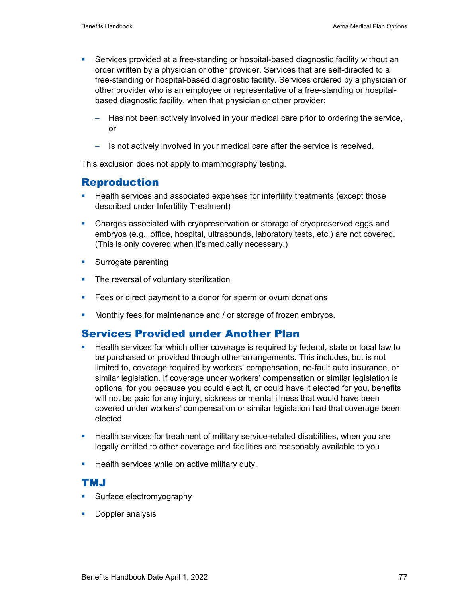- Services provided at a free-standing or hospital-based diagnostic facility without an order written by a physician or other provider. Services that are self-directed to a free-standing or hospital-based diagnostic facility. Services ordered by a physician or other provider who is an employee or representative of a free-standing or hospitalbased diagnostic facility, when that physician or other provider:
	- Has not been actively involved in your medical care prior to ordering the service, or
	- − Is not actively involved in your medical care after the service is received.

This exclusion does not apply to mammography testing.

### Reproduction

- **Health services and associated expenses for infertility treatments (except those** described under Infertility Treatment)
- Charges associated with cryopreservation or storage of cryopreserved eggs and embryos (e.g., office, hospital, ultrasounds, laboratory tests, etc.) are not covered. (This is only covered when it's medically necessary.)
- **Surrogate parenting**
- The reversal of voluntary sterilization
- **Fees or direct payment to a donor for sperm or ovum donations**
- **Monthly fees for maintenance and / or storage of frozen embryos.**

### Services Provided under Another Plan

- **Health services for which other coverage is required by federal, state or local law to** be purchased or provided through other arrangements. This includes, but is not limited to, coverage required by workers' compensation, no-fault auto insurance, or similar legislation. If coverage under workers' compensation or similar legislation is optional for you because you could elect it, or could have it elected for you, benefits will not be paid for any injury, sickness or mental illness that would have been covered under workers' compensation or similar legislation had that coverage been elected
- **Health services for treatment of military service-related disabilities, when you are** legally entitled to other coverage and facilities are reasonably available to you
- **Health services while on active military duty.**

### TMJ

- Surface electromyography
- **Doppler analysis**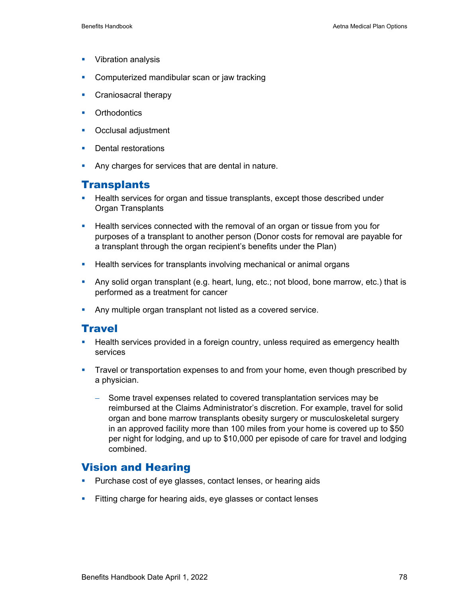- **Vibration analysis**
- Computerized mandibular scan or jaw tracking
- **Craniosacral therapy**
- **•** Orthodontics
- **•** Occlusal adjustment
- **Dental restorations**
- **Any charges for services that are dental in nature.**

### **Transplants**

- **Health services for organ and tissue transplants, except those described under** Organ Transplants
- Health services connected with the removal of an organ or tissue from you for purposes of a transplant to another person (Donor costs for removal are payable for a transplant through the organ recipient's benefits under the Plan)
- **Health services for transplants involving mechanical or animal organs**
- Any solid organ transplant (e.g. heart, lung, etc.; not blood, bone marrow, etc.) that is performed as a treatment for cancer
- **Any multiple organ transplant not listed as a covered service.**

### **Travel**

- **Health services provided in a foreign country, unless required as emergency health** services
- Travel or transportation expenses to and from your home, even though prescribed by a physician.
	- − Some travel expenses related to covered transplantation services may be reimbursed at the Claims Administrator's discretion. For example, travel for solid organ and bone marrow transplants obesity surgery or musculoskeletal surgery in an approved facility more than 100 miles from your home is covered up to \$50 per night for lodging, and up to \$10,000 per episode of care for travel and lodging combined.

### Vision and Hearing

- **Purchase cost of eye glasses, contact lenses, or hearing aids**
- Fitting charge for hearing aids, eye glasses or contact lenses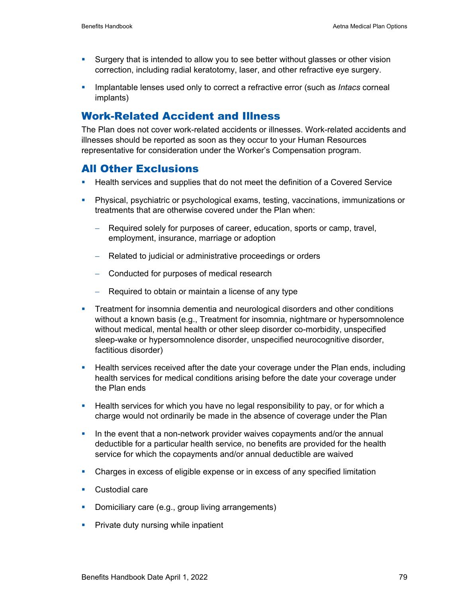- Surgery that is intended to allow you to see better without glasses or other vision correction, including radial keratotomy, laser, and other refractive eye surgery.
- **Implantable lenses used only to correct a refractive error (such as** *Intacs* **corneal** implants)

### Work-Related Accident and Illness

The Plan does not cover work-related accidents or illnesses. Work-related accidents and illnesses should be reported as soon as they occur to your Human Resources representative for consideration under the Worker's Compensation program.

### All Other Exclusions

- **Health services and supplies that do not meet the definition of a Covered Service**
- Physical, psychiatric or psychological exams, testing, vaccinations, immunizations or treatments that are otherwise covered under the Plan when:
	- − Required solely for purposes of career, education, sports or camp, travel, employment, insurance, marriage or adoption
	- − Related to judicial or administrative proceedings or orders
	- − Conducted for purposes of medical research
	- − Required to obtain or maintain a license of any type
- **Treatment for insomnia dementia and neurological disorders and other conditions** without a known basis (e.g., Treatment for insomnia, nightmare or hypersomnolence without medical, mental health or other sleep disorder co-morbidity, unspecified sleep-wake or hypersomnolence disorder, unspecified neurocognitive disorder, factitious disorder)
- **Health services received after the date your coverage under the Plan ends, including** health services for medical conditions arising before the date your coverage under the Plan ends
- **Health services for which you have no legal responsibility to pay, or for which a** charge would not ordinarily be made in the absence of coverage under the Plan
- In the event that a non-network provider waives copayments and/or the annual deductible for a particular health service, no benefits are provided for the health service for which the copayments and/or annual deductible are waived
- Charges in excess of eligible expense or in excess of any specified limitation
- **Custodial care**
- Domiciliary care (e.g., group living arrangements)
- **Private duty nursing while inpatient**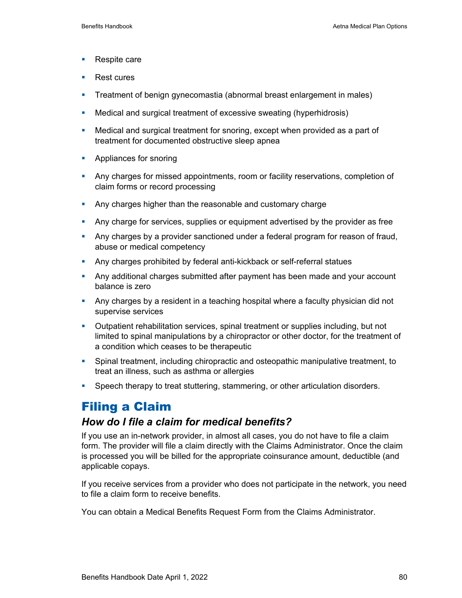- Respite care
- Rest cures
- **Treatment of benign gynecomastia (abnormal breast enlargement in males)**
- Medical and surgical treatment of excessive sweating (hyperhidrosis)
- Medical and surgical treatment for snoring, except when provided as a part of treatment for documented obstructive sleep apnea
- **Appliances for snoring**
- Any charges for missed appointments, room or facility reservations, completion of claim forms or record processing
- Any charges higher than the reasonable and customary charge
- Any charge for services, supplies or equipment advertised by the provider as free
- **Any charges by a provider sanctioned under a federal program for reason of fraud,** abuse or medical competency
- **Any charges prohibited by federal anti-kickback or self-referral statues**
- Any additional charges submitted after payment has been made and your account balance is zero
- Any charges by a resident in a teaching hospital where a faculty physician did not supervise services
- Outpatient rehabilitation services, spinal treatment or supplies including, but not limited to spinal manipulations by a chiropractor or other doctor, for the treatment of a condition which ceases to be therapeutic
- Spinal treatment, including chiropractic and osteopathic manipulative treatment, to treat an illness, such as asthma or allergies
- **Speech therapy to treat stuttering, stammering, or other articulation disorders.**

# Filing a Claim

### *How do I file a claim for medical benefits?*

If you use an in-network provider, in almost all cases, you do not have to file a claim form. The provider will file a claim directly with the Claims Administrator. Once the claim is processed you will be billed for the appropriate coinsurance amount, deductible (and applicable copays.

If you receive services from a provider who does not participate in the network, you need to file a claim form to receive benefits.

You can obtain a Medical Benefits Request Form from the Claims Administrator.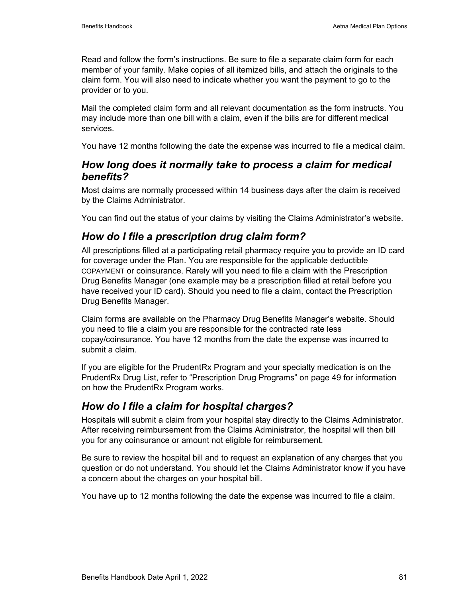Read and follow the form's instructions. Be sure to file a separate claim form for each member of your family. Make copies of all itemized bills, and attach the originals to the claim form. You will also need to indicate whether you want the payment to go to the provider or to you.

Mail the completed claim form and all relevant documentation as the form instructs. You may include more than one bill with a claim, even if the bills are for different medical services.

You have 12 months following the date the expense was incurred to file a medical claim.

## *How long does it normally take to process a claim for medical benefits?*

Most claims are normally processed within 14 business days after the claim is received by the Claims Administrator.

You can find out the status of your claims by visiting the Claims Administrator's website.

## *How do I file a prescription drug claim form?*

All prescriptions filled at a participating retail pharmacy require you to provide an ID card for coverage under the Plan. You are responsible for the applicable deductible COPAYMENT or coinsurance. Rarely will you need to file a claim with the Prescription Drug Benefits Manager (one example may be a prescription filled at retail before you have received your ID card). Should you need to file a claim, contact the Prescription Drug Benefits Manager.

Claim forms are available on the Pharmacy Drug Benefits Manager's website. Should you need to file a claim you are responsible for the contracted rate less copay/coinsurance. You have 12 months from the date the expense was incurred to submit a claim.

If you are eligible for the PrudentRx Program and your specialty medication is on the PrudentRx Drug List, refer to "Prescription Drug Programs" on page 49 for information on how the PrudentRx Program works.

## *How do I file a claim for hospital charges?*

Hospitals will submit a claim from your hospital stay directly to the Claims Administrator. After receiving reimbursement from the Claims Administrator, the hospital will then bill you for any coinsurance or amount not eligible for reimbursement.

Be sure to review the hospital bill and to request an explanation of any charges that you question or do not understand. You should let the Claims Administrator know if you have a concern about the charges on your hospital bill.

You have up to 12 months following the date the expense was incurred to file a claim.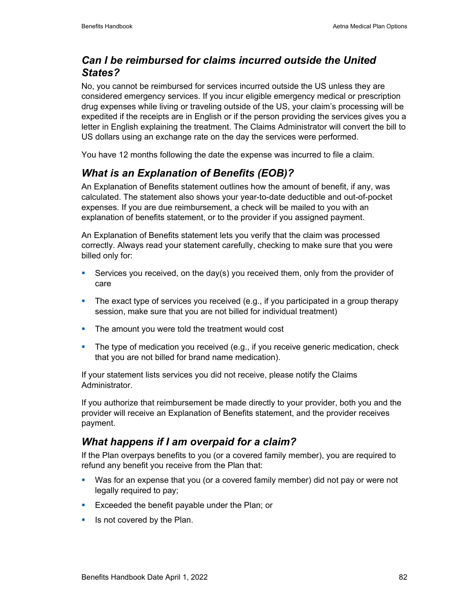## *Can I be reimbursed for claims incurred outside the United States?*

No, you cannot be reimbursed for services incurred outside the US unless they are considered emergency services. If you incur eligible emergency medical or prescription drug expenses while living or traveling outside of the US, your claim's processing will be expedited if the receipts are in English or if the person providing the services gives you a letter in English explaining the treatment. The Claims Administrator will convert the bill to US dollars using an exchange rate on the day the services were performed.

You have 12 months following the date the expense was incurred to file a claim.

# *What is an Explanation of Benefits (EOB)?*

An Explanation of Benefits statement outlines how the amount of benefit, if any, was calculated. The statement also shows your year-to-date deductible and out-of-pocket expenses. If you are due reimbursement, a check will be mailed to you with an explanation of benefits statement, or to the provider if you assigned payment.

An Explanation of Benefits statement lets you verify that the claim was processed correctly. Always read your statement carefully, checking to make sure that you were billed only for:

- Services you received, on the day(s) you received them, only from the provider of care
- **The exact type of services you received (e.g., if you participated in a group therapy** session, make sure that you are not billed for individual treatment)
- The amount you were told the treatment would cost
- **The type of medication you received (e.g., if you receive generic medication, check** that you are not billed for brand name medication).

If your statement lists services you did not receive, please notify the Claims Administrator.

If you authorize that reimbursement be made directly to your provider, both you and the provider will receive an Explanation of Benefits statement, and the provider receives payment.

## *What happens if I am overpaid for a claim?*

If the Plan overpays benefits to you (or a covered family member), you are required to refund any benefit you receive from the Plan that:

- Was for an expense that you (or a covered family member) did not pay or were not legally required to pay;
- **Exceeded the benefit payable under the Plan; or**
- $\blacksquare$  Is not covered by the Plan.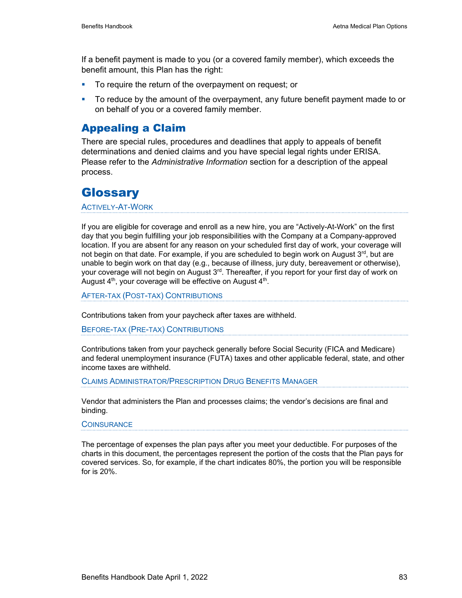If a benefit payment is made to you (or a covered family member), which exceeds the benefit amount, this Plan has the right:

- To require the return of the overpayment on request; or
- To reduce by the amount of the overpayment, any future benefit payment made to or on behalf of you or a covered family member.

## Appealing a Claim

There are special rules, procedures and deadlines that apply to appeals of benefit determinations and denied claims and you have special legal rights under ERISA. Please refer to the *Administrative Information* section for a description of the appeal process.

# **Glossary**

ACTIVELY-AT-WORK

If you are eligible for coverage and enroll as a new hire, you are "Actively-At-Work" on the first day that you begin fulfilling your job responsibilities with the Company at a Company-approved location. If you are absent for any reason on your scheduled first day of work, your coverage will not begin on that date. For example, if you are scheduled to begin work on August 3<sup>rd</sup>, but are unable to begin work on that day (e.g., because of illness, jury duty, bereavement or otherwise), your coverage will not begin on August  $3<sup>rd</sup>$ . Thereafter, if you report for your first day of work on August  $4<sup>th</sup>$ , your coverage will be effective on August  $4<sup>th</sup>$ .

AFTER-TAX (POST-TAX) CONTRIBUTIONS

Contributions taken from your paycheck after taxes are withheld.

BEFORE-TAX (PRE-TAX) CONTRIBUTIONS

Contributions taken from your paycheck generally before Social Security (FICA and Medicare) and federal unemployment insurance (FUTA) taxes and other applicable federal, state, and other income taxes are withheld.

CLAIMS ADMINISTRATOR/PRESCRIPTION DRUG BENEFITS MANAGER

Vendor that administers the Plan and processes claims; the vendor's decisions are final and binding.

**COINSURANCE** 

The percentage of expenses the plan pays after you meet your deductible. For purposes of the charts in this document, the percentages represent the portion of the costs that the Plan pays for covered services. So, for example, if the chart indicates 80%, the portion you will be responsible for is 20%.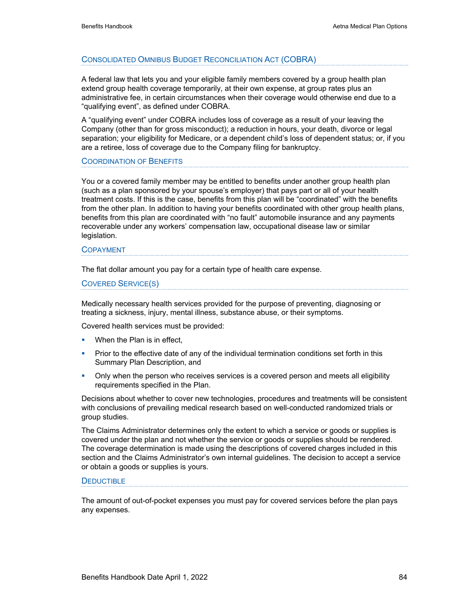#### CONSOLIDATED OMNIBUS BUDGET RECONCILIATION ACT (COBRA)

A federal law that lets you and your eligible family members covered by a group health plan extend group health coverage temporarily, at their own expense, at group rates plus an administrative fee, in certain circumstances when their coverage would otherwise end due to a "qualifying event", as defined under COBRA.

A "qualifying event" under COBRA includes loss of coverage as a result of your leaving the Company (other than for gross misconduct); a reduction in hours, your death, divorce or legal separation; your eligibility for Medicare, or a dependent child's loss of dependent status; or, if you are a retiree, loss of coverage due to the Company filing for bankruptcy.

#### COORDINATION OF BENEFITS

You or a covered family member may be entitled to benefits under another group health plan (such as a plan sponsored by your spouse's employer) that pays part or all of your health treatment costs. If this is the case, benefits from this plan will be "coordinated" with the benefits from the other plan. In addition to having your benefits coordinated with other group health plans, benefits from this plan are coordinated with "no fault" automobile insurance and any payments recoverable under any workers' compensation law, occupational disease law or similar legislation.

#### COPAYMENT

The flat dollar amount you pay for a certain type of health care expense.

COVERED SERVICE(S)

Medically necessary health services provided for the purpose of preventing, diagnosing or treating a sickness, injury, mental illness, substance abuse, or their symptoms.

Covered health services must be provided:

- **When the Plan is in effect,**
- **Prior to the effective date of any of the individual termination conditions set forth in this** Summary Plan Description, and
- **Diangleh in the person who receives services is a covered person and meets all eligibility** requirements specified in the Plan.

Decisions about whether to cover new technologies, procedures and treatments will be consistent with conclusions of prevailing medical research based on well-conducted randomized trials or group studies.

The Claims Administrator determines only the extent to which a service or goods or supplies is covered under the plan and not whether the service or goods or supplies should be rendered. The coverage determination is made using the descriptions of covered charges included in this section and the Claims Administrator's own internal guidelines. The decision to accept a service or obtain a goods or supplies is yours.

#### **DEDUCTIBLE**

The amount of out-of-pocket expenses you must pay for covered services before the plan pays any expenses.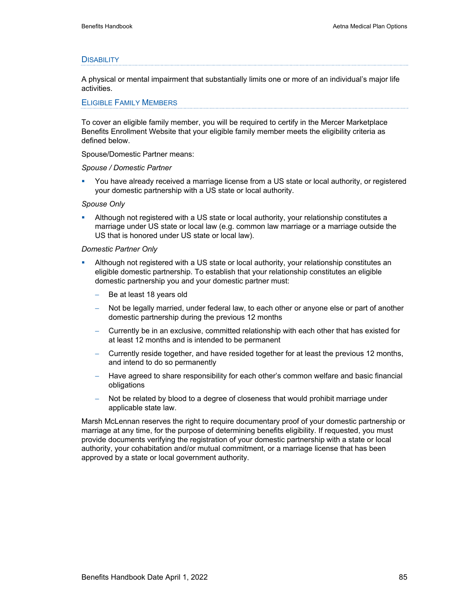#### **DISABILITY**

A physical or mental impairment that substantially limits one or more of an individual's major life activities.

#### ELIGIBLE FAMILY MEMBERS

To cover an eligible family member, you will be required to certify in the Mercer Marketplace Benefits Enrollment Website that your eligible family member meets the eligibility criteria as defined below.

Spouse/Domestic Partner means:

#### *Spouse / Domestic Partner*

 You have already received a marriage license from a US state or local authority, or registered your domestic partnership with a US state or local authority.

#### *Spouse Only*

 Although not registered with a US state or local authority, your relationship constitutes a marriage under US state or local law (e.g. common law marriage or a marriage outside the US that is honored under US state or local law).

#### *Domestic Partner Only*

- Although not registered with a US state or local authority, your relationship constitutes an eligible domestic partnership. To establish that your relationship constitutes an eligible domestic partnership you and your domestic partner must:
	- Be at least 18 years old
	- − Not be legally married, under federal law, to each other or anyone else or part of another domestic partnership during the previous 12 months
	- − Currently be in an exclusive, committed relationship with each other that has existed for at least 12 months and is intended to be permanent
	- − Currently reside together, and have resided together for at least the previous 12 months, and intend to do so permanently
	- − Have agreed to share responsibility for each other's common welfare and basic financial obligations
	- Not be related by blood to a degree of closeness that would prohibit marriage under applicable state law.

Marsh McLennan reserves the right to require documentary proof of your domestic partnership or marriage at any time, for the purpose of determining benefits eligibility. If requested, you must provide documents verifying the registration of your domestic partnership with a state or local authority, your cohabitation and/or mutual commitment, or a marriage license that has been approved by a state or local government authority.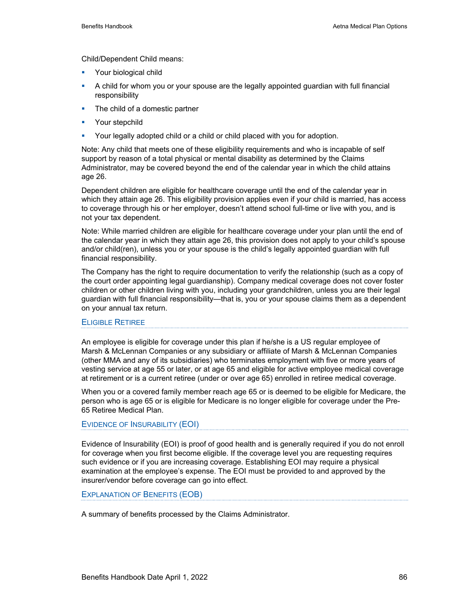Child/Dependent Child means:

- **Your biological child**
- A child for whom you or your spouse are the legally appointed guardian with full financial responsibility
- The child of a domestic partner
- **•** Your stepchild
- Your legally adopted child or a child or child placed with you for adoption.

Note: Any child that meets one of these eligibility requirements and who is incapable of self support by reason of a total physical or mental disability as determined by the Claims Administrator, may be covered beyond the end of the calendar year in which the child attains age 26.

Dependent children are eligible for healthcare coverage until the end of the calendar year in which they attain age 26. This eligibility provision applies even if your child is married, has access to coverage through his or her employer, doesn't attend school full-time or live with you, and is not your tax dependent.

Note: While married children are eligible for healthcare coverage under your plan until the end of the calendar year in which they attain age 26, this provision does not apply to your child's spouse and/or child(ren), unless you or your spouse is the child's legally appointed guardian with full financial responsibility.

The Company has the right to require documentation to verify the relationship (such as a copy of the court order appointing legal guardianship). Company medical coverage does not cover foster children or other children living with you, including your grandchildren, unless you are their legal guardian with full financial responsibility—that is, you or your spouse claims them as a dependent on your annual tax return.

#### ELIGIBLE RETIREE

An employee is eligible for coverage under this plan if he/she is a US regular employee of Marsh & McLennan Companies or any subsidiary or affiliate of Marsh & McLennan Companies (other MMA and any of its subsidiaries) who terminates employment with five or more years of vesting service at age 55 or later, or at age 65 and eligible for active employee medical coverage at retirement or is a current retiree (under or over age 65) enrolled in retiree medical coverage.

When you or a covered family member reach age 65 or is deemed to be eligible for Medicare, the person who is age 65 or is eligible for Medicare is no longer eligible for coverage under the Pre-65 Retiree Medical Plan.

#### EVIDENCE OF INSURABILITY (EOI)

Evidence of Insurability (EOI) is proof of good health and is generally required if you do not enroll for coverage when you first become eligible. If the coverage level you are requesting requires such evidence or if you are increasing coverage. Establishing EOI may require a physical examination at the employee's expense. The EOI must be provided to and approved by the insurer/vendor before coverage can go into effect.

#### EXPLANATION OF BENEFITS (EOB)

A summary of benefits processed by the Claims Administrator.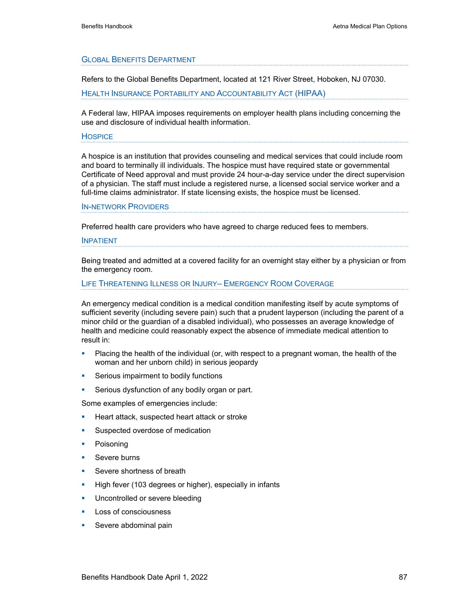#### GLOBAL BENEFITS DEPARTMENT

Refers to the Global Benefits Department, located at 121 River Street, Hoboken, NJ 07030.

HEALTH INSURANCE PORTABILITY AND ACCOUNTABILITY ACT (HIPAA)

A Federal law, HIPAA imposes requirements on employer health plans including concerning the use and disclosure of individual health information.

#### **HOSPICE**

A hospice is an institution that provides counseling and medical services that could include room and board to terminally ill individuals. The hospice must have required state or governmental Certificate of Need approval and must provide 24 hour-a-day service under the direct supervision of a physician. The staff must include a registered nurse, a licensed social service worker and a full-time claims administrator. If state licensing exists, the hospice must be licensed.

#### IN-NETWORK PROVIDERS

Preferred health care providers who have agreed to charge reduced fees to members.

#### INPATIENT

Being treated and admitted at a covered facility for an overnight stay either by a physician or from the emergency room.

#### LIFE THREATENING ILLNESS OR INJURY– EMERGENCY ROOM COVERAGE

An emergency medical condition is a medical condition manifesting itself by acute symptoms of sufficient severity (including severe pain) such that a prudent layperson (including the parent of a minor child or the guardian of a disabled individual), who possesses an average knowledge of health and medicine could reasonably expect the absence of immediate medical attention to result in:

- Placing the health of the individual (or, with respect to a pregnant woman, the health of the woman and her unborn child) in serious jeopardy
- **Serious impairment to bodily functions**
- **Serious dysfunction of any bodily organ or part.**

Some examples of emergencies include:

- **Heart attack, suspected heart attack or stroke**
- **Suspected overdose of medication**
- **•** Poisoning
- **Severe burns**
- Severe shortness of breath
- High fever (103 degrees or higher), especially in infants
- **Uncontrolled or severe bleeding**
- **Loss of consciousness**
- Severe abdominal pain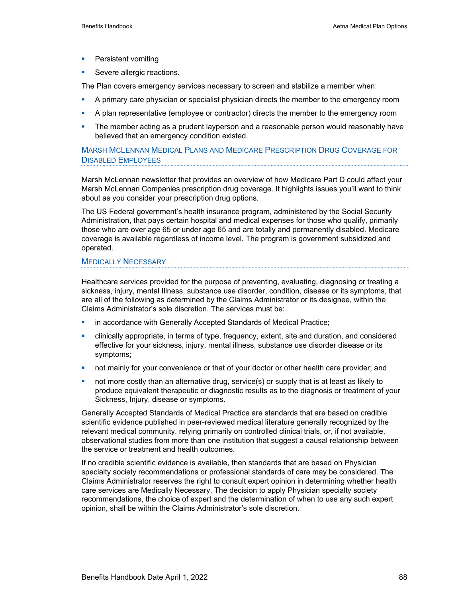- **•** Persistent vomiting
- Severe allergic reactions.

The Plan covers emergency services necessary to screen and stabilize a member when:

- A primary care physician or specialist physician directs the member to the emergency room
- A plan representative (employee or contractor) directs the member to the emergency room
- The member acting as a prudent layperson and a reasonable person would reasonably have believed that an emergency condition existed.

MARSH MCLENNAN MEDICAL PLANS AND MEDICARE PRESCRIPTION DRUG COVERAGE FOR DISABLED EMPLOYEES

Marsh McLennan newsletter that provides an overview of how Medicare Part D could affect your Marsh McLennan Companies prescription drug coverage. It highlights issues you'll want to think about as you consider your prescription drug options.

The US Federal government's health insurance program, administered by the Social Security Administration, that pays certain hospital and medical expenses for those who qualify, primarily those who are over age 65 or under age 65 and are totally and permanently disabled. Medicare coverage is available regardless of income level. The program is government subsidized and operated.

#### MEDICALLY NECESSARY

Healthcare services provided for the purpose of preventing, evaluating, diagnosing or treating a sickness, injury, mental Illness, substance use disorder, condition, disease or its symptoms, that are all of the following as determined by the Claims Administrator or its designee, within the Claims Administrator's sole discretion. The services must be:

- **•** in accordance with Generally Accepted Standards of Medical Practice;
- clinically appropriate, in terms of type, frequency, extent, site and duration, and considered effective for your sickness, injury, mental illness, substance use disorder disease or its symptoms;
- **•** not mainly for your convenience or that of your doctor or other health care provider; and
- **•** not more costly than an alternative drug, service(s) or supply that is at least as likely to produce equivalent therapeutic or diagnostic results as to the diagnosis or treatment of your Sickness, Injury, disease or symptoms.

Generally Accepted Standards of Medical Practice are standards that are based on credible scientific evidence published in peer-reviewed medical literature generally recognized by the relevant medical community, relying primarily on controlled clinical trials, or, if not available, observational studies from more than one institution that suggest a causal relationship between the service or treatment and health outcomes.

If no credible scientific evidence is available, then standards that are based on Physician specialty society recommendations or professional standards of care may be considered. The Claims Administrator reserves the right to consult expert opinion in determining whether health care services are Medically Necessary. The decision to apply Physician specialty society recommendations, the choice of expert and the determination of when to use any such expert opinion, shall be within the Claims Administrator's sole discretion.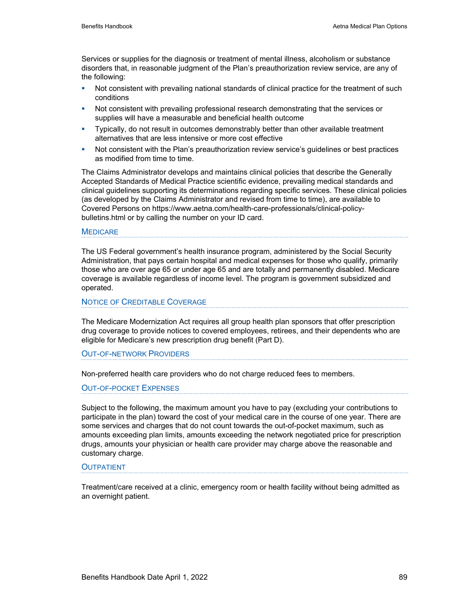Services or supplies for the diagnosis or treatment of mental illness, alcoholism or substance disorders that, in reasonable judgment of the Plan's preauthorization review service, are any of the following:

- **Not consistent with prevailing national standards of clinical practice for the treatment of such** conditions
- **Not consistent with prevailing professional research demonstrating that the services or** supplies will have a measurable and beneficial health outcome
- **Typically, do not result in outcomes demonstrably better than other available treatment** alternatives that are less intensive or more cost effective
- Not consistent with the Plan's preauthorization review service's guidelines or best practices as modified from time to time.

The Claims Administrator develops and maintains clinical policies that describe the Generally Accepted Standards of Medical Practice scientific evidence, prevailing medical standards and clinical guidelines supporting its determinations regarding specific services. These clinical policies (as developed by the Claims Administrator and revised from time to time), are available to Covered Persons on https://www.aetna.com/health-care-professionals/clinical-policybulletins.html or by calling the number on your ID card.

#### **MEDICARE**

The US Federal government's health insurance program, administered by the Social Security Administration, that pays certain hospital and medical expenses for those who qualify, primarily those who are over age 65 or under age 65 and are totally and permanently disabled. Medicare coverage is available regardless of income level. The program is government subsidized and operated.

#### NOTICE OF CREDITABLE COVERAGE

The Medicare Modernization Act requires all group health plan sponsors that offer prescription drug coverage to provide notices to covered employees, retirees, and their dependents who are eligible for Medicare's new prescription drug benefit (Part D).

#### OUT-OF-NETWORK PROVIDERS

Non-preferred health care providers who do not charge reduced fees to members.

#### OUT-OF-POCKET EXPENSES

Subject to the following, the maximum amount you have to pay (excluding your contributions to participate in the plan) toward the cost of your medical care in the course of one year. There are some services and charges that do not count towards the out-of-pocket maximum, such as amounts exceeding plan limits, amounts exceeding the network negotiated price for prescription drugs, amounts your physician or health care provider may charge above the reasonable and customary charge.

#### **OUTPATIENT**

Treatment/care received at a clinic, emergency room or health facility without being admitted as an overnight patient.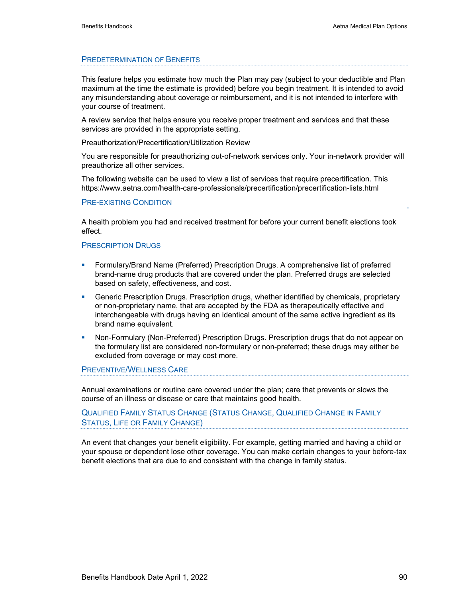#### PREDETERMINATION OF BENEFITS

This feature helps you estimate how much the Plan may pay (subject to your deductible and Plan maximum at the time the estimate is provided) before you begin treatment. It is intended to avoid any misunderstanding about coverage or reimbursement, and it is not intended to interfere with your course of treatment.

A review service that helps ensure you receive proper treatment and services and that these services are provided in the appropriate setting.

Preauthorization/Precertification/Utilization Review

You are responsible for preauthorizing out-of-network services only. Your in-network provider will preauthorize all other services.

The following website can be used to view a list of services that require precertification. This https://www.aetna.com/health-care-professionals/precertification/precertification-lists.html

#### PRE-EXISTING CONDITION

A health problem you had and received treatment for before your current benefit elections took effect.

#### PRESCRIPTION DRUGS

- Formulary/Brand Name (Preferred) Prescription Drugs. A comprehensive list of preferred brand-name drug products that are covered under the plan. Preferred drugs are selected based on safety, effectiveness, and cost.
- Generic Prescription Drugs. Prescription drugs, whether identified by chemicals, proprietary or non-proprietary name, that are accepted by the FDA as therapeutically effective and interchangeable with drugs having an identical amount of the same active ingredient as its brand name equivalent.
- **Non-Formulary (Non-Preferred) Prescription Drugs. Prescription drugs that do not appear on** the formulary list are considered non-formulary or non-preferred; these drugs may either be excluded from coverage or may cost more.

PREVENTIVE/WELLNESS CARE

Annual examinations or routine care covered under the plan; care that prevents or slows the course of an illness or disease or care that maintains good health.

QUALIFIED FAMILY STATUS CHANGE (STATUS CHANGE, QUALIFIED CHANGE IN FAMILY STATUS, LIFE OR FAMILY CHANGE)

An event that changes your benefit eligibility. For example, getting married and having a child or your spouse or dependent lose other coverage. You can make certain changes to your before-tax benefit elections that are due to and consistent with the change in family status.